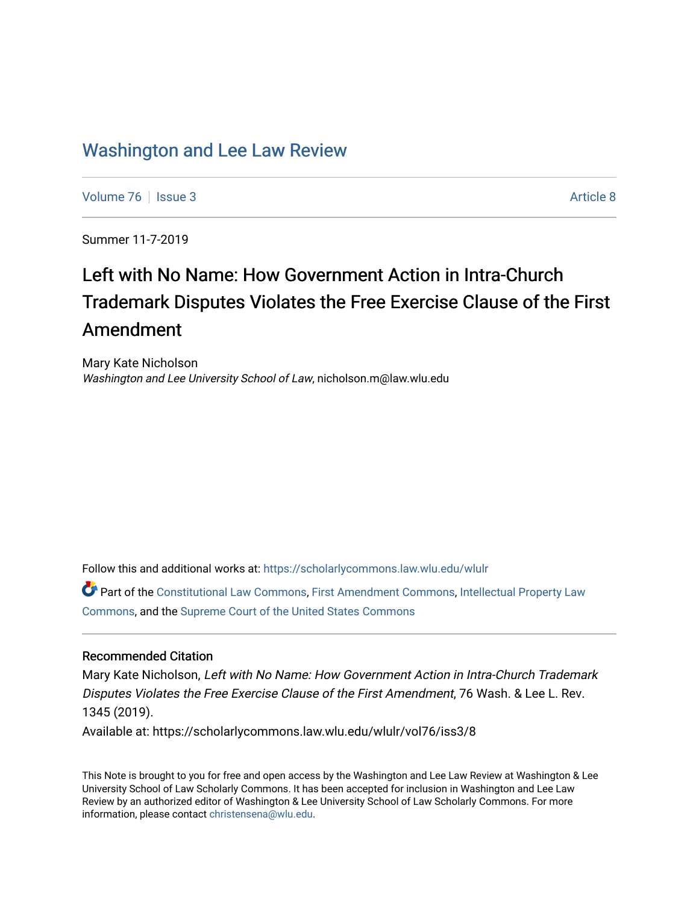# [Washington and Lee Law Review](https://scholarlycommons.law.wlu.edu/wlulr)

[Volume 76](https://scholarlycommons.law.wlu.edu/wlulr/vol76) | [Issue 3](https://scholarlycommons.law.wlu.edu/wlulr/vol76/iss3) Article 8

Summer 11-7-2019

# Left with No Name: How Government Action in Intra-Church Trademark Disputes Violates the Free Exercise Clause of the First Amendment

Mary Kate Nicholson Washington and Lee University School of Law, nicholson.m@law.wlu.edu

Follow this and additional works at: [https://scholarlycommons.law.wlu.edu/wlulr](https://scholarlycommons.law.wlu.edu/wlulr?utm_source=scholarlycommons.law.wlu.edu%2Fwlulr%2Fvol76%2Fiss3%2F8&utm_medium=PDF&utm_campaign=PDFCoverPages) 

Part of the [Constitutional Law Commons,](http://network.bepress.com/hgg/discipline/589?utm_source=scholarlycommons.law.wlu.edu%2Fwlulr%2Fvol76%2Fiss3%2F8&utm_medium=PDF&utm_campaign=PDFCoverPages) [First Amendment Commons,](http://network.bepress.com/hgg/discipline/1115?utm_source=scholarlycommons.law.wlu.edu%2Fwlulr%2Fvol76%2Fiss3%2F8&utm_medium=PDF&utm_campaign=PDFCoverPages) [Intellectual Property Law](http://network.bepress.com/hgg/discipline/896?utm_source=scholarlycommons.law.wlu.edu%2Fwlulr%2Fvol76%2Fiss3%2F8&utm_medium=PDF&utm_campaign=PDFCoverPages) [Commons](http://network.bepress.com/hgg/discipline/896?utm_source=scholarlycommons.law.wlu.edu%2Fwlulr%2Fvol76%2Fiss3%2F8&utm_medium=PDF&utm_campaign=PDFCoverPages), and the [Supreme Court of the United States Commons](http://network.bepress.com/hgg/discipline/1350?utm_source=scholarlycommons.law.wlu.edu%2Fwlulr%2Fvol76%2Fiss3%2F8&utm_medium=PDF&utm_campaign=PDFCoverPages) 

# Recommended Citation

Mary Kate Nicholson, Left with No Name: How Government Action in Intra-Church Trademark Disputes Violates the Free Exercise Clause of the First Amendment, 76 Wash. & Lee L. Rev. 1345 (2019). Available at: https://scholarlycommons.law.wlu.edu/wlulr/vol76/iss3/8

This Note is brought to you for free and open access by the Washington and Lee Law Review at Washington & Lee University School of Law Scholarly Commons. It has been accepted for inclusion in Washington and Lee Law Review by an authorized editor of Washington & Lee University School of Law Scholarly Commons. For more information, please contact [christensena@wlu.edu](mailto:christensena@wlu.edu).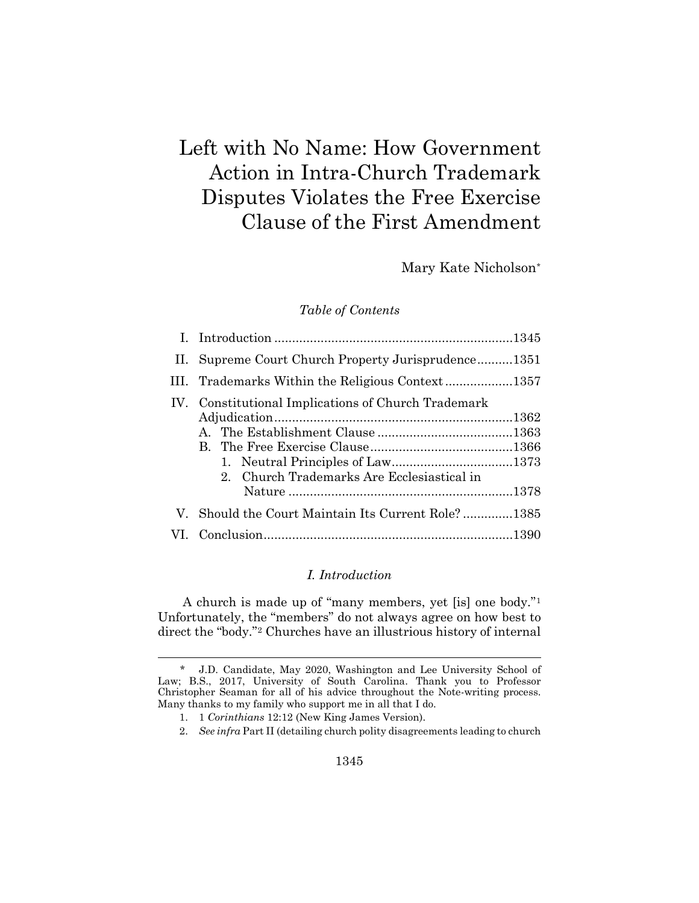# Left with No Name: How Government Action in Intra-Church Trademark Disputes Violates the Free Exercise Clause of the First Amendment

Mary Kate Nicholson[\\*](#page-1-1)

## *Table of Contents*

| II. Supreme Court Church Property Jurisprudence1351                                               |  |
|---------------------------------------------------------------------------------------------------|--|
|                                                                                                   |  |
| IV. Constitutional Implications of Church Trademark<br>2. Church Trademarks Are Ecclesiastical in |  |
| V. Should the Court Maintain Its Current Role?1385                                                |  |
|                                                                                                   |  |

# <span id="page-1-0"></span>*I. Introduction*

A church is made up of "many members, yet [is] one body."[1](#page-1-2) Unfortunately, the "members" do not always agree on how best to direct the "body."[2](#page-1-3) Churches have an illustrious history of internal

<span id="page-1-3"></span><span id="page-1-2"></span><span id="page-1-1"></span> <sup>\*</sup> J.D. Candidate, May 2020, Washington and Lee University School of Law; B.S., 2017, University of South Carolina. Thank you to Professor Christopher Seaman for all of his advice throughout the Note-writing process. Many thanks to my family who support me in all that I do.

<sup>1.</sup> 1 *Corinthians* 12:12 (New King James Version).

<sup>2.</sup> *See infra* Part II (detailing church polity disagreements leading to church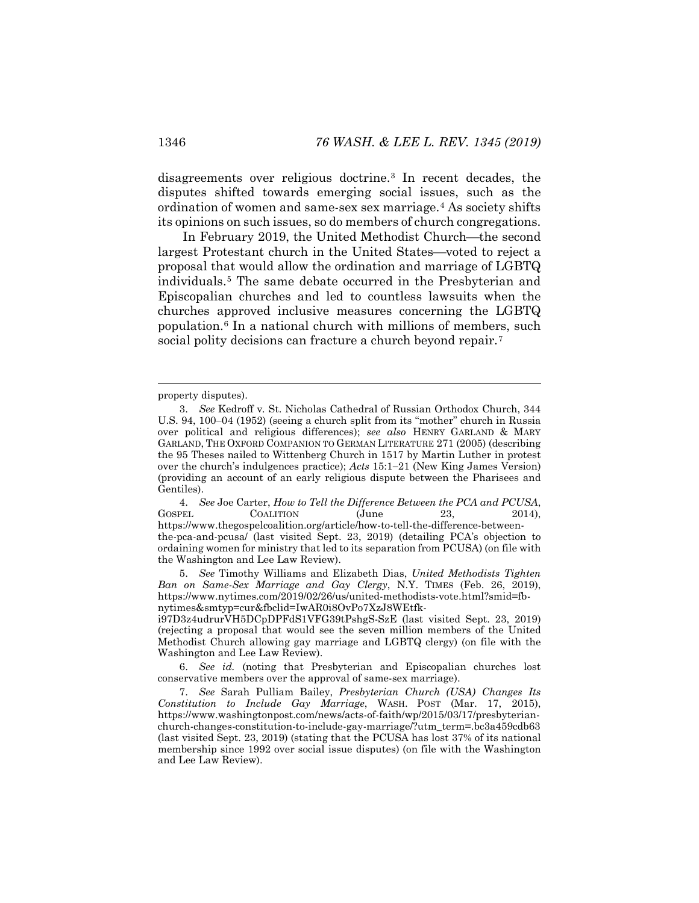disagreements over religious doctrine.[3](#page-2-0) In recent decades, the disputes shifted towards emerging social issues, such as the ordination of women and same-sex sex marriage.[4](#page-2-1) As society shifts its opinions on such issues, so do members of church congregations.

In February 2019, the United Methodist Church—the second largest Protestant church in the United States—voted to reject a proposal that would allow the ordination and marriage of LGBTQ individuals.[5](#page-2-2) The same debate occurred in the Presbyterian and Episcopalian churches and led to countless lawsuits when the churches approved inclusive measures concerning the LGBTQ population.[6](#page-2-3) In a national church with millions of members, such social polity decisions can fracture a church beyond repair.<sup>[7](#page-2-4)</sup>

<span id="page-2-1"></span>4. *See* Joe Carter, *How to Tell the Difference Between the PCA and PCUSA*, GOSPEL COALITION (June 23, 2014), https://www.thegospelcoalition.org/article/how-to-tell-the-difference-betweenthe-pca-and-pcusa/ (last visited Sept. 23, 2019) (detailing PCA's objection to ordaining women for ministry that led to its separation from PCUSA) (on file with the Washington and Lee Law Review).

<span id="page-2-2"></span>5. *See* Timothy Williams and Elizabeth Dias, *United Methodists Tighten Ban on Same-Sex Marriage and Gay Clergy*, N.Y. TIMES (Feb. 26, 2019), https://www.nytimes.com/2019/02/26/us/united-methodists-vote.html?smid=fbnytimes&smtyp=cur&fbclid=IwAR0i8OvPo7XzJ8WEtfk-

i97D3z4udrurVH5DCpDPFdS1VFG39tPshgS-SzE (last visited Sept. 23, 2019) (rejecting a proposal that would see the seven million members of the United Methodist Church allowing gay marriage and LGBTQ clergy) (on file with the Washington and Lee Law Review).

<span id="page-2-3"></span>6. *See id.* (noting that Presbyterian and Episcopalian churches lost conservative members over the approval of same-sex marriage).

<span id="page-2-4"></span>7. *See* Sarah Pulliam Bailey, *Presbyterian Church (USA) Changes Its Constitution to Include Gay Marriage*, WASH. POST (Mar. 17, 2015), https://www.washingtonpost.com/news/acts-of-faith/wp/2015/03/17/presbyterianchurch-changes-constitution-to-include-gay-marriage/?utm\_term=.bc3a459cdb63 (last visited Sept. 23, 2019) (stating that the PCUSA has lost 37% of its national membership since 1992 over social issue disputes) (on file with the Washington and Lee Law Review).

<span id="page-2-5"></span><span id="page-2-0"></span>property disputes).

<sup>3.</sup> *See* Kedroff v*.* St. Nicholas Cathedral of Russian Orthodox Church, 344 U.S. 94, 100−04 (1952) (seeing a church split from its "mother" church in Russia over political and religious differences); *see also* HENRY GARLAND & MARY GARLAND, THE OXFORD COMPANION TO GERMAN LITERATURE 271 (2005) (describing the 95 Theses nailed to Wittenberg Church in 1517 by Martin Luther in protest over the church's indulgences practice); *Acts* 15:1−21 (New King James Version) (providing an account of an early religious dispute between the Pharisees and Gentiles).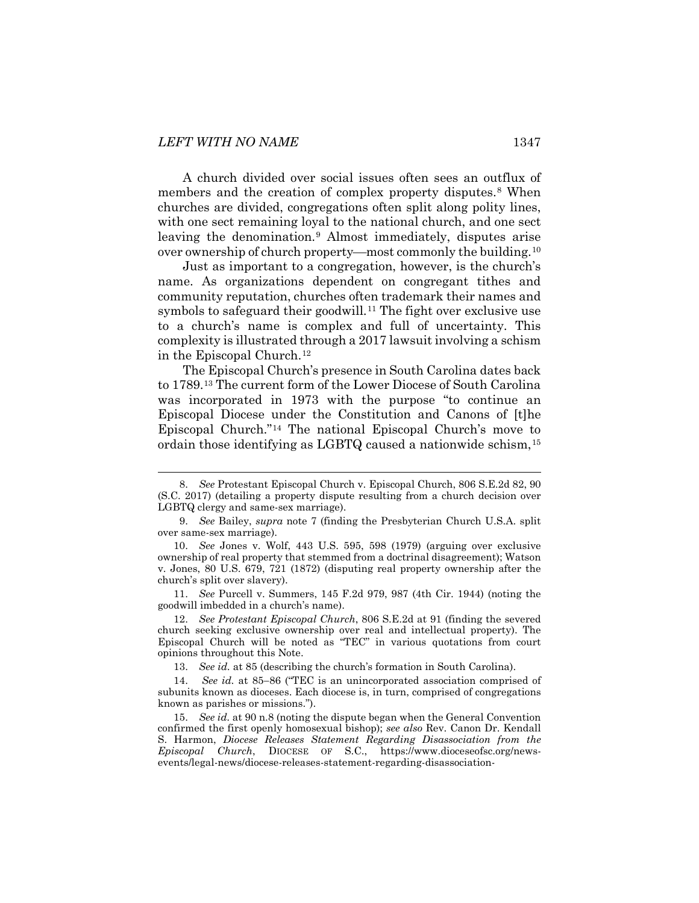A church divided over social issues often sees an outflux of members and the creation of complex property disputes.<sup>8</sup> When churches are divided, congregations often split along polity lines, with one sect remaining loyal to the national church, and one sect leaving the denomination.[9](#page-3-1) Almost immediately, disputes arise over ownership of church property—most commonly the building.<sup>[10](#page-3-2)</sup>

Just as important to a congregation, however, is the church's name. As organizations dependent on congregant tithes and community reputation, churches often trademark their names and symbols to safeguard their goodwill.<sup>[11](#page-3-3)</sup> The fight over exclusive use to a church's name is complex and full of uncertainty. This complexity is illustrated through a 2017 lawsuit involving a schism in the Episcopal Church.[12](#page-3-4)

The Episcopal Church's presence in South Carolina dates back to 1789.[13](#page-3-5) The current form of the Lower Diocese of South Carolina was incorporated in 1973 with the purpose "to continue an Episcopal Diocese under the Constitution and Canons of [t]he Episcopal Church."[14](#page-3-6) The national Episcopal Church's move to ordain those identifying as LGBTQ caused a nationwide schism,[15](#page-3-7)

<span id="page-3-3"></span>11. *See* Purcell v. Summers, 145 F.2d 979, 987 (4th Cir. 1944) (noting the goodwill imbedded in a church's name).

13. *See id.* at 85 (describing the church's formation in South Carolina).

<span id="page-3-0"></span> <sup>8.</sup> *See* Protestant Episcopal Church v. Episcopal Church, 806 S.E.2d 82, 90 (S.C. 2017) (detailing a property dispute resulting from a church decision over LGBTQ clergy and same-sex marriage).

<span id="page-3-1"></span><sup>9.</sup> *See* Bailey, *supra* note [7](#page-2-5) (finding the Presbyterian Church U.S.A. split over same-sex marriage).

<span id="page-3-2"></span><sup>10.</sup> *See* Jones v. Wolf, 443 U.S. 595, 598 (1979) (arguing over exclusive ownership of real property that stemmed from a doctrinal disagreement); Watson v. Jones, 80 U.S. 679, 721 (1872) (disputing real property ownership after the church's split over slavery).

<span id="page-3-4"></span><sup>12.</sup> *See Protestant Episcopal Church*, 806 S.E.2d at 91 (finding the severed church seeking exclusive ownership over real and intellectual property). The Episcopal Church will be noted as "TEC" in various quotations from court opinions throughout this Note.

<span id="page-3-6"></span><span id="page-3-5"></span><sup>14.</sup> *See id.* at 85−86 ("TEC is an unincorporated association comprised of subunits known as dioceses. Each diocese is, in turn, comprised of congregations known as parishes or missions.").

<span id="page-3-7"></span><sup>15.</sup> *See id.* at 90 n.8 (noting the dispute began when the General Convention confirmed the first openly homosexual bishop); *see also* Rev. Canon Dr. Kendall S. Harmon, *Diocese Releases Statement Regarding Disassociation from the Episcopal Church*, DIOCESE OF S.C., https://www.dioceseofsc.org/newsevents/legal-news/diocese-releases-statement-regarding-disassociation-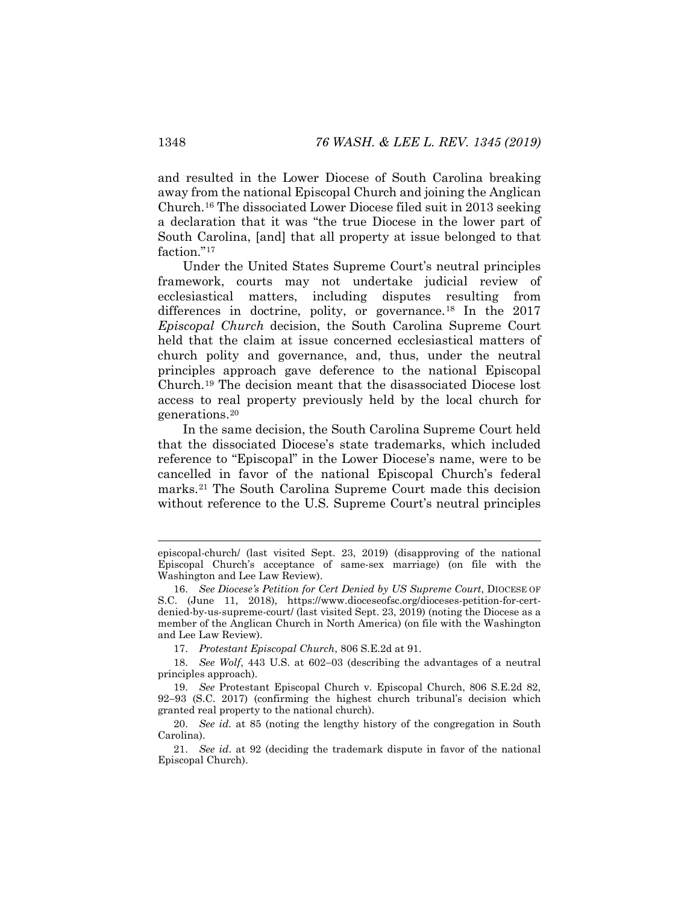and resulted in the Lower Diocese of South Carolina breaking away from the national Episcopal Church and joining the Anglican Church.[16](#page-4-0) The dissociated Lower Diocese filed suit in 2013 seeking a declaration that it was "the true Diocese in the lower part of South Carolina, [and] that all property at issue belonged to that faction."<sup>[17](#page-4-1)</sup>

Under the United States Supreme Court's neutral principles framework, courts may not undertake judicial review of ecclesiastical matters, including disputes resulting from differences in doctrine, polity, or governance.<sup>[18](#page-4-2)</sup> In the 2017 *Episcopal Church* decision, the South Carolina Supreme Court held that the claim at issue concerned ecclesiastical matters of church polity and governance, and, thus, under the neutral principles approach gave deference to the national Episcopal Church.[19](#page-4-3) The decision meant that the disassociated Diocese lost access to real property previously held by the local church for generations[.20](#page-4-4)

In the same decision, the South Carolina Supreme Court held that the dissociated Diocese's state trademarks, which included reference to "Episcopal" in the Lower Diocese's name, were to be cancelled in favor of the national Episcopal Church's federal marks.[21](#page-4-5) The South Carolina Supreme Court made this decision without reference to the U.S. Supreme Court's neutral principles

episcopal-church/ (last visited Sept. 23, 2019) (disapproving of the national Episcopal Church's acceptance of same-sex marriage) (on file with the Washington and Lee Law Review).

<span id="page-4-0"></span><sup>16.</sup> *See Diocese's Petition for Cert Denied by US Supreme Court*, DIOCESE OF S.C. (June 11, 2018), https://www.dioceseofsc.org/dioceses-petition-for-certdenied-by-us-supreme-court/ (last visited Sept. 23, 2019) (noting the Diocese as a member of the Anglican Church in North America) (on file with the Washington and Lee Law Review).

<sup>17.</sup> *Protestant Episcopal Church*, 806 S.E.2d at 91.

<span id="page-4-2"></span><span id="page-4-1"></span><sup>18.</sup> *See Wolf*, 443 U.S. at 602−03 (describing the advantages of a neutral principles approach).

<span id="page-4-3"></span><sup>19.</sup> *See* Protestant Episcopal Church v. Episcopal Church, 806 S.E.2d 82, 92−93 (S.C. 2017) (confirming the highest church tribunal's decision which granted real property to the national church).

<span id="page-4-4"></span><sup>20.</sup> *See id.* at 85 (noting the lengthy history of the congregation in South Carolina).

<span id="page-4-5"></span><sup>21.</sup> *See id*. at 92 (deciding the trademark dispute in favor of the national Episcopal Church).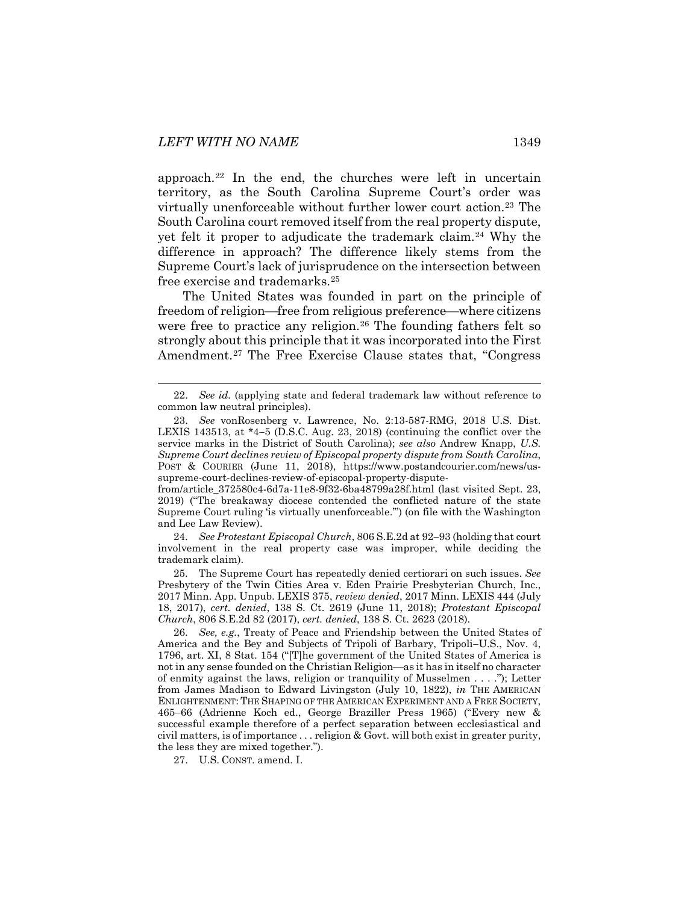<span id="page-5-6"></span>approach.[22](#page-5-0) In the end, the churches were left in uncertain territory, as the South Carolina Supreme Court's order was virtually unenforceable without further lower court action.[23](#page-5-1) The South Carolina court removed itself from the real property dispute, yet felt it proper to adjudicate the trademark claim.[24](#page-5-2) Why the difference in approach? The difference likely stems from the Supreme Court's lack of jurisprudence on the intersection between free exercise and trademarks.[25](#page-5-3)

The United States was founded in part on the principle of freedom of religion—free from religious preference—where citizens were free to practice any religion.<sup>[26](#page-5-4)</sup> The founding fathers felt so strongly about this principle that it was incorporated into the First Amendment.<sup>[27](#page-5-5)</sup> The Free Exercise Clause states that, "Congress"

<span id="page-5-2"></span>24. *See Protestant Episcopal Church*, 806 S.E.2d at 92−93 (holding that court involvement in the real property case was improper, while deciding the trademark claim).

<span id="page-5-3"></span>25. The Supreme Court has repeatedly denied certiorari on such issues. *See*  Presbytery of the Twin Cities Area v. Eden Prairie Presbyterian Church, Inc., 2017 Minn. App. Unpub. LEXIS 375, *review denied*, 2017 Minn. LEXIS 444 (July 18, 2017), *cert. denied*, 138 S. Ct. 2619 (June 11, 2018); *Protestant Episcopal Church*, 806 S.E.2d 82 (2017), *cert. denied*, 138 S. Ct. 2623 (2018).

<span id="page-5-4"></span>26. *See, e.g.*, Treaty of Peace and Friendship between the United States of America and the Bey and Subjects of Tripoli of Barbary, Tripoli−U.S., Nov. 4, 1796, art. XI, 8 Stat. 154 ("[T]he government of the United States of America is not in any sense founded on the Christian Religion—as it has in itself no character of enmity against the laws, religion or tranquility of Musselmen . . . ."); Letter from James Madison to Edward Livingston (July 10, 1822), *in* THE AMERICAN ENLIGHTENMENT: THE SHAPING OF THE AMERICAN EXPERIMENT AND A FREE SOCIETY, 465−66 (Adrienne Koch ed., George Braziller Press 1965) ("Every new & successful example therefore of a perfect separation between ecclesiastical and civil matters, is of importance . . . religion & Govt. will both exist in greater purity, the less they are mixed together.").

<span id="page-5-5"></span>27. U.S. CONST. amend. I.

<span id="page-5-0"></span> <sup>22.</sup> *See id.* (applying state and federal trademark law without reference to common law neutral principles).

<span id="page-5-1"></span><sup>23.</sup> *See* vonRosenberg v. Lawrence, No. 2:13-587-RMG, 2018 U.S. Dist. LEXIS 143513, at \*4−5 (D.S.C. Aug. 23, 2018) (continuing the conflict over the service marks in the District of South Carolina); *see also* Andrew Knapp, *U.S. Supreme Court declines review of Episcopal property dispute from South Carolina*, POST & COURIER (June 11, 2018), https://www.postandcourier.com/news/ussupreme-court-declines-review-of-episcopal-property-dispute-

from/article\_372580c4-6d7a-11e8-9f32-6ba48799a28f.html (last visited Sept. 23, 2019) ("The breakaway diocese contended the conflicted nature of the state Supreme Court ruling 'is virtually unenforceable.'") (on file with the Washington and Lee Law Review).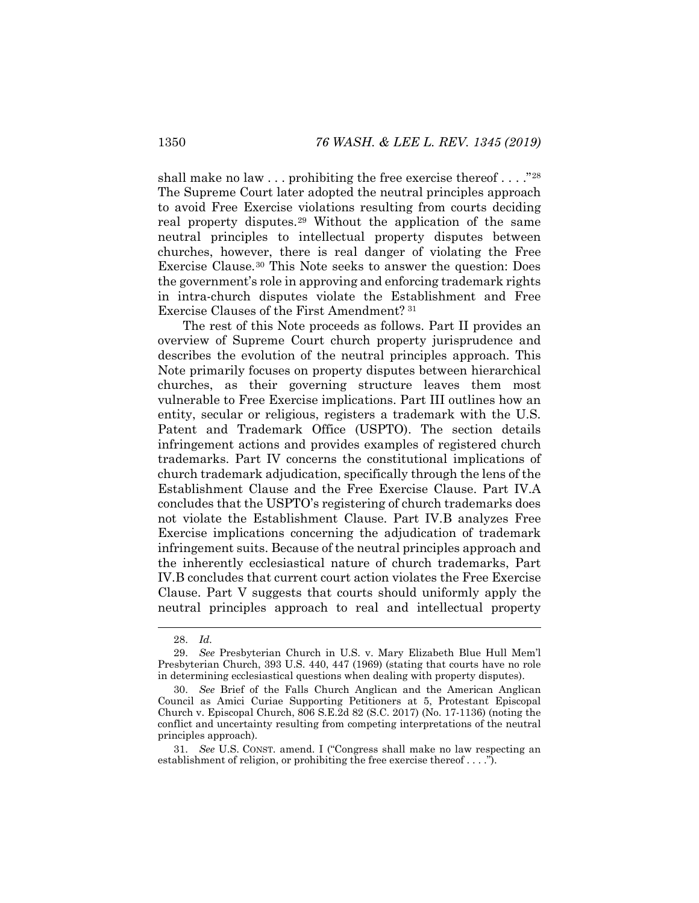shall make no law  $\dots$  prohibiting the free exercise thereof  $\dots$  ."[28](#page-6-0) The Supreme Court later adopted the neutral principles approach to avoid Free Exercise violations resulting from courts deciding real property disputes.[29](#page-6-1) Without the application of the same neutral principles to intellectual property disputes between churches, however, there is real danger of violating the Free Exercise Clause.[30](#page-6-2) This Note seeks to answer the question: Does the government's role in approving and enforcing trademark rights in intra-church disputes violate the Establishment and Free Exercise Clauses of the First Amendment? [31](#page-6-3)

The rest of this Note proceeds as follows. Part II provides an overview of Supreme Court church property jurisprudence and describes the evolution of the neutral principles approach. This Note primarily focuses on property disputes between hierarchical churches, as their governing structure leaves them most vulnerable to Free Exercise implications. Part III outlines how an entity, secular or religious, registers a trademark with the U.S. Patent and Trademark Office (USPTO). The section details infringement actions and provides examples of registered church trademarks. Part IV concerns the constitutional implications of church trademark adjudication, specifically through the lens of the Establishment Clause and the Free Exercise Clause. Part IV.A concludes that the USPTO's registering of church trademarks does not violate the Establishment Clause. Part IV.B analyzes Free Exercise implications concerning the adjudication of trademark infringement suits. Because of the neutral principles approach and the inherently ecclesiastical nature of church trademarks, Part IV.B concludes that current court action violates the Free Exercise Clause. Part V suggests that courts should uniformly apply the neutral principles approach to real and intellectual property

 <sup>28.</sup> *Id.*

<span id="page-6-1"></span><span id="page-6-0"></span><sup>29.</sup> *See* Presbyterian Church in U.S. v. Mary Elizabeth Blue Hull Mem'l Presbyterian Church, 393 U.S. 440, 447 (1969) (stating that courts have no role in determining ecclesiastical questions when dealing with property disputes).

<span id="page-6-2"></span><sup>30.</sup> *See* Brief of the Falls Church Anglican and the American Anglican Council as Amici Curiae Supporting Petitioners at 5, Protestant Episcopal Church v. Episcopal Church, 806 S.E.2d 82 (S.C. 2017) (No. 17-1136) (noting the conflict and uncertainty resulting from competing interpretations of the neutral principles approach).

<span id="page-6-3"></span><sup>31.</sup> *See* U.S. CONST. amend. I ("Congress shall make no law respecting an establishment of religion, or prohibiting the free exercise thereof . . . .").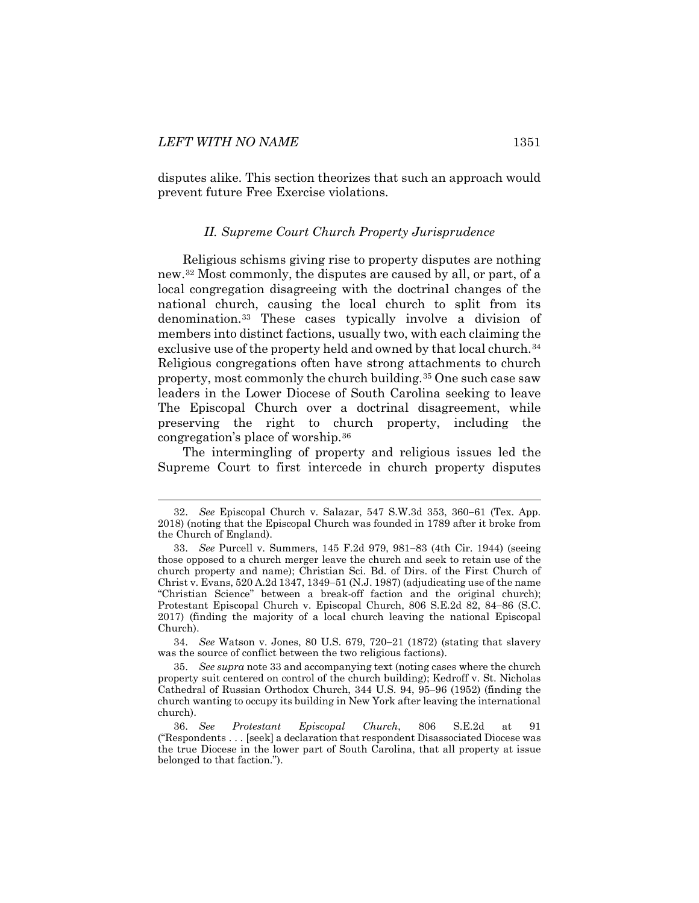<span id="page-7-0"></span>disputes alike. This section theorizes that such an approach would prevent future Free Exercise violations.

#### <span id="page-7-1"></span>*II. Supreme Court Church Property Jurisprudence*

Religious schisms giving rise to property disputes are nothing new.[32](#page-7-2) Most commonly, the disputes are caused by all, or part, of a local congregation disagreeing with the doctrinal changes of the national church, causing the local church to split from its denomination.[33](#page-7-3) These cases typically involve a division of members into distinct factions, usually two, with each claiming the exclusive use of the property held and owned by that local church.<sup>[34](#page-7-4)</sup> Religious congregations often have strong attachments to church property, most commonly the church building.[35](#page-7-5) One such case saw leaders in the Lower Diocese of South Carolina seeking to leave The Episcopal Church over a doctrinal disagreement, while preserving the right to church property, including the congregation's place of worship.[36](#page-7-6)

The intermingling of property and religious issues led the Supreme Court to first intercede in church property disputes

<span id="page-7-4"></span>34. *See* Watson v. Jones, 80 U.S. 679, 720−21 (1872) (stating that slavery was the source of conflict between the two religious factions).

<span id="page-7-2"></span> <sup>32.</sup> *See* Episcopal Church v. Salazar, 547 S.W.3d 353, 360−61 (Tex. App. 2018) (noting that the Episcopal Church was founded in 1789 after it broke from the Church of England).

<span id="page-7-3"></span><sup>33.</sup> *See* Purcell v. Summers, 145 F.2d 979, 981−83 (4th Cir. 1944) (seeing those opposed to a church merger leave the church and seek to retain use of the church property and name); Christian Sci. Bd. of Dirs. of the First Church of Christ v. Evans, 520 A.2d 1347, 1349−51 (N.J. 1987) (adjudicating use of the name "Christian Science" between a break-off faction and the original church); Protestant Episcopal Church v. Episcopal Church, 806 S.E.2d 82, 84−86 (S.C. 2017) (finding the majority of a local church leaving the national Episcopal Church).

<span id="page-7-5"></span><sup>35.</sup> *See supra* not[e 33](#page-7-1) and accompanying text (noting cases where the church property suit centered on control of the church building); Kedroff v. St. Nicholas Cathedral of Russian Orthodox Church, 344 U.S. 94, 95−96 (1952) (finding the church wanting to occupy its building in New York after leaving the international church).

<span id="page-7-6"></span><sup>36.</sup> *See Protestant Episcopal Church*, 806 S.E.2d at 91 ("Respondents . . . [seek] a declaration that respondent Disassociated Diocese was the true Diocese in the lower part of South Carolina, that all property at issue belonged to that faction.").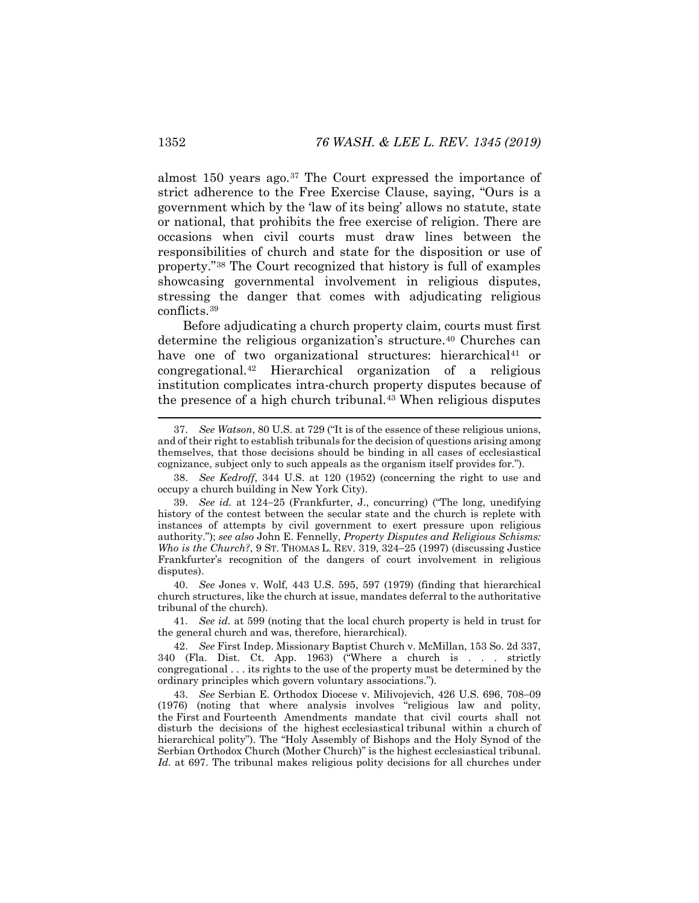almost 150 years ago.[37](#page-8-0) The Court expressed the importance of strict adherence to the Free Exercise Clause, saying, "Ours is a government which by the 'law of its being' allows no statute, state or national, that prohibits the free exercise of religion. There are occasions when civil courts must draw lines between the responsibilities of church and state for the disposition or use of property."[38](#page-8-1) The Court recognized that history is full of examples showcasing governmental involvement in religious disputes, stressing the danger that comes with adjudicating religious conflicts.[39](#page-8-2)

<span id="page-8-7"></span>Before adjudicating a church property claim, courts must first determine the religious organization's structure.<sup>[40](#page-8-3)</sup> Churches can have one of two organizational structures: hierarchical<sup>41</sup> or congregational.[42](#page-8-5) Hierarchical organization of a religious institution complicates intra-church property disputes because of the presence of a high church tribunal.[43](#page-8-6) When religious disputes

<span id="page-8-3"></span>40. *See* Jones v. Wolf, 443 U.S. 595, 597 (1979) (finding that hierarchical church structures, like the church at issue, mandates deferral to the authoritative tribunal of the church).

<span id="page-8-4"></span>41. *See id.* at 599 (noting that the local church property is held in trust for the general church and was, therefore, hierarchical).

<span id="page-8-5"></span>42. *See* First Indep. Missionary Baptist Church v. McMillan, 153 So. 2d 337, 340 (Fla. Dist. Ct. App. 1963) ("Where a church is . . . strictly congregational . . . its rights to the use of the property must be determined by the ordinary principles which govern voluntary associations.").

<span id="page-8-6"></span>43. *See* Serbian E. Orthodox Diocese v. Milivojevich, 426 U.S. 696, 708−09 (1976) (noting that where analysis involves "religious law and polity, the [First](https://advance.lexis.com/document/?pdmfid=1000516&crid=98589846-aa29-481c-b27b-8385ad9c116d&pddocfullpath=%2Fshared%2Fdocument%2Fcases%2Furn%3AcontentItem%3A3S4X-9V90-003B-S20N-00000-00&pddocid=urn%3AcontentItem%3A3S4X-9V90-003B-S20N-00000-00&pdcontentcomponentid=6443&pdshepid=urn%3AcontentItem%3A7XW4-F5D1-2NSF-C15H-00000-00&pdteaserkey=sr0&pditab=allpods&ecomp=byvLk&earg=sr0&prid=8e76f519-20e5-41e8-9530-2d7503ad8364) and [Fourteenth Amendments](https://advance.lexis.com/document/?pdmfid=1000516&crid=98589846-aa29-481c-b27b-8385ad9c116d&pddocfullpath=%2Fshared%2Fdocument%2Fcases%2Furn%3AcontentItem%3A3S4X-9V90-003B-S20N-00000-00&pddocid=urn%3AcontentItem%3A3S4X-9V90-003B-S20N-00000-00&pdcontentcomponentid=6443&pdshepid=urn%3AcontentItem%3A7XW4-F5D1-2NSF-C15H-00000-00&pdteaserkey=sr0&pditab=allpods&ecomp=byvLk&earg=sr0&prid=8e76f519-20e5-41e8-9530-2d7503ad8364) mandate that civil courts shall not disturb the decisions of the highest ecclesiastical tribunal within a church of hierarchical polity"). The "Holy Assembly of Bishops and the Holy Synod of the Serbian Orthodox Church (Mother Church)" is the highest ecclesiastical tribunal. *Id.* at 697. The tribunal makes religious polity decisions for all churches under

<span id="page-8-0"></span> <sup>37.</sup> *See Watson*, 80 U.S. at 729 ("It is of the essence of these religious unions, and of their right to establish tribunals for the decision of questions arising among themselves, that those decisions should be binding in all cases of ecclesiastical cognizance, subject only to such appeals as the organism itself provides for.").

<span id="page-8-1"></span><sup>38.</sup> *See Kedroff*, 344 U.S. at 120 (1952) (concerning the right to use and occupy a church building in New York City).

<span id="page-8-2"></span><sup>39.</sup> *See id.* at 124−25 (Frankfurter, J., concurring) ("The long, unedifying history of the contest between the secular state and the church is replete with instances of attempts by civil government to exert pressure upon religious authority."); *see also* John E. Fennelly, *Property Disputes and Religious Schisms: Who is the Church?*, 9 ST. THOMAS L. REV. 319, 324−25 (1997) (discussing Justice Frankfurter's recognition of the dangers of court involvement in religious disputes).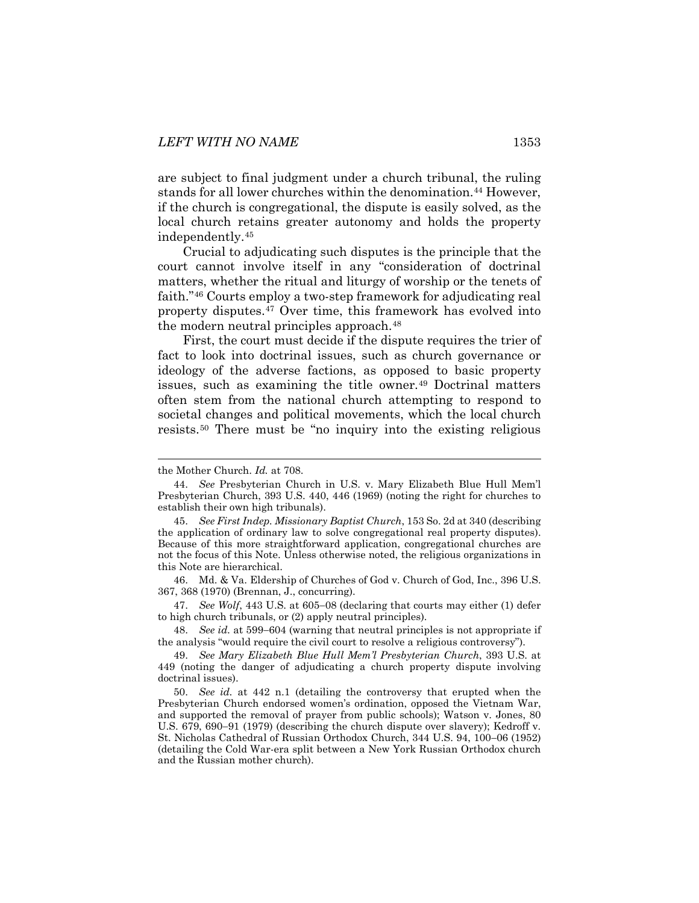are subject to final judgment under a church tribunal, the ruling stands for all lower churches within the denomination.[44](#page-9-0) However, if the church is congregational, the dispute is easily solved, as the local church retains greater autonomy and holds the property independently.[45](#page-9-1)

Crucial to adjudicating such disputes is the principle that the court cannot involve itself in any "consideration of doctrinal matters, whether the ritual and liturgy of worship or the tenets of faith."[46](#page-9-2) Courts employ a two-step framework for adjudicating real property disputes.[47](#page-9-3) Over time, this framework has evolved into the modern neutral principles approach.<sup>[48](#page-9-4)</sup>

<span id="page-9-7"></span>First, the court must decide if the dispute requires the trier of fact to look into doctrinal issues, such as church governance or ideology of the adverse factions, as opposed to basic property issues, such as examining the title owner.[49](#page-9-5) Doctrinal matters often stem from the national church attempting to respond to societal changes and political movements, which the local church resists.[50](#page-9-6) There must be "no inquiry into the existing religious

<span id="page-9-2"></span>46. Md. & Va. Eldership of Churches of God v. Church of God, Inc., 396 U.S. 367, 368 (1970) [\(Brennan,](https://advance.lexis.com/document/?pdmfid=1000516&crid=97ec35e1-4144-45cd-ab16-25095c8d6b99&pdworkfolderid=9e096efe-3b08-4db7-a239-a2bf0f50aba0&ecomp=cxJdk&earg=9e096efe-3b08-4db7-a239-a2bf0f50aba0&prid=8b3de068-790e-4b46-aea5-078c9a4bcc55) J., concurring).

<span id="page-9-3"></span>47. *See Wolf*, 443 U.S. at 605−08 (declaring that courts may either (1) defer to high church tribunals, or (2) apply neutral principles).

<span id="page-9-4"></span>48. *See id.* at 599−604 (warning that neutral principles is not appropriate if the analysis "would require the civil court to resolve a religious controversy").

the Mother Church. *Id.* at 708.

<span id="page-9-0"></span><sup>44.</sup> *See* Presbyterian Church in U.S. v. Mary Elizabeth Blue Hull Mem'l Presbyterian Church, 393 U.S. 440, 446 (1969) (noting the right for churches to establish their own high tribunals).

<span id="page-9-1"></span><sup>45.</sup> *See First Indep. Missionary Baptist Church*, 153 So. 2d at 340 (describing the application of ordinary law to solve congregational real property disputes). Because of this more straightforward application, congregational churches are not the focus of this Note. Unless otherwise noted, the religious organizations in this Note are hierarchical.

<span id="page-9-5"></span><sup>49.</sup> *See Mary Elizabeth Blue Hull Mem'l Presbyterian Church*, 393 U.S. at 449 (noting the danger of adjudicating a church property dispute involving doctrinal issues).

<span id="page-9-6"></span><sup>50.</sup> *See id.* at 442 n.1 (detailing the controversy that erupted when the Presbyterian Church endorsed women's ordination, opposed the Vietnam War, and supported the removal of prayer from public schools); Watson v. Jones, 80 U.S. 679, 690−91 (1979) (describing the church dispute over slavery); Kedroff v. St. Nicholas Cathedral of Russian Orthodox Church, 344 U.S. 94, 100−06 (1952) (detailing the Cold War-era split between a New York Russian Orthodox church and the Russian mother church).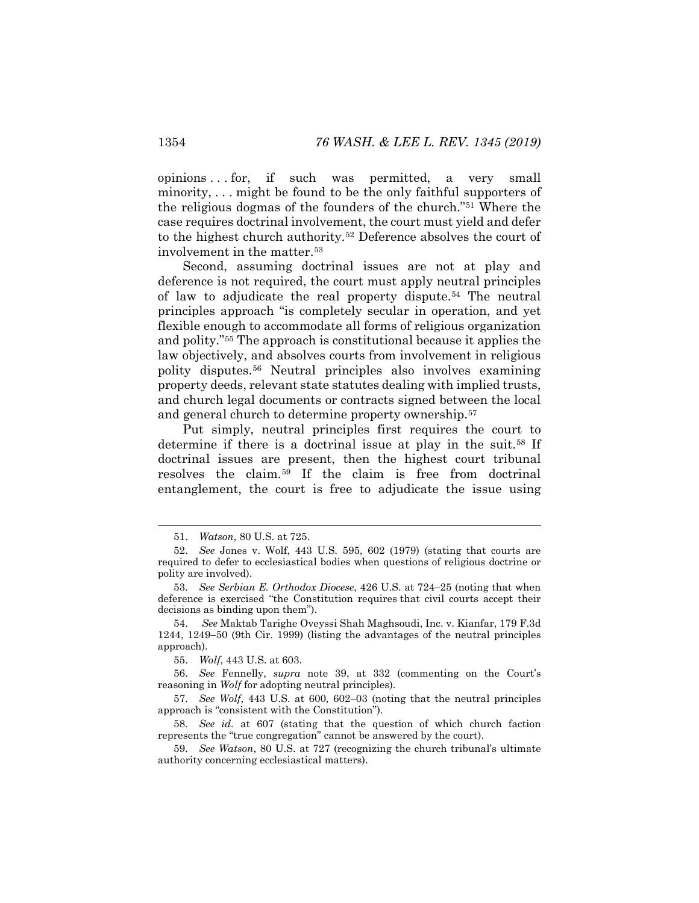opinions . . . for, if such was permitted, a very small minority, . . . might be found to be the only faithful supporters of the religious dogmas of the founders of the church."[51](#page-10-0) Where the case requires doctrinal involvement, the court must yield and defer to the highest church authority.[52](#page-10-1) Deference absolves the court of involvement in the matter.[53](#page-10-2)

Second, assuming doctrinal issues are not at play and deference is not required, the court must apply neutral principles of law to adjudicate the real property dispute.[54](#page-10-3) The neutral principles approach "is completely secular in operation, and yet flexible enough to accommodate all forms of religious organization and polity."[55](#page-10-4) The approach is constitutional because it applies the law objectively, and absolves courts from involvement in religious polity disputes.[56](#page-10-5) Neutral principles also involves examining property deeds, relevant state statutes dealing with implied trusts, and church legal documents or contracts signed between the local and general church to determine property ownership.[57](#page-10-6)

Put simply, neutral principles first requires the court to determine if there is a doctrinal issue at play in the suit.[58](#page-10-7) If doctrinal issues are present, then the highest court tribunal resolves the claim.[59](#page-10-8) If the claim is free from doctrinal entanglement, the court is free to adjudicate the issue using

55. *Wolf*, 443 U.S. at 603.

<span id="page-10-5"></span><span id="page-10-4"></span>56. *See* Fennelly, *supra* note [39,](#page-8-7) at 332 (commenting on the Court's reasoning in *Wolf* for adopting neutral principles).

<span id="page-10-6"></span>57. *See Wolf*, 443 U.S. at 600, 602−03 (noting that the neutral principles approach is "consistent with the Constitution").

<span id="page-10-7"></span>58. *See id.* at 607 (stating that the question of which church faction represents the "true congregation" cannot be answered by the court).

<span id="page-10-8"></span>59. *See Watson*, 80 U.S. at 727 (recognizing the church tribunal's ultimate authority concerning ecclesiastical matters).

 <sup>51.</sup> *Watson*, 80 U.S. at 725.

<span id="page-10-1"></span><span id="page-10-0"></span><sup>52.</sup> *See* Jones v. Wolf, 443 U.S. 595, 602 (1979) (stating that courts are required to defer to ecclesiastical bodies when questions of religious doctrine or polity are involved).

<span id="page-10-2"></span><sup>53.</sup> *See Serbian E. Orthodox Diocese*, 426 U.S. at 724−25 (noting that when deference is exercised "the Constitution requires that civil courts accept their decisions as binding upon them").

<span id="page-10-3"></span><sup>54.</sup> *See* Maktab Tarighe Oveyssi Shah Maghsoudi, Inc. v. Kianfar, 179 F.3d 1244, 1249−50 (9th Cir. 1999) (listing the advantages of the neutral principles approach).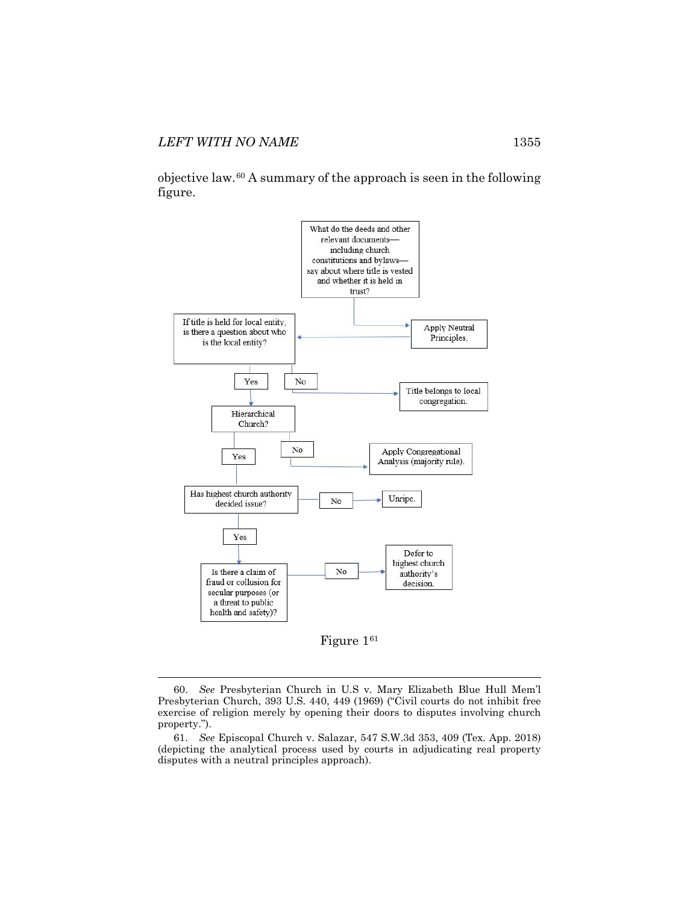objective law.[60](#page-11-0) A summary of the approach is seen in the following figure.



<span id="page-11-2"></span>Figure 1[61](#page-11-1)

<span id="page-11-0"></span> <sup>60.</sup> *See* Presbyterian Church in U.S v. Mary Elizabeth Blue Hull Mem'l Presbyterian Church, 393 U.S. 440, 449 (1969) ("Civil courts do not inhibit free exercise of religion merely by opening their doors to disputes involving church property.").

<span id="page-11-1"></span><sup>61.</sup> *See* Episcopal Church v. Salazar, 547 S.W.3d 353, 409 (Tex. App. 2018) (depicting the analytical process used by courts in adjudicating real property disputes with a neutral principles approach).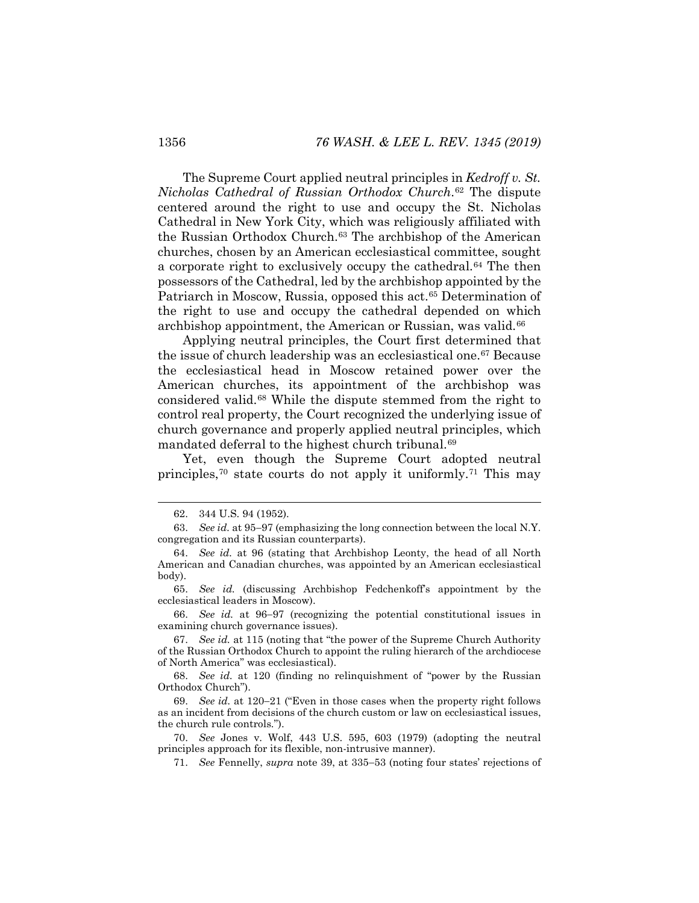The Supreme Court applied neutral principles in *Kedroff v. St. Nicholas Cathedral of Russian Orthodox Church*.[62](#page-12-0) The dispute centered around the right to use and occupy the St. Nicholas Cathedral in New York City, which was religiously affiliated with the Russian Orthodox Church.[63](#page-12-1) The archbishop of the American churches, chosen by an American ecclesiastical committee, sought a corporate right to exclusively occupy the cathedral.<sup>[64](#page-12-2)</sup> The then possessors of the Cathedral, led by the archbishop appointed by the Patriarch in Moscow, Russia, opposed this act.<sup>[65](#page-12-3)</sup> Determination of the right to use and occupy the cathedral depended on which archbishop appointment, the American or Russian, was valid.<sup>[66](#page-12-4)</sup>

Applying neutral principles, the Court first determined that the issue of church leadership was an ecclesiastical one.[67](#page-12-5) Because the ecclesiastical head in Moscow retained power over the American churches, its appointment of the archbishop was considered valid.[68](#page-12-6) While the dispute stemmed from the right to control real property, the Court recognized the underlying issue of church governance and properly applied neutral principles, which mandated deferral to the highest church tribunal.<sup>[69](#page-12-7)</sup>

Yet, even though the Supreme Court adopted neutral principles,[70](#page-12-8) state courts do not apply it uniformly.[71](#page-12-9) This may

 <sup>62.</sup> 344 U.S. 94 (1952).

<span id="page-12-1"></span><span id="page-12-0"></span><sup>63.</sup> *See id.* at 95−97 (emphasizing the long connection between the local N.Y. congregation and its Russian counterparts).

<span id="page-12-2"></span><sup>64.</sup> *See id.* at 96 (stating that Archbishop Leonty, the head of all North American and Canadian churches, was appointed by an American ecclesiastical body).

<span id="page-12-3"></span><sup>65.</sup> *See id.* (discussing Archbishop Fedchenkoff's appointment by the ecclesiastical leaders in Moscow).

<span id="page-12-4"></span><sup>66.</sup> *See id.* at 96−97 (recognizing the potential constitutional issues in examining church governance issues).

<span id="page-12-5"></span><sup>67.</sup> *See id.* at 115 (noting that "the power of the Supreme Church Authority of the Russian Orthodox Church to appoint the ruling hierarch of the archdiocese of North America" was ecclesiastical).

<span id="page-12-6"></span><sup>68.</sup> *See id.* at 120 (finding no relinquishment of "power by the Russian Orthodox Church").

<span id="page-12-7"></span><sup>69.</sup> *See id.* at 120−21 ("Even in those cases when the property right follows as an incident from decisions of the church custom or law on ecclesiastical issues, the church rule controls.").

<span id="page-12-9"></span><span id="page-12-8"></span><sup>70.</sup> *See* Jones v. Wolf, 443 U.S. 595, 603 (1979) (adopting the neutral principles approach for its flexible, non-intrusive manner).

<sup>71.</sup> *See* Fennelly, *supra* note [39,](#page-8-7) at 335−53 (noting four states' rejections of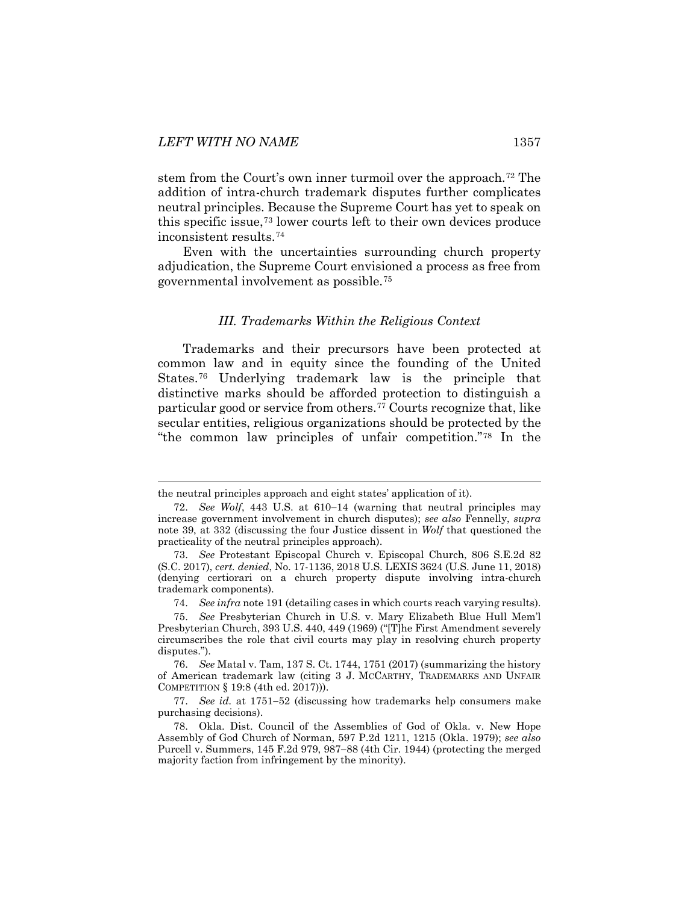stem from the Court's own inner turmoil over the approach.[72](#page-13-1) The addition of intra-church trademark disputes further complicates neutral principles. Because the Supreme Court has yet to speak on this specific issue,[73](#page-13-2) lower courts left to their own devices produce inconsistent results.[74](#page-13-3)

<span id="page-13-0"></span>Even with the uncertainties surrounding church property adjudication, the Supreme Court envisioned a process as free from governmental involvement as possible.[75](#page-13-4)

#### *III. Trademarks Within the Religious Context*

Trademarks and their precursors have been protected at common law and in equity since the founding of the United States.[76](#page-13-5) Underlying trademark law is the principle that distinctive marks should be afforded protection to distinguish a particular good or service from others.[77](#page-13-6) Courts recognize that, like secular entities, religious organizations should be protected by the "the common law principles of unfair competition."[78](#page-13-7) In the

the neutral principles approach and eight states' application of it).

<span id="page-13-1"></span><sup>72.</sup> *See Wolf*, 443 U.S. at 610−14 (warning that neutral principles may increase government involvement in church disputes); *see also* Fennelly, *supra*  note [39,](#page-8-7) at 332 (discussing the four Justice dissent in *Wolf* that questioned the practicality of the neutral principles approach).

<span id="page-13-2"></span><sup>73.</sup> *See* Protestant Episcopal Church v. Episcopal Church, 806 S.E.2d 82 (S.C. 2017), *cert. denied*, No. 17-1136, 2018 U.S. LEXIS 3624 (U.S. June 11, 2018) (denying certiorari on a church property dispute involving intra-church trademark components).

<sup>74.</sup> *See infra* note [191](#page-29-1) (detailing cases in which courts reach varying results).

<span id="page-13-4"></span><span id="page-13-3"></span><sup>75.</sup> *See* Presbyterian Church in U.S. v. Mary Elizabeth Blue Hull Mem'l Presbyterian Church, 393 U.S. 440, 449 (1969) ("[T]he First Amendment severely circumscribes the role that civil courts may play in resolving church property disputes.").

<span id="page-13-5"></span><sup>76.</sup> *See* Matal v. Tam, 137 S. Ct. 1744, 1751 (2017) (summarizing the history of American trademark law (citing 3 J. MCCARTHY, TRADEMARKS AND UNFAIR COMPETITION § 19:8 (4th ed. 2017))).

<span id="page-13-6"></span><sup>77.</sup> *See id.* at 1751−52 (discussing how trademarks help consumers make purchasing decisions).

<span id="page-13-7"></span><sup>78.</sup> Okla. Dist. Council of the Assemblies of God of Okla. v. New Hope Assembly of God Church of Norman, 597 P.2d 1211, 1215 (Okla. 1979); *see also*  Purcell v. Summers, 145 F.2d 979, 987−88 (4th Cir. 1944) (protecting the merged majority faction from infringement by the minority).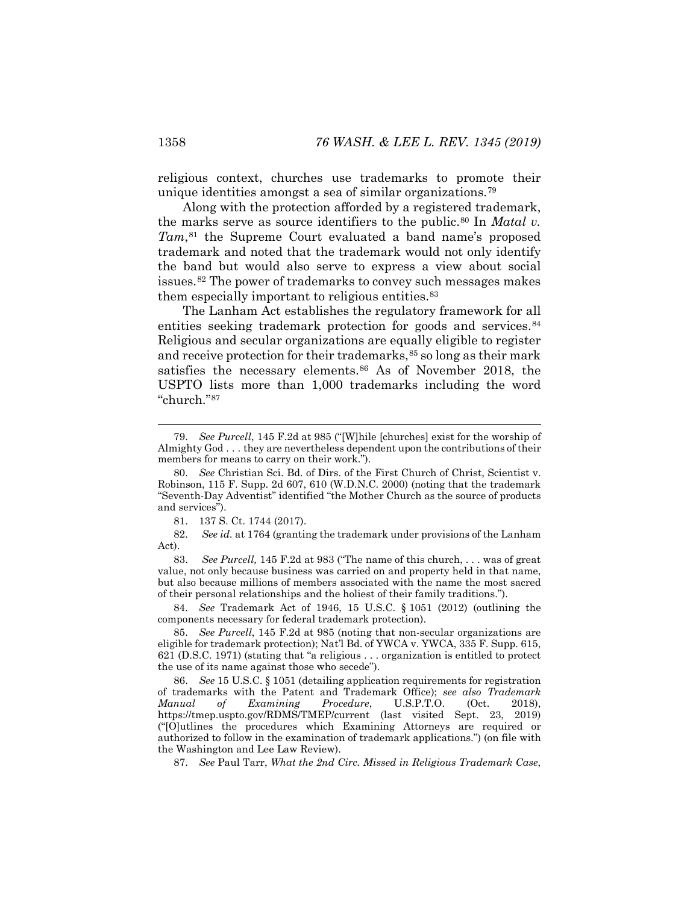religious context, churches use trademarks to promote their unique identities amongst a sea of similar organizations.[79](#page-14-0)

Along with the protection afforded by a registered trademark, the marks serve as source identifiers to the public.<sup>[80](#page-14-1)</sup> In *Matal v. Tam*,[81](#page-14-2) the Supreme Court evaluated a band name's proposed trademark and noted that the trademark would not only identify the band but would also serve to express a view about social issues.[82](#page-14-3) The power of trademarks to convey such messages makes them especially important to religious entities.<sup>83</sup>

The Lanham Act establishes the regulatory framework for all entities seeking trademark protection for goods and services.<sup>[84](#page-14-5)</sup> Religious and secular organizations are equally eligible to register and receive protection for their trademarks,<sup>[85](#page-14-6)</sup> so long as their mark satisfies the necessary elements.<sup>[86](#page-14-7)</sup> As of November 2018, the USPTO lists more than 1,000 trademarks including the word "church."[87](#page-14-8)

81. 137 S. Ct. 1744 (2017).

<span id="page-14-3"></span><span id="page-14-2"></span>82. *See id.* at 1764 (granting the trademark under provisions of the Lanham Act).

<span id="page-14-4"></span>83. *See Purcell,* 145 F.2d at 983 ("The name of this church, . . . was of great value, not only because business was carried on and property held in that name, but also because millions of members associated with the name the most sacred of their personal relationships and the holiest of their family traditions.").

<span id="page-14-5"></span>84. *See* Trademark Act of 1946, 15 U.S.C. § 1051 (2012) (outlining the components necessary for federal trademark protection).

<span id="page-14-8"></span>87. *See* Paul Tarr, *What the 2nd Circ. Missed in Religious Trademark Case*,

<span id="page-14-9"></span><span id="page-14-0"></span> <sup>79.</sup> *See Purcell*, 145 F.2d at 985 ("[W]hile [churches] exist for the worship of Almighty God . . . they are nevertheless dependent upon the contributions of their members for means to carry on their work.").

<span id="page-14-1"></span><sup>80.</sup> *See* Christian Sci. Bd. of Dirs. of the First Church of Christ, Scientist v. Robinson, 115 F. Supp. 2d 607, 610 (W.D.N.C. 2000) (noting that the trademark "Seventh-Day Adventist" identified "the Mother Church as the source of products and services").

<span id="page-14-6"></span><sup>85.</sup> *See Purcell*, 145 F.2d at 985 (noting that non-secular organizations are eligible for trademark protection); Nat'l Bd. of YWCA v. YWCA, 335 F. Supp. 615, 621 (D.S.C. 1971) (stating that "a religious . . . organization is entitled to protect the use of its name against those who secede").

<span id="page-14-7"></span><sup>86.</sup> *See* 15 U.S.C. § 1051 (detailing application requirements for registration of trademarks with the Patent and Trademark Office); *see also Trademark Manual of Examining Procedure*, U.S.P.T.O. (Oct. 2018), https://tmep.uspto.gov/RDMS/TMEP/current (last visited Sept. 23, 2019) ("[O]utlines the procedures which Examining Attorneys are required or authorized to follow in the examination of trademark applications.") (on file with the Washington and Lee Law Review).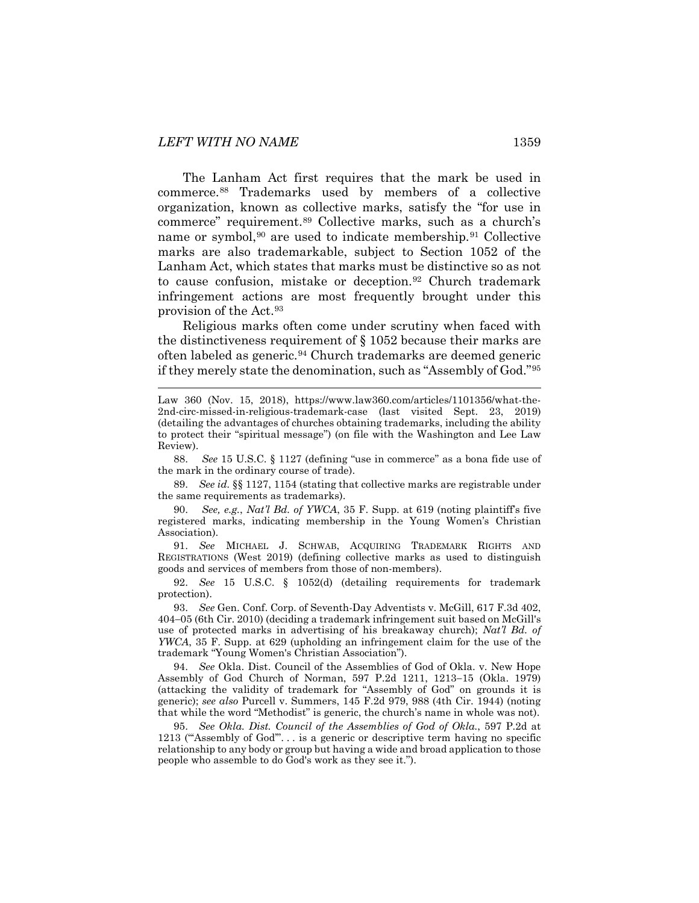The Lanham Act first requires that the mark be used in commerce[.88](#page-15-0) Trademarks used by members of a collective organization, known as collective marks, satisfy the "for use in commerce" requirement[.89](#page-15-1) Collective marks, such as a church's name or symbol,<sup>[90](#page-15-2)</sup> are used to indicate membership.<sup>[91](#page-15-3)</sup> Collective marks are also trademarkable, subject to Section 1052 of the Lanham Act, which states that marks must be distinctive so as not to cause confusion, mistake or deception.[92](#page-15-4) Church trademark infringement actions are most frequently brought under this provision of the Act.[93](#page-15-5)

Religious marks often come under scrutiny when faced with the distinctiveness requirement of § 1052 because their marks are often labeled as generic.[94](#page-15-6) Church trademarks are deemed generic if they merely state the denomination, such as "Assembly of God."[95](#page-15-7)

<span id="page-15-0"></span>88. *See* 15 U.S.C. § 1127 (defining "use in commerce" as a bona fide use of the mark in the ordinary course of trade).

<span id="page-15-1"></span>89. *See id.* §§ 1127, 1154 (stating that collective marks are registrable under the same requirements as trademarks).

<span id="page-15-2"></span>90. *See, e.g.*, *Nat'l Bd. of YWCA*, 35 F. Supp. at 619 (noting plaintiff's five registered marks, indicating membership in the Young Women's Christian Association).

<span id="page-15-3"></span>91. *See* MICHAEL J. SCHWAB, ACQUIRING TRADEMARK RIGHTS AND REGISTRATIONS (West 2019) (defining collective marks as used to distinguish goods and services of members from those of non-members).

<span id="page-15-4"></span>92. *See* 15 U.S.C. § 1052(d) (detailing requirements for trademark protection).

<span id="page-15-5"></span>93. *See* Gen. Conf. Corp. of Seventh-Day Adventists v. McGill, 617 F.3d 402, 404−05 (6th Cir. 2010) (deciding a trademark infringement suit based on McGill's use of protected marks in advertising of his breakaway church); *Nat'l Bd. of YWCA*, 35 F. Supp. at 629 (upholding an infringement claim for the use of the trademark "Young Women's Christian Association").

<span id="page-15-6"></span>94. *See* Okla. Dist. Council of the Assemblies of God of Okla. v. New Hope Assembly of God Church of Norman, 597 P.2d 1211, 1213−15 (Okla. 1979) (attacking the validity of trademark for "Assembly of God" on grounds it is generic); *see also* Purcell v. Summers, 145 F.2d 979, 988 (4th Cir. 1944) (noting that while the word "Methodist" is generic, the church's name in whole was not).

<span id="page-15-7"></span>95. *See Okla. Dist. Council of the Assemblies of God of Okla.*, 597 P.2d at 1213 ("'Assembly of God'". . . is a generic or descriptive term having no specific relationship to any body or group but having a wide and broad application to those people who assemble to do God's work as they see it.").

Law 360 (Nov. 15, 2018), https://www.law360.com/articles/1101356/what-the-2nd-circ-missed-in-religious-trademark-case (last visited Sept. 23, 2019) (detailing the advantages of churches obtaining trademarks, including the ability to protect their "spiritual message") (on file with the Washington and Lee Law Review).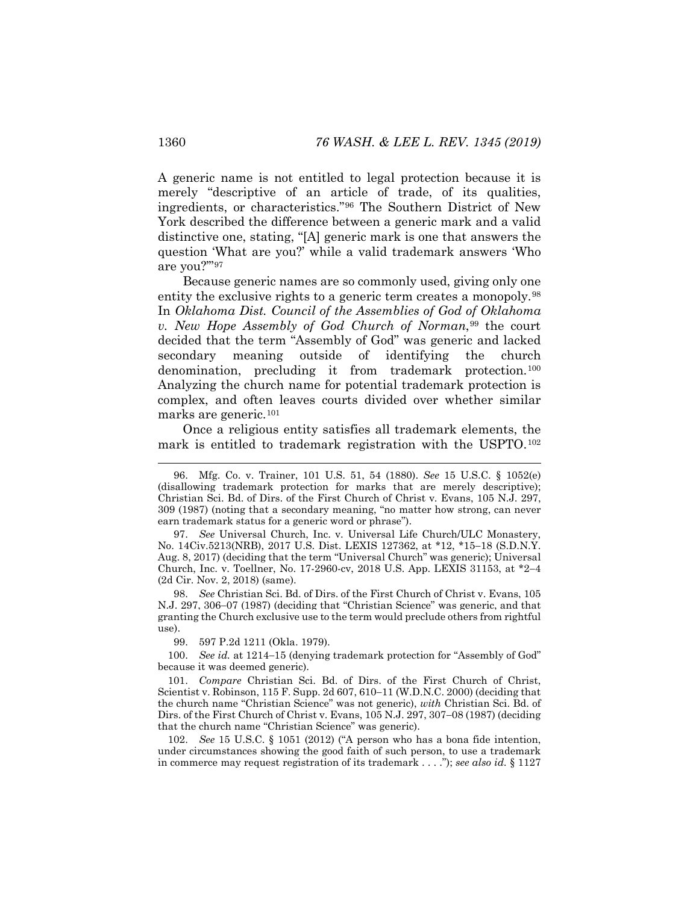A generic name is not entitled to legal protection because it is merely "descriptive of an article of trade, of its qualities, ingredients, or characteristics."[96](#page-16-0) The Southern District of New York described the difference between a generic mark and a valid distinctive one, stating, "[A] generic mark is one that answers the question 'What are you?' while a valid trademark answers 'Who are you?'"[97](#page-16-1)

Because generic names are so commonly used, giving only one entity the exclusive rights to a generic term creates a monopoly.<sup>98</sup> In *Oklahoma Dist. Council of the Assemblies of God of Oklahoma v. New Hope Assembly of God Church of Norman*,[99](#page-16-3) the court decided that the term "Assembly of God" was generic and lacked secondary meaning outside of identifying the church denomination, precluding it from trademark protection.<sup>[100](#page-16-4)</sup> Analyzing the church name for potential trademark protection is complex, and often leaves courts divided over whether similar marks are generic.[101](#page-16-5)

Once a religious entity satisfies all trademark elements, the mark is entitled to trademark registration with the USPTO.[102](#page-16-6)

99. 597 P.2d 1211 (Okla. 1979).

<span id="page-16-4"></span><span id="page-16-3"></span>100. *See id.* at 1214−15 (denying trademark protection for "Assembly of God" because it was deemed generic).

<span id="page-16-5"></span>101. *Compare* Christian Sci. Bd. of Dirs. of the First Church of Christ, Scientist v. Robinson, 115 F. Supp. 2d 607, 610−11 (W.D.N.C. 2000) (deciding that the church name "Christian Science" was not generic), *with* Christian Sci. Bd. of Dirs. of the First Church of Christ v. Evans, 105 N.J. 297, 307−08 (1987) (deciding that the church name "Christian Science" was generic).

<span id="page-16-6"></span>102. *See* 15 U.S.C. § 1051 (2012) ("A person who has a bona fide intention, under circumstances showing the good faith of such person, to use a trademark in commerce may request registration of its trademark . . . ."); *see also id.* § 1127

<span id="page-16-0"></span> <sup>96.</sup> Mfg. Co. v. Trainer, 101 U.S. 51, 54 (1880). *See* 15 U.S.C. § 1052(e) (disallowing trademark protection for marks that are merely descriptive); Christian Sci. Bd. of Dirs. of the First Church of Christ v. Evans, 105 N.J. 297, 309 (1987) (noting that a secondary meaning, "no matter how strong, can never earn trademark status for a generic word or phrase").

<span id="page-16-1"></span><sup>97.</sup> *See* Universal Church, Inc. v. Universal Life Church/ULC Monastery, No. 14Civ.5213(NRB), 2017 U.S. Dist. LEXIS 127362, at \*12, \*15−18 (S.D.N.Y. Aug. 8, 2017) (deciding that the term "Universal Church" was generic); Universal Church, Inc. v. Toellner, No. 17-2960-cv, 2018 U.S. App. LEXIS 31153, at \*2−4 (2d Cir. Nov. 2, 2018) (same).

<span id="page-16-2"></span><sup>98.</sup> *See* Christian Sci. Bd. of Dirs. of the First Church of Christ v. Evans, 105 N.J. 297, 306−07 (1987) (deciding that "Christian Science" was generic, and that granting the Church exclusive use to the term would preclude others from rightful use).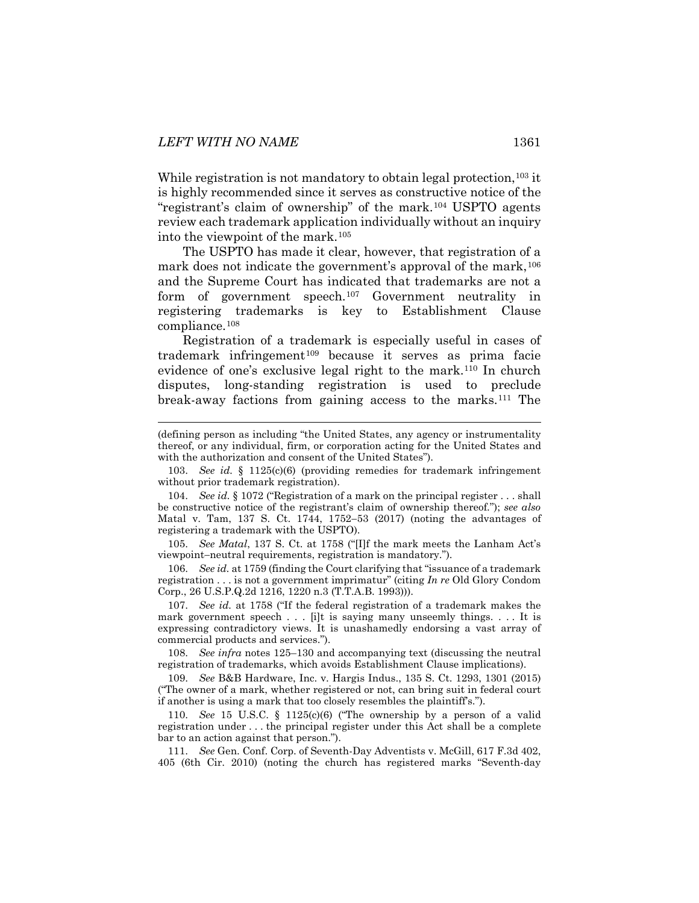While registration is not mandatory to obtain legal protection,  $^{103}$  $^{103}$  $^{103}$  it is highly recommended since it serves as constructive notice of the "registrant's claim of ownership" of the mark.[104](#page-17-1) USPTO agents review each trademark application individually without an inquiry into the viewpoint of the mark.[105](#page-17-2)

<span id="page-17-10"></span><span id="page-17-9"></span>The USPTO has made it clear, however, that registration of a mark does not indicate the government's approval of the mark, <sup>[106](#page-17-3)</sup> and the Supreme Court has indicated that trademarks are not a form of government speech.[107](#page-17-4) Government neutrality in registering trademarks is key to Establishment Clause compliance.[108](#page-17-5)

Registration of a trademark is especially useful in cases of trademark infringement[109](#page-17-6) because it serves as prima facie evidence of one's exclusive legal right to the mark.[110](#page-17-7) In church disputes, long-standing registration is used to preclude break-away factions from gaining access to the marks[.111](#page-17-8) The

<span id="page-17-1"></span>104. *See id.* § 1072 ("Registration of a mark on the principal register . . . shall be constructive notice of the registrant's claim of ownership thereof."); *see also*  Matal v. Tam, 137 S. Ct. 1744, 1752−53 (2017) (noting the advantages of registering a trademark with the USPTO).

<span id="page-17-2"></span>105. *See Matal*, 137 S. Ct. at 1758 ("[I]f the mark meets the Lanham Act's viewpoint−neutral requirements, registration is mandatory.").

<span id="page-17-3"></span>106. *See id.* at 1759 (finding the Court clarifying that "issuance of a trademark registration . . . is not a government imprimatur" (citing *In re* Old Glory Condom Corp., 26 U.S.P.Q.2d 1216, 1220 n.3 (T.T.A.B. 1993))).

<span id="page-17-4"></span>107. *See id.* at 1758 ("If the federal registration of a trademark makes the mark government speech . . . [i]t is saying many unseemly things. . . . It is expressing contradictory views. It is unashamedly endorsing a vast array of commercial products and services.").

<span id="page-17-5"></span>108. *See infra* notes [125](#page-20-0)[–130](#page-21-0) and accompanying text (discussing the neutral registration of trademarks, which avoids Establishment Clause implications).

<span id="page-17-6"></span>109. *See* B&B Hardware, Inc. v. Hargis Indus., 135 S. Ct. 1293, 1301 (2015) ("The owner of a mark, whether registered or not, can bring suit in federal court if another is using a mark that too closely resembles the plaintiff's.").

<span id="page-17-7"></span>110. *See* 15 U.S.C. § 1125(c)(6) ("The ownership by a person of a valid registration under . . . the principal register under this Act shall be a complete bar to an action against that person.").

<span id="page-17-8"></span>111. *See* Gen. Conf. Corp. of Seventh-Day Adventists v. McGill, 617 F.3d 402, 405 (6th Cir. 2010) (noting the church has registered marks "Seventh-day

 <sup>(</sup>defining person as including "the United States, any agency or instrumentality thereof, or any individual, firm, or corporation acting for the United States and with the authorization and consent of the United States").

<span id="page-17-0"></span><sup>103.</sup> *See id.* § 1125(c)(6) (providing remedies for trademark infringement without prior trademark registration).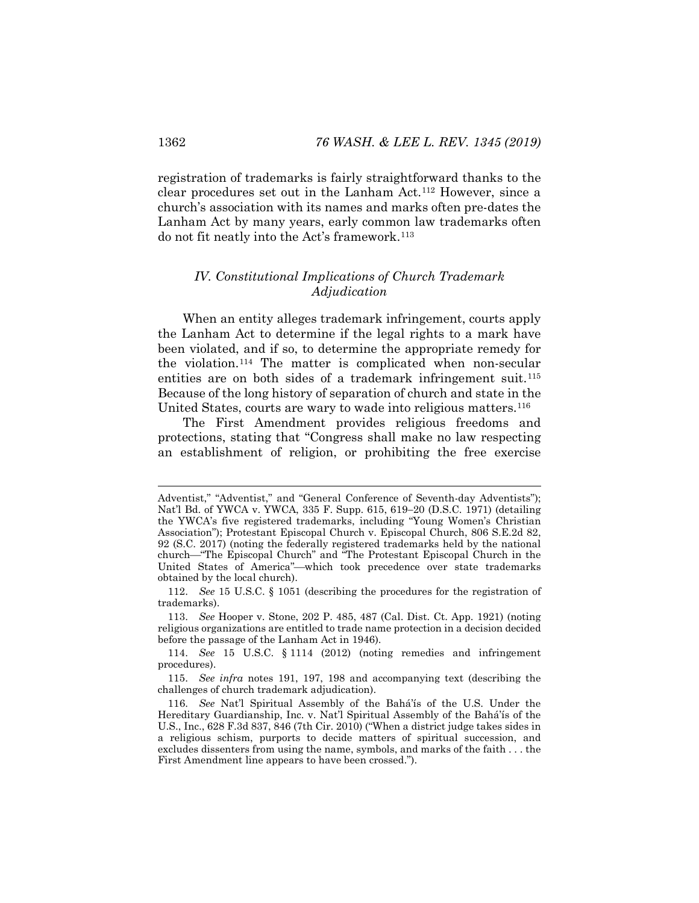registration of trademarks is fairly straightforward thanks to the clear procedures set out in the Lanham Act.[112](#page-18-1) However, since a church's association with its names and marks often pre-dates the Lanham Act by many years, early common law trademarks often do not fit neatly into the Act's framework.[113](#page-18-2)

### <span id="page-18-0"></span>*IV. Constitutional Implications of Church Trademark Adjudication*

When an entity alleges trademark infringement, courts apply the Lanham Act to determine if the legal rights to a mark have been violated, and if so, to determine the appropriate remedy for the violation.[114](#page-18-3) The matter is complicated when non-secular entities are on both sides of a trademark infringement suit.<sup>[115](#page-18-4)</sup> Because of the long history of separation of church and state in the United States, courts are wary to wade into religious matters.[116](#page-18-5)

The First Amendment provides religious freedoms and protections, stating that "Congress shall make no law respecting an establishment of religion, or prohibiting the free exercise

Adventist," "Adventist," and "General Conference of Seventh-day Adventists"); Nat'l Bd. of YWCA v. YWCA, 335 F. Supp. 615, 619−20 (D.S.C. 1971) (detailing the YWCA's five registered trademarks, including "Young Women's Christian Association"); Protestant Episcopal Church v. Episcopal Church, 806 S.E.2d 82, 92 (S.C. 2017) (noting the federally registered trademarks held by the national church"The Episcopal Church" and "The Protestant Episcopal Church in the United States of America"-which took precedence over state trademarks obtained by the local church).

<span id="page-18-1"></span><sup>112.</sup> *See* 15 U.S.C. § 1051 (describing the procedures for the registration of trademarks).

<span id="page-18-2"></span><sup>113.</sup> *See* Hooper v. Stone, 202 P. 485, 487 (Cal. Dist. Ct. App. 1921) (noting religious organizations are entitled to trade name protection in a decision decided before the passage of the Lanham Act in 1946).

<span id="page-18-3"></span><sup>114.</sup> *See* 15 U.S.C. § 1114 (2012) (noting remedies and infringement procedures).

<span id="page-18-4"></span><sup>115.</sup> *See infra* notes [191,](#page-29-1) [197,](#page-30-0) [198](#page-30-1) and accompanying text (describing the challenges of church trademark adjudication).

<span id="page-18-5"></span><sup>116.</sup> *See* Nat'l Spiritual Assembly of the Bahá'ís of the U.S. Under the Hereditary Guardianship, Inc. v. Nat'l Spiritual Assembly of the Bahá'ís of the U.S., Inc., 628 F.3d 837, 846 (7th Cir. 2010) ("When a district judge takes sides in a religious schism, purports to decide matters of spiritual succession, and excludes dissenters from using the name, symbols, and marks of the faith . . . the First Amendment line appears to have been crossed.").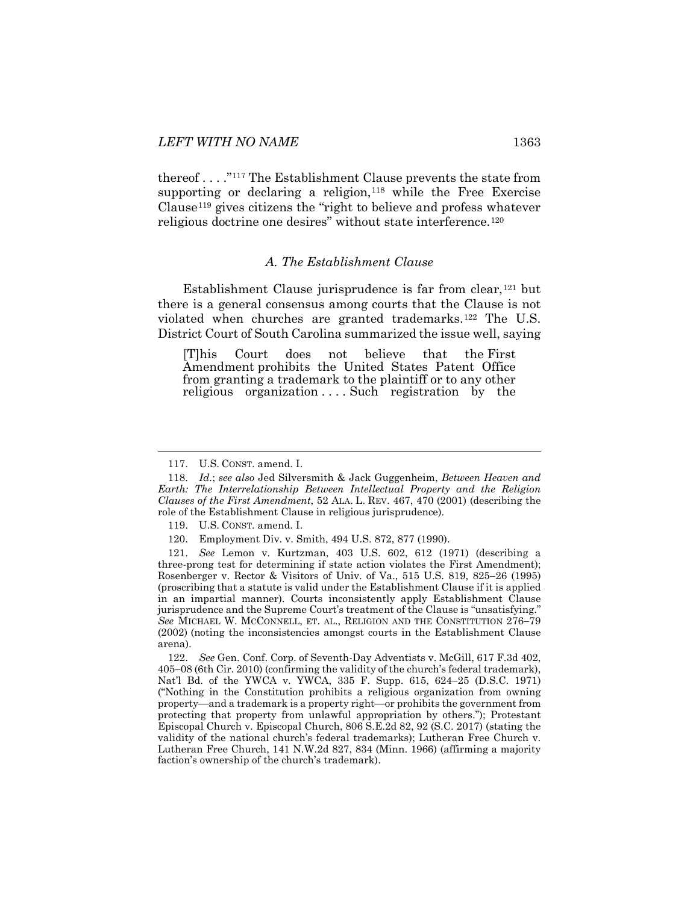thereof . . . ."[117](#page-19-1) The Establishment Clause prevents the state from supporting or declaring a religion,<sup>[118](#page-19-2)</sup> while the Free Exercise Clause[119](#page-19-3) gives citizens the "right to believe and profess whatever religious doctrine one desires" without state interference.[120](#page-19-4)

#### <span id="page-19-7"></span>*A. The Establishment Clause*

<span id="page-19-0"></span>Establishment Clause jurisprudence is far from clear,  $121$  but there is a general consensus among courts that the Clause is not violated when churches are granted trademarks[.122](#page-19-6) The U.S. District Court of South Carolina summarized the issue well, saying

[T]his Court does not believe that the [First](https://advance.lexis.com/document/documentlink/?pdmfid=1000516&crid=a2022087-e21c-4653-876a-bbc7e1740ef6&pdworkfolderid=25efff43-cfc4-4184-b9d2-7cb168744273&ecomp=53zbk&prid=1acc4520-cfde-491d-a351-60eddc3114e8)  [Amendment](https://advance.lexis.com/document/documentlink/?pdmfid=1000516&crid=a2022087-e21c-4653-876a-bbc7e1740ef6&pdworkfolderid=25efff43-cfc4-4184-b9d2-7cb168744273&ecomp=53zbk&prid=1acc4520-cfde-491d-a351-60eddc3114e8) prohibits the United States Patent Office from granting a trademark to the plaintiff or to any other religious organization ... Such registration by the

<span id="page-19-6"></span>122. *See* Gen. Conf. Corp. of Seventh-Day Adventists v. McGill, 617 F.3d 402, 405−08 (6th Cir. 2010) (confirming the validity of the church's federal trademark), Nat'l Bd. of the YWCA v. YWCA, 335 F. Supp. 615, 624−25 (D.S.C. 1971) ("Nothing in the Constitution prohibits a religious organization from owning property—and a trademark is a property right—or prohibits the government from protecting that property from unlawful appropriation by others."); Protestant Episcopal Church v. Episcopal Church, 806 S.E.2d 82, 92 (S.C. 2017) (stating the validity of the national church's federal trademarks); Lutheran Free Church v. Lutheran Free Church, 141 N.W.2d 827, 834 (Minn. 1966) (affirming a majority faction's ownership of the church's trademark).

 <sup>117.</sup> U.S. CONST. amend. I.

<span id="page-19-2"></span><span id="page-19-1"></span><sup>118.</sup> *Id.*; *see also* Jed Silversmith & Jack Guggenheim, *Between Heaven and Earth: The Interrelationship Between Intellectual Property and the Religion Clauses of the First Amendment*, 52 ALA. L. REV. 467, 470 (2001) (describing the role of the Establishment Clause in religious jurisprudence).

<sup>119.</sup> U.S. CONST. amend. I.

<sup>120.</sup> Employment Div. v. Smith, 494 U.S. 872, 877 (1990).

<span id="page-19-5"></span><span id="page-19-4"></span><span id="page-19-3"></span><sup>121.</sup> *See* Lemon v. Kurtzman, 403 U.S. 602, 612 (1971) (describing a three-prong test for determining if state action violates the First Amendment); Rosenberger v. Rector & Visitors of Univ. of Va., 515 U.S. 819, 825−26 (1995) (proscribing that a statute is valid under the Establishment Clause if it is applied in an impartial manner). Courts inconsistently apply Establishment Clause jurisprudence and the Supreme Court's treatment of the Clause is "unsatisfying." *See* MICHAEL W. MCCONNELL, ET. AL., RELIGION AND THE CONSTITUTION 276−79 (2002) (noting the inconsistencies amongst courts in the Establishment Clause arena).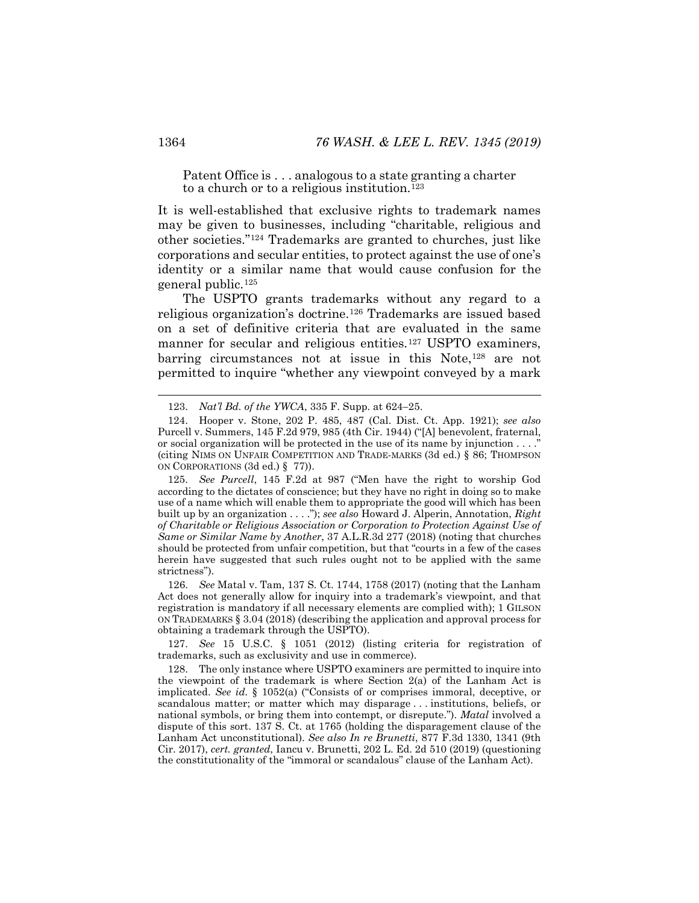Patent Office is . . . analogous to a state granting a charter to a church or to a religious institution.<sup>[123](#page-20-1)</sup>

It is well-established that exclusive rights to trademark names may be given to businesses, including "charitable, religious and other societies."[124](#page-20-2) Trademarks are granted to churches, just like corporations and secular entities, to protect against the use of one's identity or a similar name that would cause confusion for the general public.[125](#page-20-3)

<span id="page-20-0"></span>The USPTO grants trademarks without any regard to a religious organization's doctrine.[126](#page-20-4) Trademarks are issued based on a set of definitive criteria that are evaluated in the same manner for secular and religious entities.<sup>[127](#page-20-5)</sup> USPTO examiners, barring circumstances not at issue in this Note,[128](#page-20-6) are not permitted to inquire "whether any viewpoint conveyed by a mark

<span id="page-20-4"></span>126. *See* Matal v. Tam, 137 S. Ct. 1744, 1758 (2017) (noting that the Lanham Act does not generally allow for inquiry into a trademark's viewpoint, and that registration is mandatory if all necessary elements are complied with); 1 GILSON ON TRADEMARKS § 3.04 (2018) (describing the application and approval process for obtaining a trademark through the USPTO).

<span id="page-20-5"></span>127. *See* 15 U.S.C. § 1051 (2012) (listing criteria for registration of trademarks, such as exclusivity and use in commerce).

<span id="page-20-6"></span>128. The only instance where USPTO examiners are permitted to inquire into the viewpoint of the trademark is where Section 2(a) of the Lanham Act is implicated. *See id.* § 1052(a) ("Consists of or comprises immoral, deceptive, or scandalous matter; or matter which may disparage . . . institutions, beliefs, or national symbols, or bring them into contempt, or disrepute."). *Matal* involved a dispute of this sort. 137 S. Ct. at 1765 (holding the disparagement clause of the Lanham Act unconstitutional). *See also In re Brunetti*, 877 F.3d 1330, 1341 (9th Cir. 2017), *cert. granted*, Iancu v. Brunetti, 202 L. Ed. 2d 510 (2019) (questioning the constitutionality of the "immoral or scandalous" clause of the Lanham Act).

<span id="page-20-7"></span> <sup>123.</sup> *Nat'l Bd. of the YWCA*, 335 F. Supp. at 624−25.

<span id="page-20-2"></span><span id="page-20-1"></span><sup>124.</sup> Hooper v. Stone, 202 P. 485, 487 (Cal. Dist. Ct. App. 1921); *see also*  Purcell v. Summers, 145 F.2d 979, 985 (4th Cir. 1944) ("[A] benevolent, fraternal, or social organization will be protected in the use of its name by injunction . . . ." (citing NIMS ON UNFAIR COMPETITION AND TRADE-MARKS (3d ed.) § 86; THOMPSON ON CORPORATIONS (3d ed.) § 77)).

<span id="page-20-3"></span><sup>125.</sup> *See Purcell*, 145 F.2d at 987 ("Men have the right to worship God according to the dictates of conscience; but they have no right in doing so to make use of a name which will enable them to appropriate the good will which has been built up by an organization . . . ."); *see also* Howard J. Alperin, Annotation, *Right of Charitable or Religious Association or Corporation to Protection Against Use of Same or Similar Name by Another*, 37 A.L.R.3d 277 (2018) (noting that churches should be protected from unfair competition, but that "courts in a few of the cases herein have suggested that such rules ought not to be applied with the same strictness").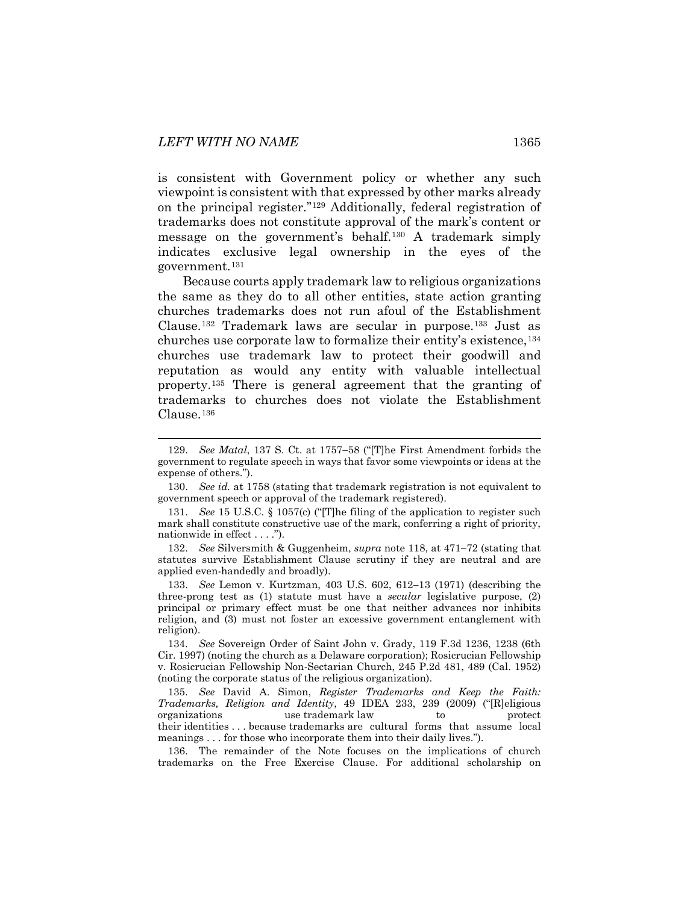is consistent with Government policy or whether any such viewpoint is consistent with that expressed by other marks already on the principal register.["129](#page-21-1) Additionally, federal registration of trademarks does not constitute approval of the mark's content or message on the government's behalf.[130](#page-21-2) A trademark simply indicates exclusive legal ownership in the eyes of the government.[131](#page-21-3)

<span id="page-21-9"></span><span id="page-21-0"></span>Because courts apply trademark law to religious organizations the same as they do to all other entities, state action granting churches trademarks does not run afoul of the Establishment Clause.[132](#page-21-4) Trademark laws are secular in purpose[.133](#page-21-5) Just as churches use corporate law to formalize their entity's existence,[134](#page-21-6) churches use trademark law to protect their goodwill and reputation as would any entity with valuable intellectual property.[135](#page-21-7) There is general agreement that the granting of trademarks to churches does not violate the Establishment Clause.[136](#page-21-8)

<span id="page-21-4"></span>132. *See* Silversmith & Guggenheim, *supra* note [118,](#page-19-7) at 471−72 (stating that statutes survive Establishment Clause scrutiny if they are neutral and are applied even-handedly and broadly).

<span id="page-21-5"></span>133. *See* Lemon v. Kurtzman, 403 U.S. 602, 612−13 (1971) (describing the three-prong test as (1) statute must have a *secular* legislative purpose, (2) principal or primary effect must be one that neither advances nor inhibits religion, and (3) must not foster an excessive government entanglement with religion).

<span id="page-21-6"></span>134. *See* Sovereign Order of Saint John v. Grady, 119 F.3d 1236, 1238 (6th Cir. 1997) (noting the church as a Delaware corporation); Rosicrucian Fellowship v. Rosicrucian Fellowship Non-Sectarian Church, 245 P.2d 481, 489 (Cal. 1952) (noting the corporate status of the religious organization).

<span id="page-21-7"></span>135. *See* David A. Simon, *Register Trademarks and Keep the Faith: Trademarks, Religion and Identity*, 49 IDEA 233, 239 (2009) ("[R]eligious organizations use trademark law to protect their identities . . . because trademarks are cultural forms that assume local meanings . . . for those who incorporate them into their daily lives.").

<span id="page-21-8"></span>136. The remainder of the Note focuses on the implications of church trademarks on the Free Exercise Clause. For additional scholarship on

<span id="page-21-11"></span><span id="page-21-10"></span><span id="page-21-1"></span> <sup>129.</sup> *See Matal*, 137 S. Ct. at 1757−58 ("[T]he First Amendment forbids the government to regulate speech in ways that favor some viewpoints or ideas at the expense of others.").

<span id="page-21-2"></span><sup>130.</sup> *See id.* at 1758 (stating that trademark registration is not equivalent to government speech or approval of the trademark registered).

<span id="page-21-3"></span><sup>131.</sup> *See* 15 U.S.C. § 1057(c) ("[T]he filing of the application to register such mark shall constitute constructive use of the mark, conferring a right of priority, nationwide in effect . . . .").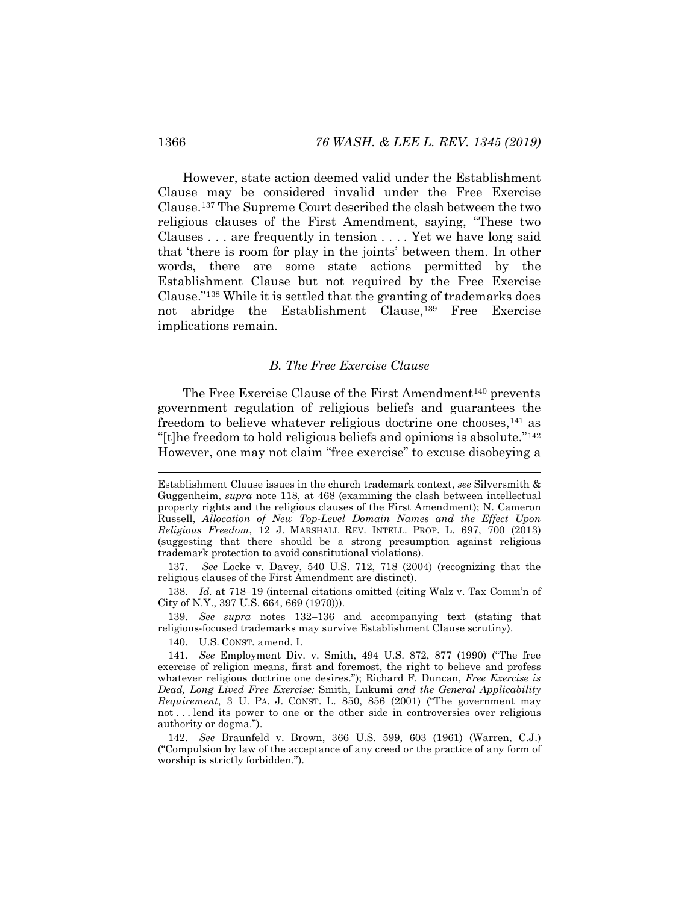However, state action deemed valid under the Establishment Clause may be considered invalid under the Free Exercise Clause.[137](#page-22-1) The Supreme Court described the clash between the two religious clauses of the First Amendment, saying, "These two Clauses . . . are frequently in tension . . . . Yet we have long said that 'there is room for play in the joints' between them. In other words, there are some state actions permitted by the Establishment Clause but not required by the Free Exercise Clause."[138](#page-22-2) While it is settled that the granting of trademarks does not abridge the Establishment Clause,<sup>[139](#page-22-3)</sup> Free Exercise implications remain.

#### <span id="page-22-7"></span>*B. The Free Exercise Clause*

<span id="page-22-0"></span>The Free Exercise Clause of the First Amendment<sup>[140](#page-22-4)</sup> prevents government regulation of religious beliefs and guarantees the freedom to believe whatever religious doctrine one chooses,[141](#page-22-5) as "[t]he freedom to hold religious beliefs and opinions is absolute."[142](#page-22-6) However, one may not claim "free exercise" to excuse disobeying a

<span id="page-22-1"></span>137. *See* Locke v. Davey, 540 U.S. 712, 718 (2004) (recognizing that the religious clauses of the First Amendment are distinct).

<span id="page-22-2"></span>138. *Id.* at 718−19 (internal citations omitted (citing Walz v. Tax Comm'n of City of N.Y., 397 U.S. 664, 669 (1970))).

<span id="page-22-3"></span>139. *See supra* notes [132](#page-21-9)−[136](#page-21-10) and accompanying text (stating that religious-focused trademarks may survive Establishment Clause scrutiny).

140. U.S. CONST. amend. I.

<span id="page-22-6"></span>142. *See* Braunfeld v. Brown, 366 U.S. 599, 603 (1961) (Warren, C.J.) ("Compulsion by law of the acceptance of any creed or the practice of any form of worship is strictly forbidden.").

Establishment Clause issues in the church trademark context, *see* Silversmith & Guggenheim, *supra* note [118,](#page-19-7) at 468 (examining the clash between intellectual property rights and the religious clauses of the First Amendment); N. Cameron Russell, *Allocation of New Top-Level Domain Names and the Effect Upon Religious Freedom*, 12 J. MARSHALL REV. INTELL. PROP. L. 697, 700 (2013) (suggesting that there should be a strong presumption against religious trademark protection to avoid constitutional violations).

<span id="page-22-5"></span><span id="page-22-4"></span><sup>141.</sup> *See* Employment Div. v. Smith, 494 U.S. 872, 877 (1990) ("The free exercise of religion means, first and foremost, the right to believe and profess whatever religious doctrine one desires."); Richard F. Duncan, *Free Exercise is Dead, Long Lived Free Exercise:* Smith, Lukumi *and the General Applicability Requirement*, 3 U. PA. J. CONST. L. 850, 856 (2001) ("The government may not . . . lend its power to one or the other side in controversies over religious authority or dogma.").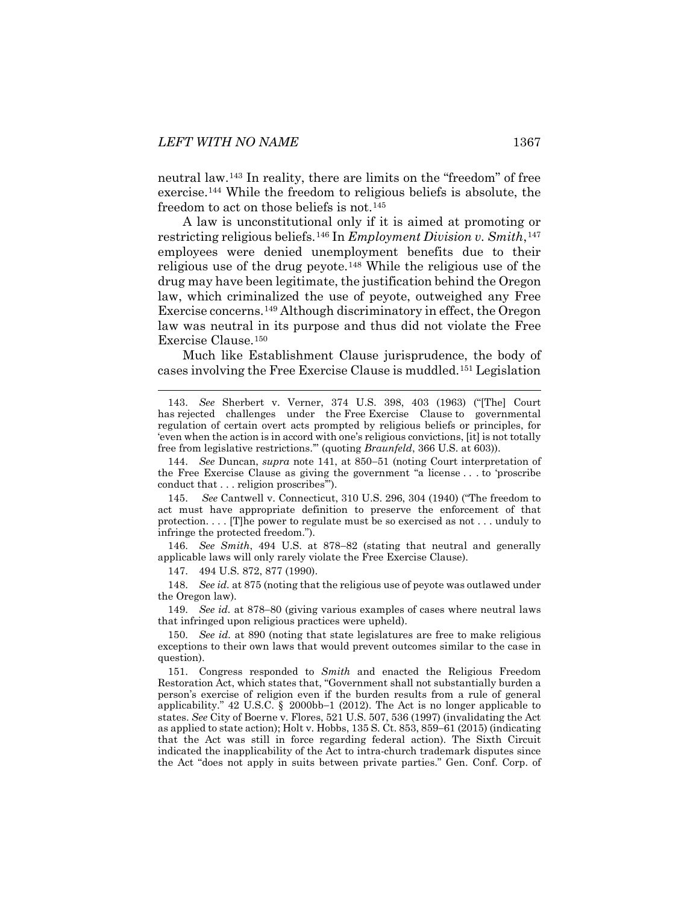neutral law.[143](#page-23-0) In reality, there are limits on the "freedom" of free exercise.[144](#page-23-1) While the freedom to religious beliefs is absolute, the freedom to act on those beliefs is not.<sup>[145](#page-23-2)</sup>

A law is unconstitutional only if it is aimed at promoting or restricting religious beliefs.[146](#page-23-3) In *Employment Division v. Smith*,[147](#page-23-4) employees were denied unemployment benefits due to their religious use of the drug peyote.[148](#page-23-5) While the religious use of the drug may have been legitimate, the justification behind the Oregon law, which criminalized the use of peyote, outweighed any Free Exercise concerns.[149](#page-23-6) Although discriminatory in effect, the Oregon law was neutral in its purpose and thus did not violate the Free Exercise Clause.[150](#page-23-7)

Much like Establishment Clause jurisprudence, the body of cases involving the Free Exercise Clause is muddled.[151](#page-23-8) Legislation

<span id="page-23-1"></span>144. *See* Duncan, *supra* note [141,](#page-22-7) at 850−51 (noting Court interpretation of the Free Exercise Clause as giving the government "a license . . . to 'proscribe conduct that . . . religion proscribes'").

<span id="page-23-2"></span>145. *See* Cantwell v. Connecticut, 310 U.S. 296, 304 (1940) ("The freedom to act must have appropriate definition to preserve the enforcement of that protection. . . . [T]he power to regulate must be so exercised as not . . . unduly to infringe the protected freedom.").

<span id="page-23-3"></span>146. *See Smith*, 494 U.S. at 878−82 (stating that neutral and generally applicable laws will only rarely violate the Free Exercise Clause).

147. 494 U.S. 872, 877 (1990).

<span id="page-23-5"></span><span id="page-23-4"></span>148. *See id.* at 875 (noting that the religious use of peyote was outlawed under the Oregon law).

<span id="page-23-6"></span>149. *See id.* at 878−80 (giving various examples of cases where neutral laws that infringed upon religious practices were upheld).

<span id="page-23-7"></span>150. *See id.* at 890 (noting that state legislatures are free to make religious exceptions to their own laws that would prevent outcomes similar to the case in question).

<span id="page-23-8"></span>151. Congress responded to *Smith* and enacted the Religious Freedom Restoration Act, which states that, "Government shall not substantially burden a person's exercise of religion even if the burden results from a rule of general applicability." 42 U.S.C. § 2000bb−1 (2012). The Act is no longer applicable to states. *See* City of Boerne v. Flores, 521 U.S. 507, 536 (1997) (invalidating the Act as applied to state action); Holt v. Hobbs, 135 S. Ct. 853, 859−61 (2015) (indicating that the Act was still in force regarding federal action). The Sixth Circuit indicated the inapplicability of the Act to intra-church trademark disputes since the Act "does not apply in suits between private parties." Gen. Conf. Corp. of

<span id="page-23-0"></span> <sup>143.</sup> *See* Sherbert v. Verner, 374 U.S. 398, 403 (1963) ("[The] Court has rejected challenges under the [Free](https://advance.lexis.com/document/?pdmfid=1000516&crid=f9cd05a4-0136-4aab-8913-a5620a30e132&pdworkfolderid=011a3d61-35b4-4715-b98d-2d75b7ea55c4&ecomp=cxJdk&earg=011a3d61-35b4-4715-b98d-2d75b7ea55c4&prid=8b3de068-790e-4b46-aea5-078c9a4bcc55) Exercise Clause to governmental regulation of certain overt acts prompted by religious beliefs or principles, for 'even when the action is in accord with one's religious convictions, [it] is not totally free from legislative restrictions.'" (quoting *Braunfeld*[, 366 U.S. at 603\)](https://advance.lexis.com/document/?pdmfid=1000516&crid=f9cd05a4-0136-4aab-8913-a5620a30e132&pdworkfolderid=011a3d61-35b4-4715-b98d-2d75b7ea55c4&ecomp=cxJdk&earg=011a3d61-35b4-4715-b98d-2d75b7ea55c4&prid=8b3de068-790e-4b46-aea5-078c9a4bcc55)).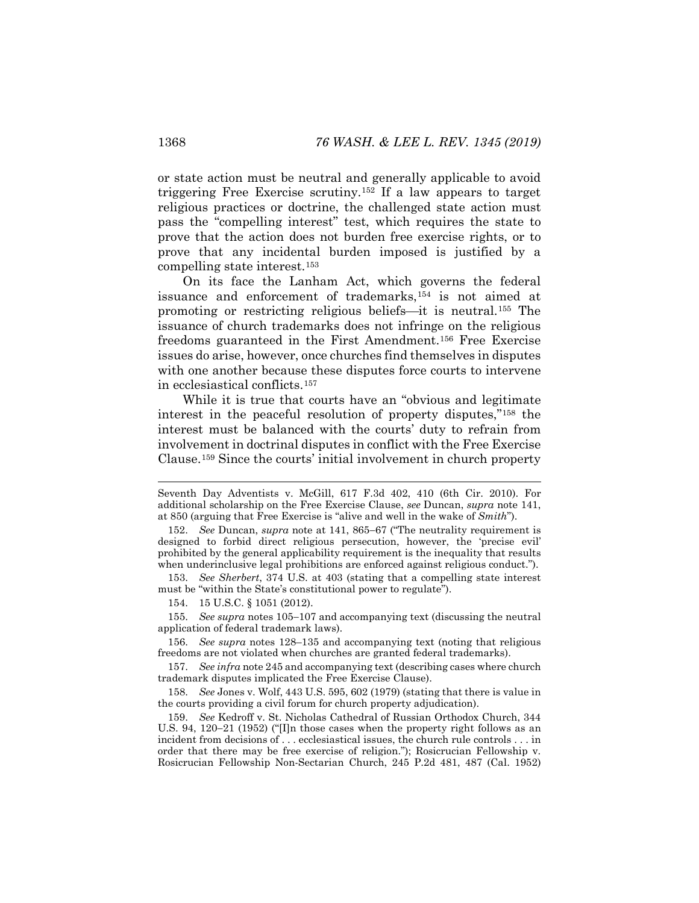or state action must be neutral and generally applicable to avoid triggering Free Exercise scrutiny.[152](#page-24-0) If a law appears to target religious practices or doctrine, the challenged state action must pass the "compelling interest" test, which requires the state to prove that the action does not burden free exercise rights, or to prove that any incidental burden imposed is justified by a compelling state interest.[153](#page-24-1)

On its face the Lanham Act, which governs the federal issuance and enforcement of trademarks,[154](#page-24-2) is not aimed at promoting or restricting religious beliefs—it is neutral.<sup>155</sup> The issuance of church trademarks does not infringe on the religious freedoms guaranteed in the First Amendment.[156](#page-24-4) Free Exercise issues do arise, however, once churches find themselves in disputes with one another because these disputes force courts to intervene in ecclesiastical conflicts.[157](#page-24-5)

While it is true that courts have an "obvious and legitimate interest in the peaceful resolution of property disputes,"[158](#page-24-6) the interest must be balanced with the courts' duty to refrain from involvement in doctrinal disputes in conflict with the Free Exercise Clause.[159](#page-24-7) Since the courts' initial involvement in church property

<span id="page-24-1"></span>153. *See Sherbert*, 374 U.S. at 403 (stating that a compelling state interest must be "within the State's constitutional power to regulate").

154. 15 U.S.C. § 1051 (2012).

<span id="page-24-3"></span><span id="page-24-2"></span>155. *See supra* notes [105](#page-17-9)−[107](#page-17-10) and accompanying text (discussing the neutral application of federal trademark laws).

<span id="page-24-4"></span>156. *See supra* notes [128–](#page-20-7)[135](#page-21-11) and accompanying text (noting that religious freedoms are not violated when churches are granted federal trademarks).

<span id="page-24-5"></span>157. *See infra* not[e 245](#page-37-0) and accompanying text (describing cases where church trademark disputes implicated the Free Exercise Clause).

<span id="page-24-6"></span>158. *See* Jones v. Wolf, 443 U.S. 595, 602 (1979) (stating that there is value in the courts providing a civil forum for church property adjudication).

<span id="page-24-7"></span>159. *See* Kedroff v. St. Nicholas Cathedral of Russian Orthodox Church, 344 U.S. 94, 120−21 (1952) ("[I]n those cases when the property right follows as an incident from decisions of . . . ecclesiastical issues, the church rule controls . . . in order that there may be free exercise of religion."); Rosicrucian Fellowship v. Rosicrucian Fellowship Non-Sectarian Church, 245 P.2d 481, 487 (Cal. 1952)

Seventh Day Adventists v. McGill, 617 F.3d 402, 410 (6th Cir. 2010). For additional scholarship on the Free Exercise Clause, *see* Duncan, *supra* note [141,](#page-22-7)  at 850 (arguing that Free Exercise is "alive and well in the wake of *Smith*").

<span id="page-24-0"></span><sup>152.</sup> *See* Duncan, *supra* note at [141,](#page-22-7) 865−67 ("The neutrality requirement is designed to forbid direct religious persecution, however, the 'precise evil' prohibited by the general applicability requirement is the inequality that results when underinclusive legal prohibitions are enforced against religious conduct.").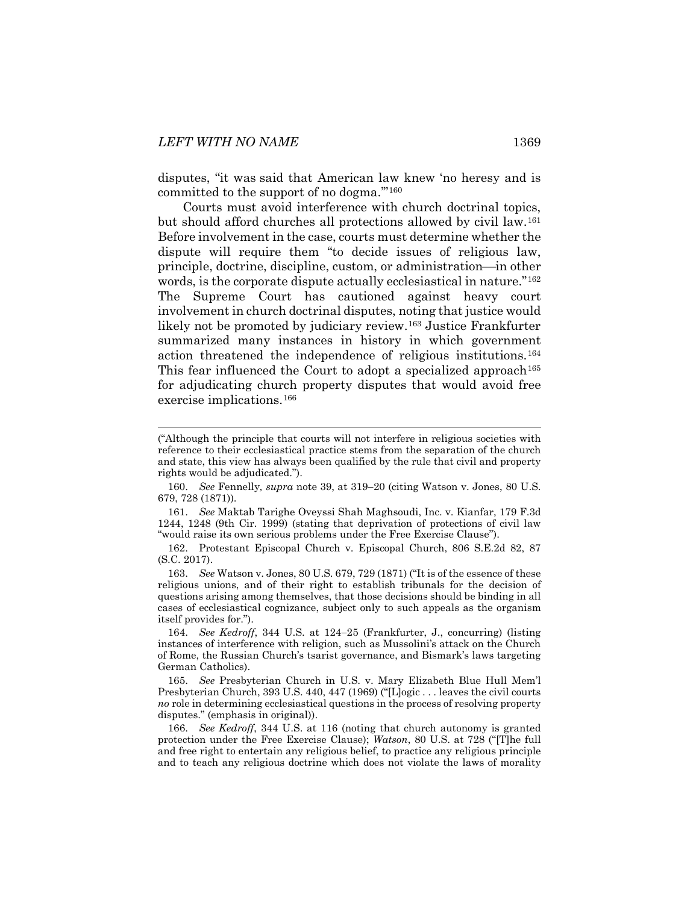disputes, "it was said that American law knew 'no heresy and is committed to the support of no dogma.'"[160](#page-25-0)

Courts must avoid interference with church doctrinal topics, but should afford churches all protections allowed by civil law.[161](#page-25-1) Before involvement in the case, courts must determine whether the dispute will require them "to decide issues of religious law, principle, doctrine, discipline, custom, or administration—in other words, is the corporate dispute actually ecclesiastical in nature."[162](#page-25-2) The Supreme Court has cautioned against heavy court involvement in church doctrinal disputes, noting that justice would likely not be promoted by judiciary review.[163](#page-25-3) Justice Frankfurter summarized many instances in history in which government action threatened the independence of religious institutions.[164](#page-25-4) This fear influenced the Court to adopt a specialized approach<sup>[165](#page-25-5)</sup> for adjudicating church property disputes that would avoid free exercise implications.[166](#page-25-6)

<span id="page-25-8"></span><span id="page-25-7"></span> <sup>(&</sup>quot;Although the principle that courts will not interfere in religious societies with reference to their ecclesiastical practice stems from the separation of the church and state, this view has always been qualified by the rule that civil and property rights would be adjudicated.").

<span id="page-25-0"></span><sup>160.</sup> *See* Fennelly*, supra* note [39,](#page-8-7) at 319−20 (citing Watson v. Jones, 80 U.S. 679, 728 (1871)).

<span id="page-25-1"></span><sup>161.</sup> *See* Maktab Tarighe Oveyssi Shah Maghsoudi, Inc. v. Kianfar, 179 F.3d 1244, 1248 (9th Cir. 1999) (stating that deprivation of protections of civil law "would raise its own serious problems under the [Free Exercise Clause"](https://advance.lexis.com/document/?pdmfid=1000516&crid=9e6c6924-99e0-40f6-90bb-99255d38c671&pdworkfolderid=c21311dc-9b6a-4674-97a6-b5c44adf5ee8&ecomp=8xcck&earg=c21311dc-9b6a-4674-97a6-b5c44adf5ee8&prid=c4130927-68da-4272-92f2-180b385ac28b)).

<span id="page-25-2"></span><sup>162.</sup> Protestant Episcopal Church v. Episcopal Church, 806 S.E.2d 82, 87 (S.C. 2017).

<span id="page-25-3"></span><sup>163.</sup> *See* Watson v. Jones, 80 U.S. 679, 729 (1871) ("It is of the essence of these religious unions, and of their right to establish tribunals for the decision of questions arising among themselves, that those decisions should be binding in all cases of ecclesiastical cognizance, subject only to such appeals as the organism itself provides for.").

<span id="page-25-4"></span><sup>164.</sup> *See Kedroff*, 344 U.S. at 124−25 (Frankfurter, J., concurring) (listing instances of interference with religion, such as Mussolini's attack on the Church of Rome, the Russian Church's tsarist governance, and Bismark's laws targeting German Catholics).

<span id="page-25-5"></span><sup>165.</sup> *See* Presbyterian Church in U.S. v. Mary Elizabeth Blue Hull Mem'l Presbyterian Church, 393 U.S. 440, 447 (1969) ("[L]ogic . . . leaves the civil courts *no* role in determining ecclesiastical questions in the process of resolving property disputes." (emphasis in original)).

<span id="page-25-6"></span><sup>166.</sup> *See Kedroff*, 344 U.S. at 116 (noting that church autonomy is granted protection under the Free Exercise Clause); *Watson*, 80 U.S. at 728 ("[T]he full and free right to entertain any religious belief, to practice any religious principle and to teach any religious doctrine which does not violate the laws of morality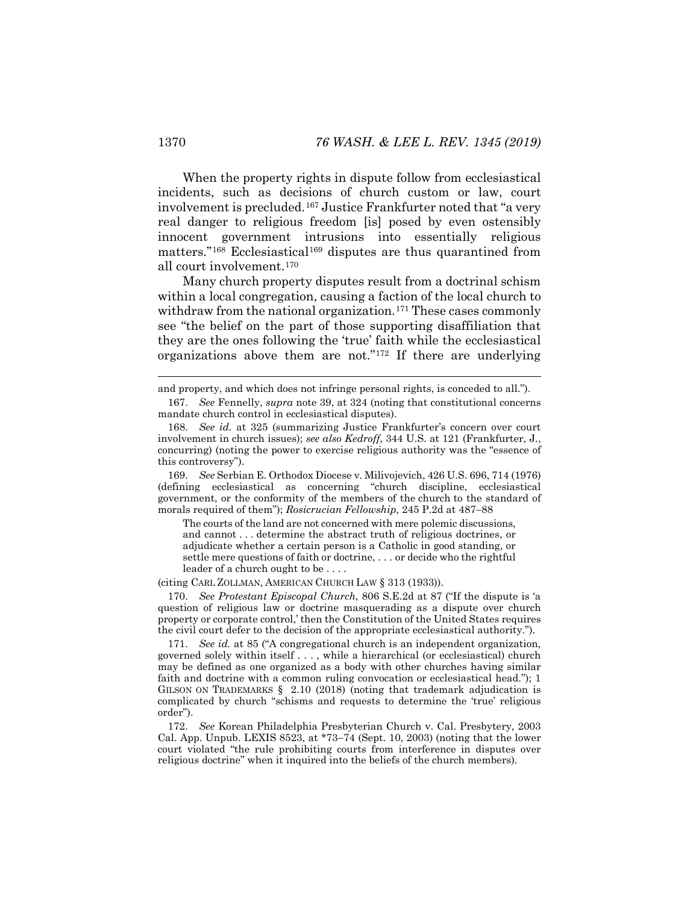When the property rights in dispute follow from ecclesiastical incidents, such as decisions of church custom or law, court involvement is precluded.[167](#page-26-0) Justice Frankfurter noted that "a very real danger to religious freedom [is] posed by even ostensibly innocent government intrusions into essentially religious matters."<sup>[168](#page-26-1)</sup> Ecclesiastical<sup>[169](#page-26-2)</sup> disputes are thus quarantined from all court involvement.[170](#page-26-3)

<span id="page-26-6"></span>Many church property disputes result from a doctrinal schism within a local congregation, causing a faction of the local church to withdraw from the national organization.<sup>[171](#page-26-4)</sup> These cases commonly see "the belief on the part of those supporting disaffiliation that they are the ones following the 'true' faith while the ecclesiastical organizations above them are not."[172](#page-26-5) If there are underlying

<span id="page-26-2"></span>169. *See* Serbian E. Orthodox Diocese v. Milivojevich, 426 U.S. 696, 714 (1976) (defining ecclesiastical as concerning "church discipline, ecclesiastical government, or the conformity of the members of the church to the standard of morals required of them"); *Rosicrucian Fellowship*, 245 P.2d at 487−88

The courts of the land are not concerned with mere polemic discussions, and cannot . . . determine the abstract truth of religious doctrines, or adjudicate whether a certain person is a Catholic in good standing, or settle mere questions of faith or doctrine, . . . or decide who the rightful leader of a church ought to be . . . .

(citing CARL ZOLLMAN, AMERICAN CHURCH LAW § 313 (1933)).

<span id="page-26-3"></span>170. *See Protestant Episcopal Church*, 806 S.E.2d at 87 ("If the dispute is 'a question of religious law or doctrine masquerading as a dispute over church property or corporate control,' then the Constitution of the United States requires the civil court defer to the decision of the appropriate ecclesiastical authority.").

<span id="page-26-4"></span>171. *See id.* at 85 ("A congregational church is an independent organization, governed solely within itself . . . , while a hierarchical (or ecclesiastical) church may be defined as one organized as a body with other churches having similar faith and doctrine with a common ruling convocation or ecclesiastical head."); 1 GILSON ON TRADEMARKS § 2.10 (2018) (noting that trademark adjudication is complicated by church "schisms and requests to determine the 'true' religious order").

<span id="page-26-5"></span>172. *See* Korean Philadelphia Presbyterian Church v. Cal. Presbytery, 2003 Cal. App. Unpub. LEXIS 8523, at \*73−74 (Sept. 10, 2003) (noting that the lower court violated "the rule prohibiting courts from interference in disputes over religious doctrine" when it inquired into the beliefs of the church members).

<span id="page-26-0"></span>and property, and which does not infringe personal rights, is conceded to all.").

<sup>167.</sup> *See* Fennelly, *supra* note [39,](#page-8-7) at 324 (noting that constitutional concerns mandate church control in ecclesiastical disputes).

<span id="page-26-1"></span><sup>168.</sup> *See id.* at 325 (summarizing Justice Frankfurter's concern over court involvement in church issues); *see also Kedroff*, 344 U.S. at 121 (Frankfurter, J., concurring) (noting the power to exercise religious authority was the "essence of this controversy").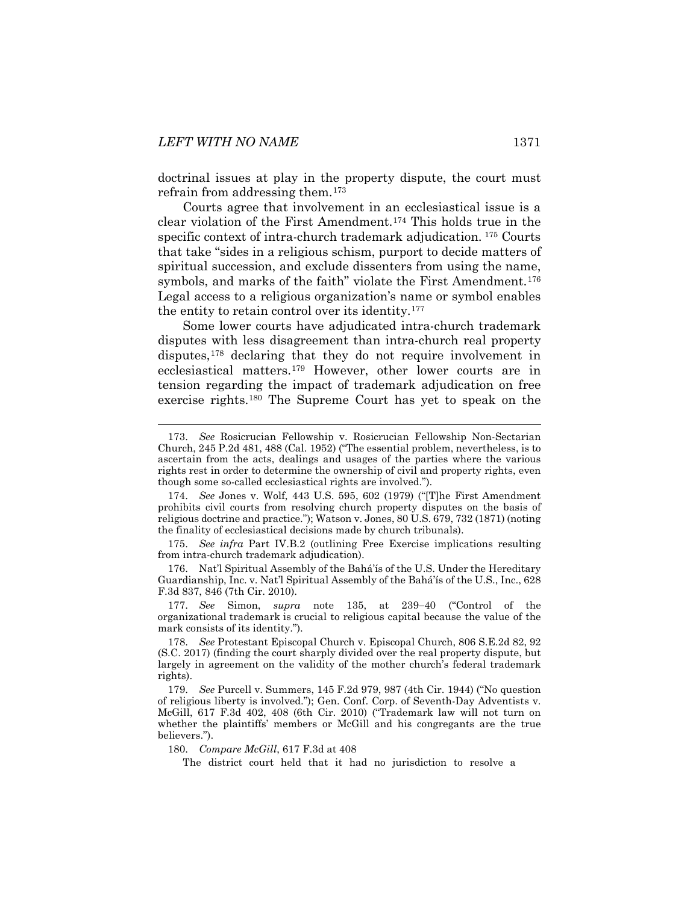doctrinal issues at play in the property dispute, the court must refrain from addressing them.[173](#page-27-0)

Courts agree that involvement in an ecclesiastical issue is a clear violation of the First Amendment.[174](#page-27-1) This holds true in the specific context of intra-church trademark adjudication. [175](#page-27-2) Courts that take "sides in a religious schism, purport to decide matters of spiritual succession, and exclude dissenters from using the name, symbols, and marks of the faith" violate the First Amendment.<sup>[176](#page-27-3)</sup> Legal access to a religious organization's name or symbol enables the entity to retain control over its identity.[177](#page-27-4)

Some lower courts have adjudicated intra-church trademark disputes with less disagreement than intra-church real property disputes,<sup>[178](#page-27-5)</sup> declaring that they do not require involvement in ecclesiastical matters.[179](#page-27-6) However, other lower courts are in tension regarding the impact of trademark adjudication on free exercise rights.[180](#page-27-7) The Supreme Court has yet to speak on the

<span id="page-27-2"></span>175. *See infra* Part IV.B.2 (outlining Free Exercise implications resulting from intra-church trademark adjudication).

<span id="page-27-3"></span>176. Nat'l Spiritual Assembly of the Bahá'ís of the U.S. Under the Hereditary Guardianship, Inc. v. Nat'l Spiritual Assembly of the Bahá'ís of the U.S., Inc., 628 F.3d 837, 846 (7th Cir. 2010).

<span id="page-27-4"></span>177. *See* Simon, *supra* note [135,](#page-21-11) at 239−40 ("Control of the organizational trademark is crucial to religious capital because the value of the mark consists of its identity.").

<span id="page-27-6"></span>179. *See* Purcell v. Summers, 145 F.2d 979, 987 (4th Cir. 1944) ("No question of religious liberty is involved."); Gen. Conf. Corp. of Seventh-Day Adventists v. McGill, 617 F.3d 402, 408 (6th Cir. 2010) ("Trademark law will not turn on whether the plaintiffs' members or McGill and his congregants are the true believers.").

<span id="page-27-7"></span>180. *Compare McGill*, 617 F.3d at 408

The district court held that it had no jurisdiction to resolve a

<span id="page-27-0"></span> <sup>173.</sup> *See* Rosicrucian Fellowship v. Rosicrucian Fellowship Non-Sectarian Church, 245 P.2d 481, 488 (Cal. 1952) ("The essential problem, nevertheless, is to ascertain from the acts, dealings and usages of the parties where the various rights rest in order to determine the ownership of civil and property rights, even though some so-called ecclesiastical rights are involved.").

<span id="page-27-1"></span><sup>174.</sup> *See* Jones v. Wolf, 443 U.S. 595, 602 (1979) ("[T]he First Amendment prohibits civil courts from resolving church property disputes on the basis of religious doctrine and practice."); Watson v. Jones, 80 U.S. 679, 732 (1871) (noting the finality of ecclesiastical decisions made by church tribunals).

<span id="page-27-5"></span><sup>178.</sup> *See* Protestant Episcopal Church v. Episcopal Church, 806 S.E.2d 82, 92 (S.C. 2017) (finding the court sharply divided over the real property dispute, but largely in agreement on the validity of the mother church's federal trademark rights).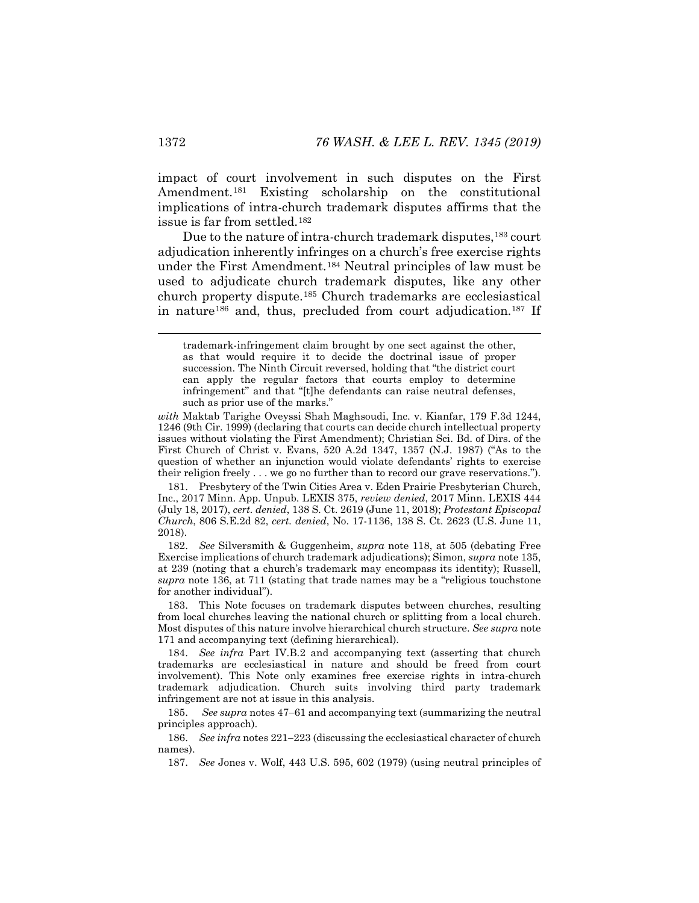impact of court involvement in such disputes on the First Amendment.[181](#page-28-0) Existing scholarship on the constitutional implications of intra-church trademark disputes affirms that the issue is far from settled.[182](#page-28-1)

Due to the nature of intra-church trademark disputes,<sup>[183](#page-28-2)</sup> court adjudication inherently infringes on a church's free exercise rights under the First Amendment.[184](#page-28-3) Neutral principles of law must be used to adjudicate church trademark disputes, like any other church property dispute.[185](#page-28-4) Church trademarks are ecclesiastical in nature[186](#page-28-5) and, thus, precluded from court adjudication.[187](#page-28-6) If

*with* Maktab Tarighe Oveyssi Shah Maghsoudi, Inc. v. Kianfar, 179 F.3d 1244, 1246 (9th Cir. 1999) (declaring that courts can decide church intellectual property issues without violating the First Amendment); Christian Sci. Bd. of Dirs. of the First Church of Christ v. Evans, 520 A.2d 1347, 1357 (N.J. 1987) ("As to the question of whether an injunction would violate defendants' rights to exercise their religion freely . . . we go no further than to record our grave reservations.").

<span id="page-28-0"></span>181. Presbytery of the Twin Cities Area v. Eden Prairie Presbyterian Church, Inc., 2017 Minn. App. Unpub. LEXIS 375, *review denied*, 2017 Minn. LEXIS 444 (July 18, 2017), *cert. denied*, 138 S. Ct. 2619 (June 11, 2018); *Protestant Episcopal Church*, 806 S.E.2d 82, *cert. denied*, No. 17-1136, 138 S. Ct. 2623 (U.S. June 11, 2018).

<span id="page-28-1"></span>182. *See* Silversmith & Guggenheim, *supra* note [118,](#page-19-7) at 505 (debating Free Exercise implications of church trademark adjudications); Simon, *supra* not[e 135,](#page-21-11)  at 239 (noting that a church's trademark may encompass its identity); Russell, *supra* note [136,](#page-21-10) at 711 (stating that trade names may be a "religious touchstone for another individual").

<span id="page-28-2"></span>183. This Note focuses on trademark disputes between churches, resulting from local churches leaving the national church or splitting from a local church. Most disputes of this nature involve hierarchical church structure. *See supra* note [171](#page-26-6) and accompanying text (defining hierarchical).

<span id="page-28-3"></span>184. *See infra* Part IV.B.2 and accompanying text (asserting that church trademarks are ecclesiastical in nature and should be freed from court involvement). This Note only examines free exercise rights in intra-church trademark adjudication. Church suits involving third party trademark infringement are not at issue in this analysis.

<span id="page-28-4"></span>185. *See supra* notes [47](#page-9-7)−[61](#page-11-2) and accompanying text (summarizing the neutral principles approach).

<span id="page-28-6"></span><span id="page-28-5"></span>186. *See infra* note[s 221](#page-34-1)−[223](#page-34-2) (discussing the ecclesiastical character of church names).

187. *See* Jones v. Wolf, 443 U.S. 595, 602 (1979) (using neutral principles of

<span id="page-28-7"></span>trademark-infringement claim brought by one sect against the other, as that would require it to decide the doctrinal issue of proper succession. The Ninth Circuit reversed, holding that "the district court can apply the regular factors that courts employ to determine infringement" and that "[t]he defendants can raise neutral defenses, such as prior use of the marks."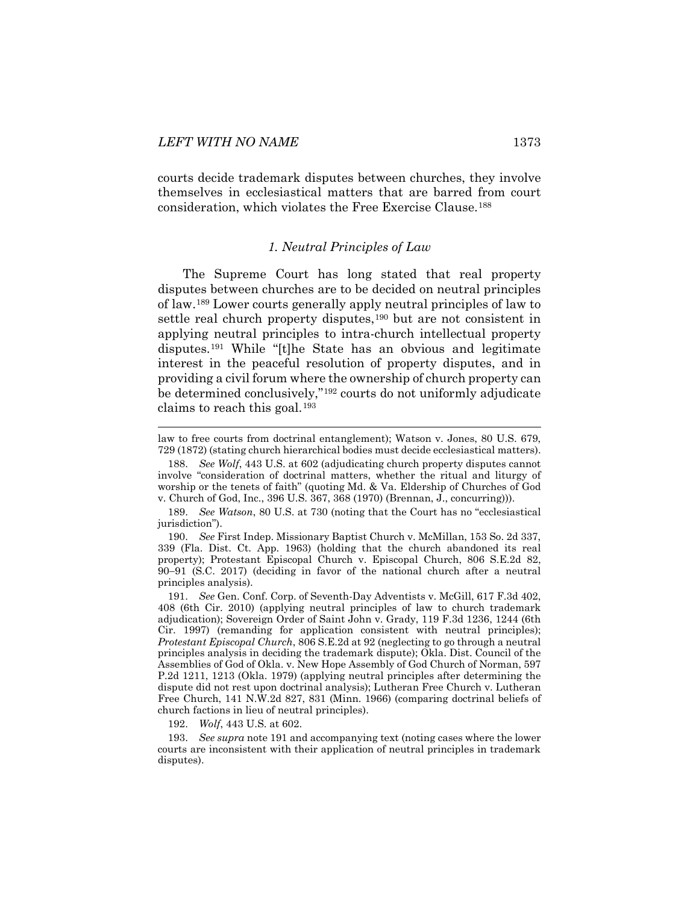<span id="page-29-0"></span>courts decide trademark disputes between churches, they involve themselves in ecclesiastical matters that are barred from court consideration, which violates the Free Exercise Clause.[188](#page-29-2)

#### <span id="page-29-8"></span>*1. Neutral Principles of Law*

<span id="page-29-1"></span>The Supreme Court has long stated that real property disputes between churches are to be decided on neutral principles of law.[189](#page-29-3) Lower courts generally apply neutral principles of law to settle real church property disputes,<sup>[190](#page-29-4)</sup> but are not consistent in applying neutral principles to intra-church intellectual property disputes.[191](#page-29-5) While "[t]he State has an obvious and legitimate interest in the peaceful resolution of property disputes, and in providing a civil forum where the ownership of church property can be determined conclusively,"[192](#page-29-6) courts do not uniformly adjudicate claims to reach this goal.[193](#page-29-7) 

192. *Wolf*, 443 U.S. at 602.

<span id="page-29-7"></span><span id="page-29-6"></span>193. *See supra* not[e 191](#page-29-1) and accompanying text (noting cases where the lower courts are inconsistent with their application of neutral principles in trademark disputes).

law to free courts from doctrinal entanglement); Watson v. Jones, 80 U.S. 679, 729 (1872) (stating church hierarchical bodies must decide ecclesiastical matters).

<span id="page-29-2"></span><sup>188.</sup> *See Wolf*, 443 U.S. at 602 (adjudicating church property disputes cannot involve "consideration of doctrinal matters, whether the ritual and liturgy of worship or the tenets of faith" (quoting Md. & Va. Eldership of Churches of God v. Church of God, Inc., 396 U.S. 367, 368 (1970) (Brennan, J., concurring))).

<span id="page-29-3"></span><sup>189.</sup> *See Watson*, 80 U.S. at 730 (noting that the Court has no "ecclesiastical jurisdiction").

<span id="page-29-4"></span><sup>190.</sup> *See* First Indep. Missionary Baptist Church v. McMillan, 153 So. 2d 337, 339 (Fla. Dist. Ct. App. 1963) (holding that the church abandoned its real property); Protestant Episcopal Church v. Episcopal Church, 806 S.E.2d 82, 90−91 (S.C. 2017) (deciding in favor of the national church after a neutral principles analysis).

<span id="page-29-5"></span><sup>191.</sup> *See* Gen. Conf. Corp. of Seventh-Day Adventists v. McGill, 617 F.3d 402, 408 (6th Cir. 2010) (applying neutral principles of law to church trademark adjudication); Sovereign Order of Saint John v. Grady, 119 F.3d 1236, 1244 (6th Cir. 1997) (remanding for application consistent with neutral principles); *Protestant Episcopal Church*, 806 S.E.2d at 92 (neglecting to go through a neutral principles analysis in deciding the trademark dispute); Okla. Dist. Council of the Assemblies of God of Okla. v. New Hope Assembly of God Church of Norman, 597 P.2d 1211, 1213 (Okla. 1979) (applying neutral principles after determining the dispute did not rest upon doctrinal analysis); Lutheran Free Church v. Lutheran Free Church, 141 N.W.2d 827, 831 (Minn. 1966) (comparing doctrinal beliefs of church factions in lieu of neutral principles).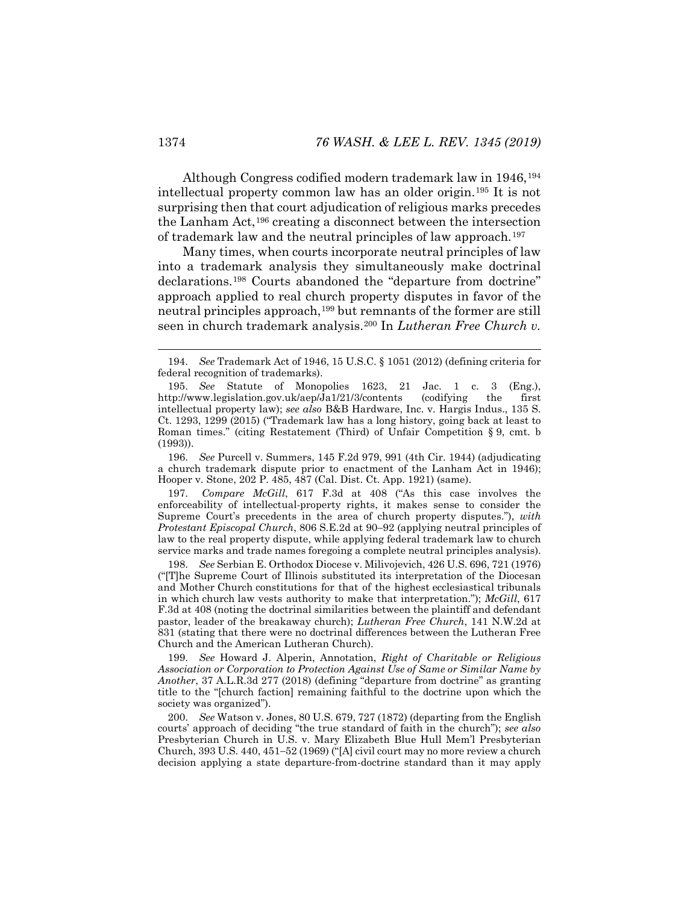Although Congress codified modern trademark law in 1946,[194](#page-30-2) intellectual property common law has an older origin.[195](#page-30-3) It is not surprising then that court adjudication of religious marks precedes the Lanham Act,[196](#page-30-4) creating a disconnect between the intersection of trademark law and the neutral principles of law approach.[197](#page-30-5)

<span id="page-30-1"></span><span id="page-30-0"></span>Many times, when courts incorporate neutral principles of law into a trademark analysis they simultaneously make doctrinal declarations.[198](#page-30-6) Courts abandoned the "departure from doctrine" approach applied to real church property disputes in favor of the neutral principles approach,<sup>[199](#page-30-7)</sup> but remnants of the former are still seen in church trademark analysis.[200](#page-30-8) In *Lutheran Free Church v.* 

<span id="page-30-4"></span>196. *See* Purcell v. Summers, 145 F.2d 979, 991 (4th Cir. 1944) (adjudicating a church trademark dispute prior to enactment of the Lanham Act in 1946); Hooper v. Stone, 202 P. 485, 487 (Cal. Dist. Ct. App. 1921) (same).

<span id="page-30-5"></span>197. *Compare McGill*, 617 F.3d at 408 ("As this case involves the enforceability of intellectual-property rights, it makes sense to consider the Supreme Court's precedents in the area of church property disputes."), *with Protestant Episcopal Church*, 806 S.E.2d at 90−92 (applying neutral principles of law to the real property dispute, while applying federal trademark law to church service marks and trade names foregoing a complete neutral principles analysis).

<span id="page-30-6"></span>198. *See* Serbian E. Orthodox Diocese v. Milivojevich, 426 U.S. 696, 721 (1976) ("[T]he Supreme Court of Illinois substituted its interpretation of the Diocesan and Mother Church constitutions for that of the highest ecclesiastical tribunals in which church law vests authority to make that interpretation."); *McGill*, 617 F.3d at 408 (noting the doctrinal similarities between the plaintiff and defendant pastor, leader of the breakaway church); *Lutheran Free Church*, 141 N.W.2d at 831 (stating that there were no doctrinal differences between the Lutheran Free Church and the American Lutheran Church).

<span id="page-30-7"></span>199. *See* Howard J. Alperin, Annotation, *Right of Charitable or Religious Association or Corporation to Protection Against Use of Same or Similar Name by Another*, 37 A.L.R.3d 277 (2018) (defining "departure from doctrine" as granting title to the "[church faction] remaining faithful to the doctrine upon which the society was organized").

<span id="page-30-8"></span>200. *See* Watson v. Jones, 80 U.S. 679, 727 (1872) (departing from the English courts' approach of deciding "the true standard of faith in the church"); *see also* Presbyterian Church in U.S. v. Mary Elizabeth Blue Hull Mem'l Presbyterian Church, 393 U.S. 440, 451−52 (1969) ("[A] civil court may no more review a church decision applying a state departure-from-doctrine standard than it may apply

<span id="page-30-2"></span> <sup>194.</sup> *See* Trademark Act of 1946, 15 U.S.C. § 1051 (2012) (defining criteria for federal recognition of trademarks).

<span id="page-30-3"></span><sup>195.</sup> *See* Statute of Monopolies 1623, 21 Jac. 1 c. 3 (Eng.), http://www.legislation.gov.uk/aep/Ja1/21/3/contents (codifying the first intellectual property law); *see also* B&B Hardware, Inc. v. Hargis Indus., 135 S. Ct. 1293, 1299 (2015) ("Trademark law has a long history, going back at least to Roman times." (citing Restatement (Third) of Unfair Competition § 9, cmt. b (1993)).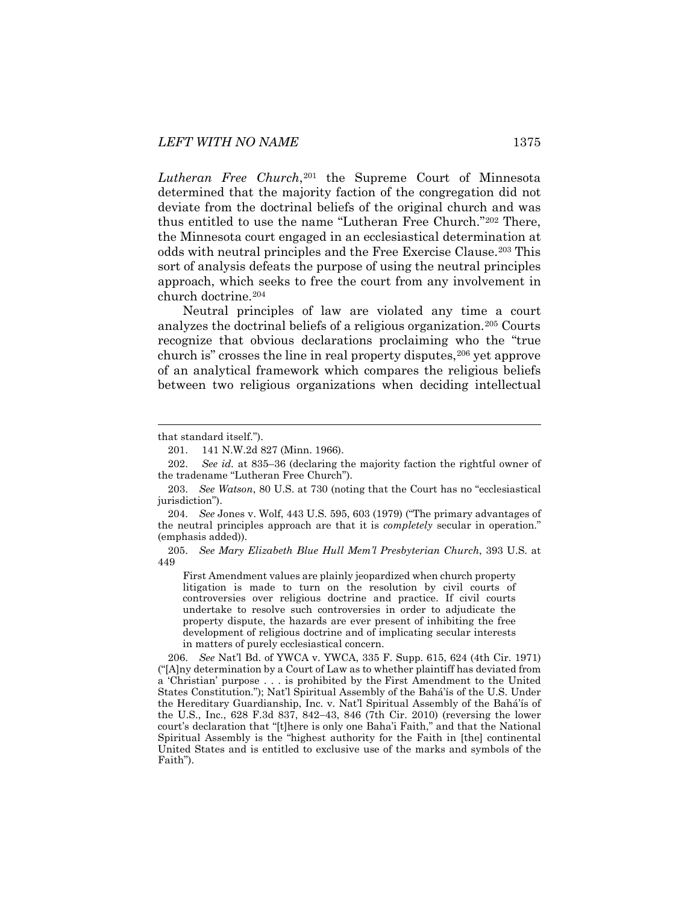Lutheran Free Church,<sup>[201](#page-31-0)</sup> the Supreme Court of Minnesota determined that the majority faction of the congregation did not deviate from the doctrinal beliefs of the original church and was thus entitled to use the name "Lutheran Free Church."[202](#page-31-1) There, the Minnesota court engaged in an ecclesiastical determination at odds with neutral principles and the Free Exercise Clause.[203](#page-31-2) This sort of analysis defeats the purpose of using the neutral principles approach, which seeks to free the court from any involvement in church doctrine.[204](#page-31-3)

<span id="page-31-6"></span>Neutral principles of law are violated any time a court analyzes the doctrinal beliefs of a religious organization.[205](#page-31-4) Courts recognize that obvious declarations proclaiming who the "true church is" crosses the line in real property disputes,<sup>[206](#page-31-5)</sup> yet approve of an analytical framework which compares the religious beliefs between two religious organizations when deciding intellectual

<span id="page-31-4"></span>205. *See Mary Elizabeth Blue Hull Mem'l Presbyterian Church*, 393 U.S. at 449

First Amendment values are plainly jeopardized when church property litigation is made to turn on the resolution by civil courts of controversies over religious doctrine and practice. If civil courts undertake to resolve such controversies in order to adjudicate the property dispute, the hazards are ever present of inhibiting the free development of religious doctrine and of implicating secular interests in matters of purely ecclesiastical concern.

<span id="page-31-5"></span>206. *See* Nat'l Bd. of YWCA v. YWCA, 335 F. Supp. 615, 624 (4th Cir. 1971) ("[A]ny determination by a Court of Law as to whether plaintiff has deviated from a 'Christian' purpose . . . is prohibited by the [First Amendment to the United](https://advance.lexis.com/document/?pdmfid=1000516&crid=27c73839-11e6-458c-9e30-965e420b140f&pdworkfolderid=25efff43-cfc4-4184-b9d2-7cb168744273&ecomp=cxJdk&earg=25efff43-cfc4-4184-b9d2-7cb168744273&prid=70e459f3-c74a-4146-8622-8e5c50615fe4)  [States Constitution.](https://advance.lexis.com/document/?pdmfid=1000516&crid=27c73839-11e6-458c-9e30-965e420b140f&pdworkfolderid=25efff43-cfc4-4184-b9d2-7cb168744273&ecomp=cxJdk&earg=25efff43-cfc4-4184-b9d2-7cb168744273&prid=70e459f3-c74a-4146-8622-8e5c50615fe4)"); Nat'l Spiritual Assembly of the Bahá'ís of the U.S. Under the Hereditary Guardianship, Inc. v. Nat'l Spiritual Assembly of the Bahá'ís of the U.S., Inc., 628 F.3d 837, 842−43, 846 (7th Cir. 2010) (reversing the lower court's declaration that "[t]here is only one Baha'i Faith," and that the National Spiritual Assembly is the "highest authority for the Faith in [the] continental United States and is entitled to exclusive use of the marks and symbols of the Faith").

<span id="page-31-0"></span>that standard itself.").

<sup>201.</sup> 141 N.W.2d 827 (Minn. 1966).

<span id="page-31-1"></span><sup>202.</sup> *See id.* at 835–36 (declaring the majority faction the rightful owner of the tradename "Lutheran Free Church").

<span id="page-31-2"></span><sup>203.</sup> *See Watson*, 80 U.S. at 730 (noting that the Court has no "ecclesiastical jurisdiction").

<span id="page-31-3"></span><sup>204.</sup> *See* Jones v. Wolf, 443 U.S. 595, 603 (1979) ("The primary advantages of the neutral principles approach are that it is *completely* secular in operation." (emphasis added)).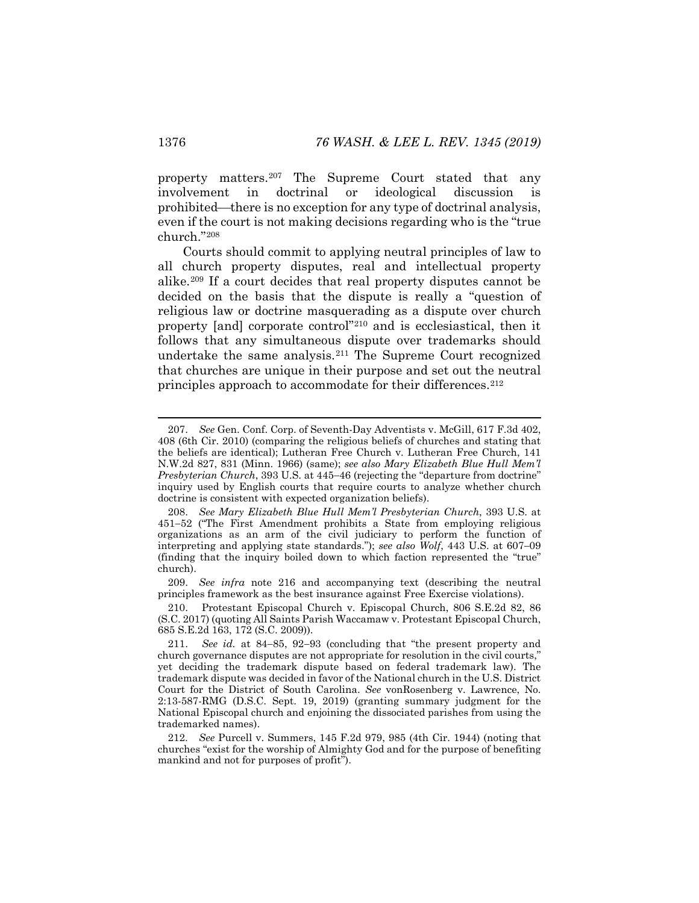property matters[.207](#page-32-0) The Supreme Court stated that any involvement in doctrinal or ideological discussion is prohibited—there is no exception for any type of doctrinal analysis, even if the court is not making decisions regarding who is the "true church."[208](#page-32-1)

<span id="page-32-6"></span>Courts should commit to applying neutral principles of law to all church property disputes, real and intellectual property alike.[209](#page-32-2) If a court decides that real property disputes cannot be decided on the basis that the dispute is really a "question of religious law or doctrine masquerading as a dispute over church property [and] corporate control["210](#page-32-3) and is ecclesiastical, then it follows that any simultaneous dispute over trademarks should undertake the same analysis.[211](#page-32-4) The Supreme Court recognized that churches are unique in their purpose and set out the neutral principles approach to accommodate for their differences.<sup>[212](#page-32-5)</sup>

<span id="page-32-2"></span>209. *See infra* note [216](#page-33-0) and accompanying text (describing the neutral principles framework as the best insurance against Free Exercise violations).

<span id="page-32-7"></span><span id="page-32-0"></span> <sup>207.</sup> *See* Gen. Conf. Corp. of Seventh-Day Adventists v. McGill, 617 F.3d 402, 408 (6th Cir. 2010) (comparing the religious beliefs of churches and stating that the beliefs are identical); Lutheran Free Church v. Lutheran Free Church, 141 N.W.2d 827, 831 (Minn. 1966) (same); *see also Mary Elizabeth Blue Hull Mem'l Presbyterian Church*, 393 U.S. at 445–46 (rejecting the "departure from doctrine" inquiry used by English courts that require courts to analyze whether church doctrine is consistent with expected organization beliefs).

<span id="page-32-1"></span><sup>208.</sup> *See Mary Elizabeth Blue Hull Mem'l Presbyterian Church*, 393 U.S. at 451−52 ("The First Amendment prohibits a State from employing religious organizations as an arm of the civil judiciary to perform the function of interpreting and applying state standards."); *see also Wolf*, 443 U.S. at 607−09 (finding that the inquiry boiled down to which faction represented the "true" church).

<span id="page-32-3"></span><sup>210.</sup> Protestant Episcopal Church v. Episcopal Church, 806 S.E.2d 82, 86 (S.C. 2017) (quoting All Saints Parish Waccamaw v. Protestant Episcopal Church, 685 S.E.2d 163, 172 (S.C. 2009)).

<span id="page-32-4"></span><sup>211.</sup> *See id.* at 84−85, 92−93 (concluding that "the present property and church governance disputes are not appropriate for resolution in the civil courts," yet deciding the trademark dispute based on federal trademark law). The trademark dispute was decided in favor of the National church in the U.S. District Court for the District of South Carolina. *See* vonRosenberg v. Lawrence, No. 2:13-587-RMG (D.S.C. Sept. 19, 2019) (granting summary judgment for the National Episcopal church and enjoining the dissociated parishes from using the trademarked names).

<span id="page-32-5"></span><sup>212.</sup> *See* Purcell v. Summers, 145 F.2d 979, 985 (4th Cir. 1944) (noting that churches "exist for the worship of Almighty God and for the purpose of benefiting mankind and not for purposes of profit").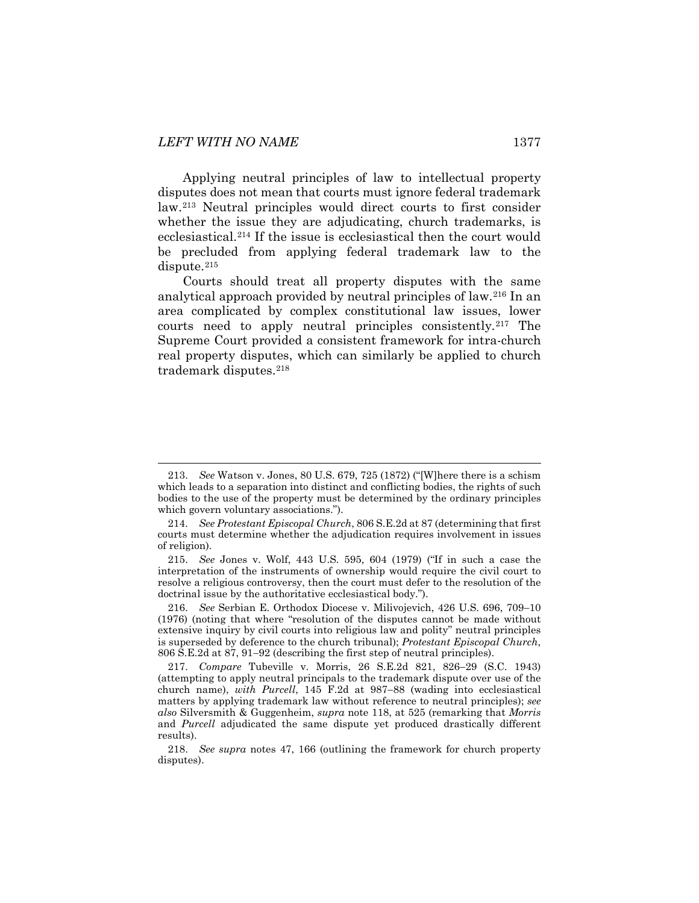Applying neutral principles of law to intellectual property disputes does not mean that courts must ignore federal trademark law.[213](#page-33-1) Neutral principles would direct courts to first consider whether the issue they are adjudicating, church trademarks, is ecclesiastical.[214](#page-33-2) If the issue is ecclesiastical then the court would be precluded from applying federal trademark law to the dispute.<sup>[215](#page-33-3)</sup>

<span id="page-33-8"></span><span id="page-33-7"></span><span id="page-33-0"></span>Courts should treat all property disputes with the same analytical approach provided by neutral principles of law.[216](#page-33-4) In an area complicated by complex constitutional law issues, lower courts need to apply neutral principles consistently.[217](#page-33-5) The Supreme Court provided a consistent framework for intra-church real property disputes, which can similarly be applied to church trademark disputes.[218](#page-33-6)

<span id="page-33-1"></span> <sup>213.</sup> *See* Watson v. Jones, 80 U.S. 679, 725 (1872) ("[W]here there is a schism which leads to a separation into distinct and conflicting bodies, the rights of such bodies to the use of the property must be determined by the ordinary principles which govern voluntary associations.").

<span id="page-33-2"></span><sup>214.</sup> *See Protestant Episcopal Church*, 806 S.E.2d at 87 (determining that first courts must determine whether the adjudication requires involvement in issues of religion).

<span id="page-33-3"></span><sup>215.</sup> *See* Jones v. Wolf, 443 U.S. 595, 604 (1979) ("If in such a case the interpretation of the instruments of ownership would require the civil court to resolve a religious controversy, then the court must defer to the resolution of the doctrinal issue by the authoritative ecclesiastical body.").

<span id="page-33-4"></span><sup>216.</sup> *See* Serbian E. Orthodox Diocese v. Milivojevich, 426 U.S. 696, 709−10 (1976) (noting that where "resolution of the disputes cannot be made without extensive inquiry by civil courts into religious law and polity" neutral principles is superseded by deference to the church tribunal); *Protestant Episcopal Church*, 806 S.E.2d at 87, 91−92 (describing the first step of neutral principles).

<span id="page-33-5"></span><sup>217.</sup> *Compare* Tubeville v. Morris, 26 S.E.2d 821, 826−29 (S.C. 1943) (attempting to apply neutral principals to the trademark dispute over use of the church name), *with Purcell*, 145 F.2d at 987−88 (wading into ecclesiastical matters by applying trademark law without reference to neutral principles); *see also* Silversmith & Guggenheim, *supra* note [118,](#page-19-7) at 525 (remarking that *Morris*  and *Purcell* adjudicated the same dispute yet produced drastically different results).

<span id="page-33-6"></span><sup>218.</sup> *See supra* notes [47,](#page-9-7) [166](#page-25-7) (outlining the framework for church property disputes).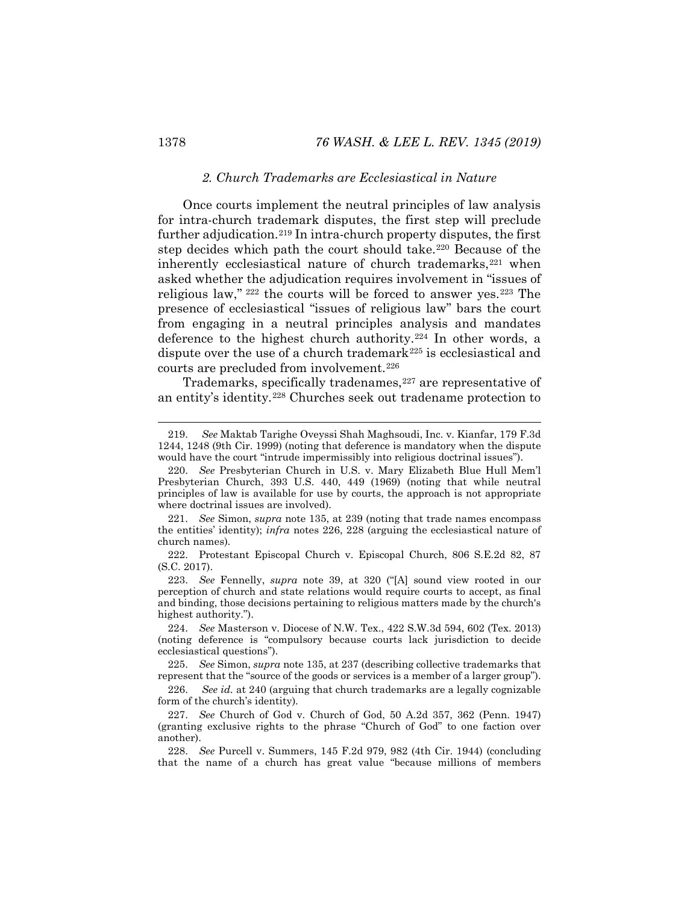#### <span id="page-34-2"></span><span id="page-34-1"></span>*2. Church Trademarks are Ecclesiastical in Nature*

<span id="page-34-0"></span>Once courts implement the neutral principles of law analysis for intra-church trademark disputes, the first step will preclude further adjudication.[219](#page-34-5) In intra-church property disputes, the first step decides which path the court should take.[220](#page-34-6) Because of the inherently ecclesiastical nature of church trademarks,<sup>[221](#page-34-7)</sup> when asked whether the adjudication requires involvement in "issues of religious law," [222](#page-34-8) the courts will be forced to answer yes.[223](#page-34-9) The presence of ecclesiastical "issues of religious law" bars the court from engaging in a neutral principles analysis and mandates deference to the highest church authority.[224](#page-34-10) In other words, a dispute over the use of a church trademark<sup>[225](#page-34-11)</sup> is ecclesiastical and courts are precluded from involvement.[226](#page-34-12)

<span id="page-34-15"></span><span id="page-34-4"></span><span id="page-34-3"></span>Trademarks, specifically tradenames,<sup>[227](#page-34-13)</sup> are representative of an entity's identity.[228](#page-34-14) Churches seek out tradename protection to

<span id="page-34-5"></span> <sup>219.</sup> *See* Maktab Tarighe Oveyssi Shah Maghsoudi, Inc. v. Kianfar, 179 F.3d 1244, 1248 (9th Cir. 1999) (noting that deference is mandatory when the dispute would have the court "intrude impermissibly into religious doctrinal issues").

<span id="page-34-6"></span><sup>220.</sup> *See* Presbyterian Church in U.S. v. Mary Elizabeth Blue Hull Mem'l Presbyterian Church, 393 U.S. 440, 449 (1969) (noting that while neutral principles of law is available for use by courts, the approach is not appropriate where doctrinal issues are involved).

<span id="page-34-7"></span><sup>221.</sup> *See* Simon, *supra* note [135,](#page-21-11) at 239 (noting that trade names encompass the entities' identity); *infra* notes [226,](#page-34-3) [228](#page-34-4) (arguing the ecclesiastical nature of church names).

<span id="page-34-8"></span><sup>222.</sup> Protestant Episcopal Church v. Episcopal Church, 806 S.E.2d 82, 87 (S.C. 2017).

<span id="page-34-9"></span><sup>223.</sup> *See* Fennelly, *supra* note [39,](#page-8-7) at 320 ("[A] sound view rooted in our perception of church and state relations would require courts to accept, as final and binding, those decisions pertaining to religious matters made by the church's highest authority.").

<span id="page-34-10"></span><sup>224.</sup> *See* Masterson v. Diocese of N.W. Tex., 422 S.W.3d 594, 602 (Tex. 2013) (noting deference is "compulsory because courts lack jurisdiction to decide ecclesiastical questions").

<span id="page-34-11"></span><sup>225.</sup> *See* Simon, *supra* not[e 135,](#page-21-11) at 237 (describing collective trademarks that represent that the "source of the goods or services is a member of a larger group").

<span id="page-34-12"></span><sup>226.</sup> *See id.* at 240 (arguing that church trademarks are a legally cognizable form of the church's identity).

<span id="page-34-13"></span><sup>227.</sup> *See* Church of God v. Church of God, 50 A.2d 357, 362 (Penn. 1947) (granting exclusive rights to the phrase "Church of God" to one faction over another).

<span id="page-34-14"></span><sup>228.</sup> *See* Purcell v. Summers, 145 F.2d 979, 982 (4th Cir. 1944) (concluding that the name of a church has great value "because millions of members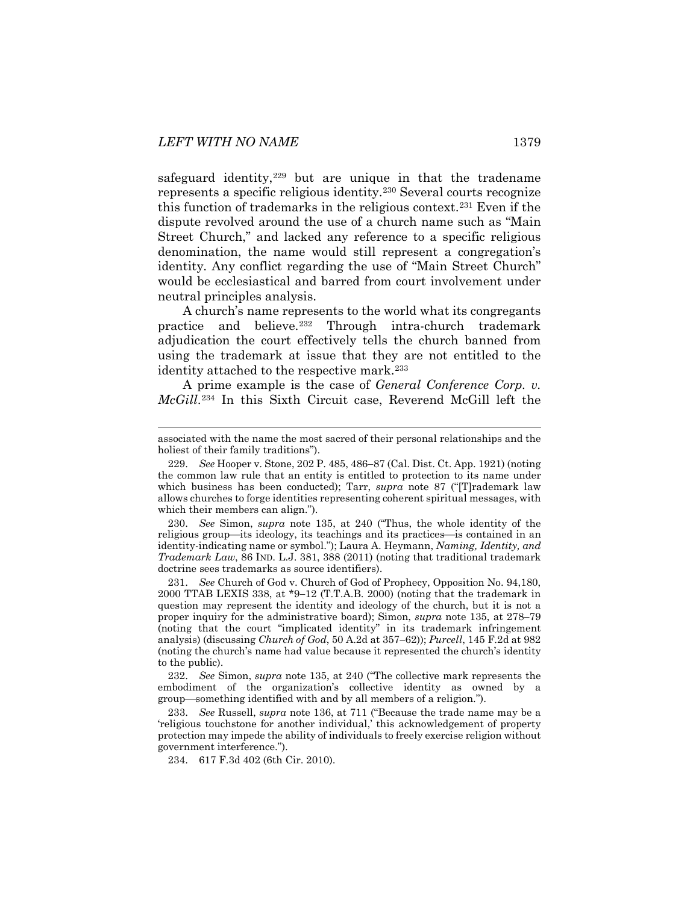safeguard identity, $229$  but are unique in that the tradename represents a specific religious identity.[230](#page-35-1) Several courts recognize this function of trademarks in the religious context.[231](#page-35-2) Even if the dispute revolved around the use of a church name such as "Main Street Church," and lacked any reference to a specific religious denomination, the name would still represent a congregation's identity. Any conflict regarding the use of "Main Street Church" would be ecclesiastical and barred from court involvement under neutral principles analysis.

A church's name represents to the world what its congregants practice and believe.[232](#page-35-3) Through intra-church trademark adjudication the court effectively tells the church banned from using the trademark at issue that they are not entitled to the identity attached to the respective mark.<sup>[233](#page-35-4)</sup>

<span id="page-35-6"></span>A prime example is the case of *General Conference Corp. v. McGill*.[234](#page-35-5) In this Sixth Circuit case, Reverend McGill left the

<span id="page-35-1"></span>230. *See* Simon, *supra* note [135,](#page-21-11) at 240 ("Thus, the whole identity of the religious group—its ideology, its teachings and its practices—is contained in an identity-indicating name or symbol."); Laura A. Heymann, *Naming, Identity, and Trademark Law*, 86 IND. L.J. 381, 388 (2011) (noting that traditional trademark doctrine sees trademarks as source identifiers).

<span id="page-35-2"></span>231. *See* Church of God v. Church of God of Prophecy, Opposition No. 94,180, 2000 TTAB LEXIS 338, at \*9−12 (T.T.A.B. 2000) (noting that the trademark in question may represent the identity and ideology of the church, but it is not a proper inquiry for the administrative board); Simon, *supra* note [135,](#page-21-11) at 278−79 (noting that the court "implicated identity" in its trademark infringement analysis) (discussing *Church of God*, 50 A.2d at 357−62)); *Purcell*, 145 F.2d at 982 (noting the church's name had value because it represented the church's identity to the public).

<span id="page-35-3"></span>232. *See* Simon, *supra* note [135,](#page-21-11) at 240 ("The collective mark represents the embodiment of the organization's collective identity as owned by a group—something identified with and by all members of a religion.").

<span id="page-35-5"></span><span id="page-35-4"></span>233. *See* Russell, *supra* note [136,](#page-21-10) at 711 ("Because the trade name may be a 'religious touchstone for another individual,' this acknowledgement of property protection may impede the ability of individuals to freely exercise religion without government interference.").

234. 617 F.3d 402 (6th Cir. 2010).

associated with the name the most sacred of their personal relationships and the holiest of their family traditions").

<span id="page-35-0"></span><sup>229.</sup> *See* Hooper v. Stone, 202 P. 485, 486−87 (Cal. Dist. Ct. App. 1921) (noting the common law rule that an entity is entitled to protection to its name under which business has been conducted); Tarr, *supra* note [87](#page-14-9) ("[T]rademark law allows churches to forge identities representing coherent spiritual messages, with which their members can align.").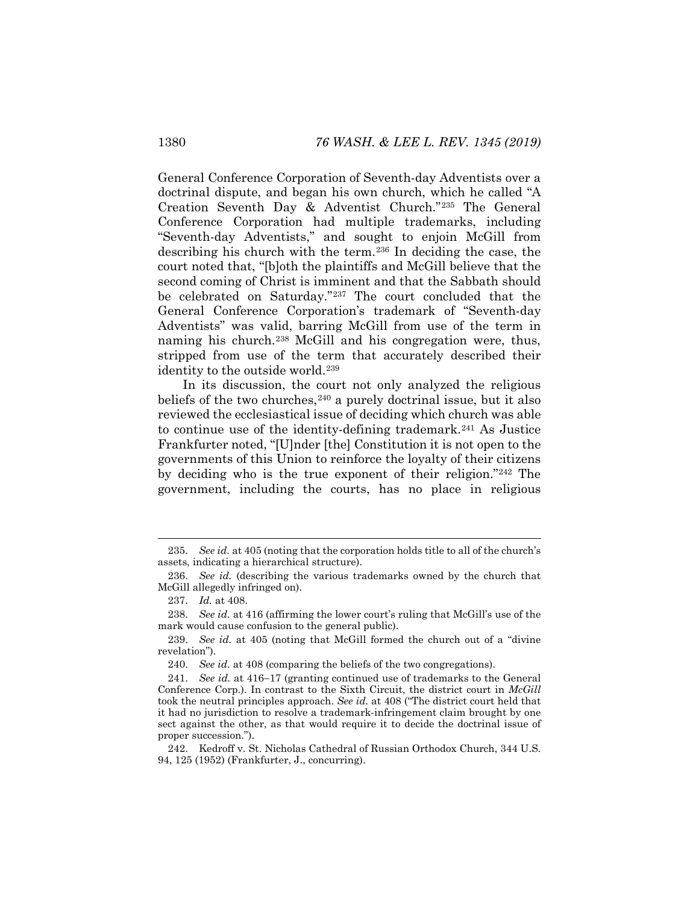General Conference Corporation of Seventh-day Adventists over a doctrinal dispute, and began his own church, which he called "A Creation Seventh Day & Adventist Church."[235](#page-36-0) The General Conference Corporation had multiple trademarks, including "Seventh-day Adventists," and sought to enjoin McGill from describing his church with the term.[236](#page-36-1) In deciding the case, the court noted that, "[b]oth the plaintiffs and McGill believe that the second coming of Christ is imminent and that the Sabbath should be celebrated on Saturday."[237](#page-36-2) The court concluded that the General Conference Corporation's trademark of "Seventh-day Adventists" was valid, barring McGill from use of the term in naming his church.<sup>[238](#page-36-3)</sup> McGill and his congregation were, thus, stripped from use of the term that accurately described their identity to the outside world.<sup>[239](#page-36-4)</sup>

In its discussion, the court not only analyzed the religious beliefs of the two churches,<sup>[240](#page-36-5)</sup> a purely doctrinal issue, but it also reviewed the ecclesiastical issue of deciding which church was able to continue use of the identity-defining trademark.[241](#page-36-6) As Justice Frankfurter noted, "[U]nder [the] Constitution it is not open to the governments of this Union to reinforce the loyalty of their citizens by deciding who is the true exponent of their religion."[242](#page-36-7) The government, including the courts, has no place in religious

<span id="page-36-0"></span> <sup>235.</sup> *See id.* at 405 (noting that the corporation holds title to all of the church's assets, indicating a hierarchical structure).

<span id="page-36-2"></span><span id="page-36-1"></span><sup>236.</sup> *See id.* (describing the various trademarks owned by the church that McGill allegedly infringed on).

<sup>237.</sup> *Id.* at 408.

<span id="page-36-3"></span><sup>238.</sup> *See id.* at 416 (affirming the lower court's ruling that McGill's use of the mark would cause confusion to the general public).

<span id="page-36-4"></span><sup>239.</sup> *See id.* at 405 (noting that McGill formed the church out of a "divine revelation").

<sup>240.</sup> *See id.* at 408 (comparing the beliefs of the two congregations).

<span id="page-36-6"></span><span id="page-36-5"></span><sup>241.</sup> *See id.* at 416−17 (granting continued use of trademarks to the General Conference Corp.). In contrast to the Sixth Circuit, the district court in *McGill*  took the neutral principles approach. *See id.* at 408 ("The district court held that it had no jurisdiction to resolve a trademark-infringement claim brought by one sect against the other, as that would require it to decide the doctrinal issue of proper succession.").

<span id="page-36-7"></span><sup>242.</sup> Kedroff v. St. Nicholas Cathedral of Russian Orthodox Church, 344 U.S. 94, 125 (1952) (Frankfurter, J., concurring).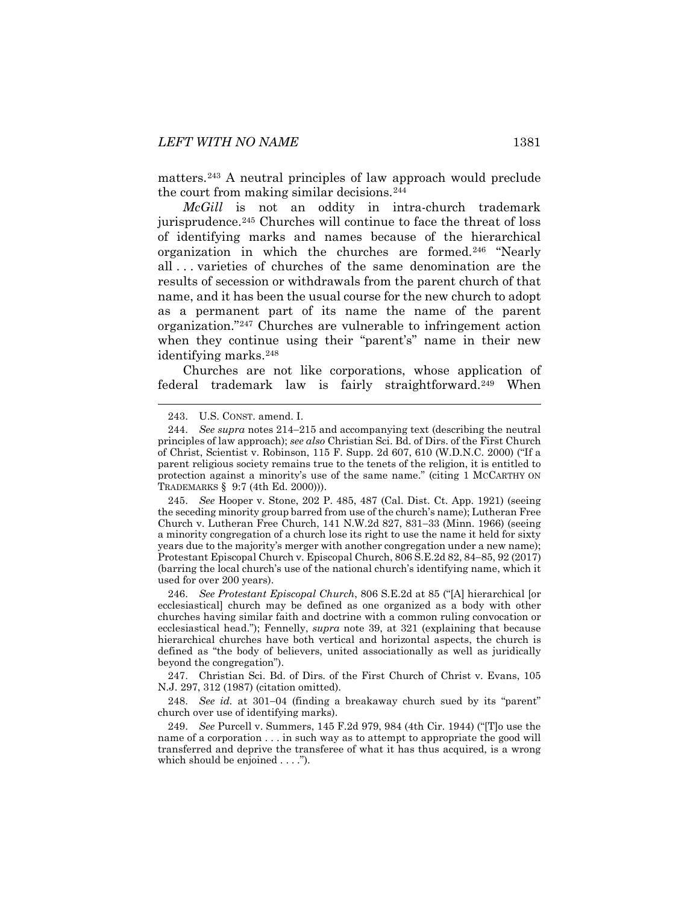matters.[243](#page-37-1) A neutral principles of law approach would preclude the court from making similar decisions.[244](#page-37-2)

<span id="page-37-0"></span>*McGill* is not an oddity in intra-church trademark jurisprudence.<sup>[245](#page-37-3)</sup> Churches will continue to face the threat of loss of identifying marks and names because of the hierarchical organization in which the churches are formed.[246](#page-37-4) "Nearly all . . . varieties of churches of the same denomination are the results of secession or withdrawals from the parent church of that name, and it has been the usual course for the new church to adopt as a permanent part of its name the name of the parent organization."[247](#page-37-5) Churches are vulnerable to infringement action when they continue using their "parent's" name in their new identifying marks.[248](#page-37-6)

Churches are not like corporations, whose application of federal trademark law is fairly straightforward.[249](#page-37-7) When

<span id="page-37-4"></span>246. *See Protestant Episcopal Church*, 806 S.E.2d at 85 ("[A] hierarchical [or ecclesiastical] church may be defined as one organized as a body with other churches having similar faith and doctrine with a common ruling convocation or ecclesiastical head."); Fennelly, *supra* note [39,](#page-8-7) at 321 (explaining that because hierarchical churches have both vertical and horizontal aspects, the church is defined as "the body of believers, united associationally as well as juridically beyond the congregation").

<span id="page-37-5"></span>247. Christian Sci. Bd. of Dirs. of the First Church of Christ v. Evans, 105 N.J. 297, 312 (1987) (citation omitted).

<span id="page-37-6"></span>248. *See id.* at 301−04 (finding a breakaway church sued by its "parent" church over use of identifying marks).

<span id="page-37-7"></span>249. *See* Purcell v. Summers, 145 F.2d 979, 984 (4th Cir. 1944) ("[T]o use the name of a corporation . . . in such way as to attempt to appropriate the good will transferred and deprive the transferee of what it has thus acquired, is a wrong which should be enjoined . . . .").

 <sup>243.</sup> U.S. CONST. amend. I.

<span id="page-37-2"></span><span id="page-37-1"></span><sup>244.</sup> *See supra* notes [214](#page-33-7)−[215](#page-33-8) and accompanying text (describing the neutral principles of law approach); *see also* Christian Sci. Bd. of Dirs. of the First Church of Christ, Scientist v. Robinson, 115 F. Supp. 2d 607, 610 (W.D.N.C. 2000) ("If a parent religious society remains true to the tenets of the religion, it is entitled to protection against a minority's use of the same name." (citing 1 MCCARTHY ON TRADEMARKS § 9:7 (4th Ed. 2000))).

<span id="page-37-3"></span><sup>245.</sup> *See* Hooper v. Stone, 202 P. 485, 487 (Cal. Dist. Ct. App. 1921) (seeing the seceding minority group barred from use of the church's name); Lutheran Free Church v. Lutheran Free Church, 141 N.W.2d 827, 831−33 (Minn. 1966) (seeing a minority congregation of a church lose its right to use the name it held for sixty years due to the majority's merger with another congregation under a new name); Protestant Episcopal Church v. Episcopal Church, 806 S.E.2d 82, 84−85, 92 (2017) (barring the local church's use of the national church's identifying name, which it used for over 200 years).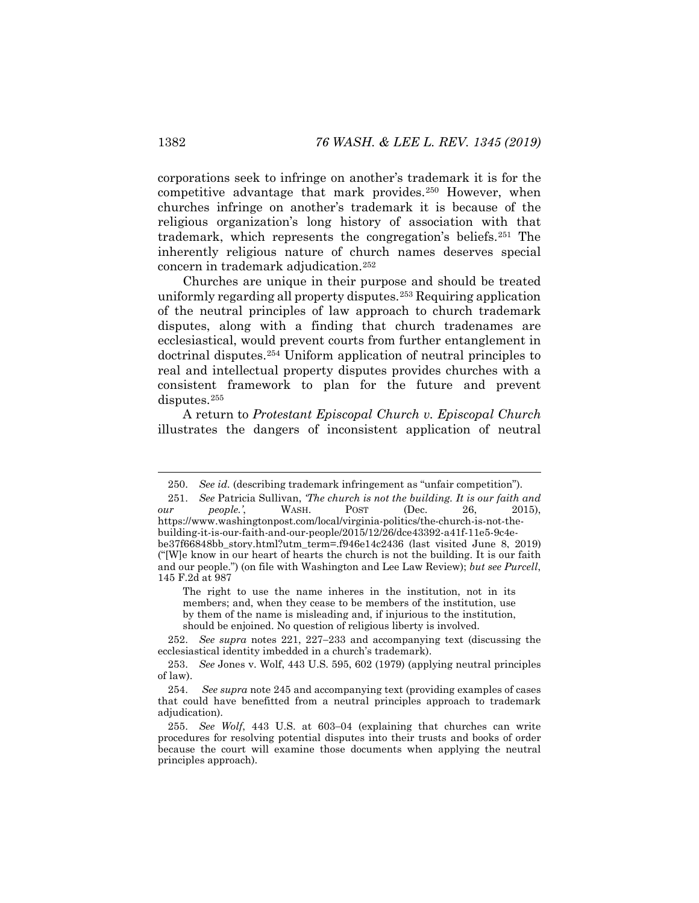corporations seek to infringe on another's trademark it is for the competitive advantage that mark provides.[250](#page-38-0) However, when churches infringe on another's trademark it is because of the religious organization's long history of association with that trademark, which represents the congregation's beliefs[.251](#page-38-1) The inherently religious nature of church names deserves special concern in trademark adjudication.[252](#page-38-2)

<span id="page-38-6"></span>Churches are unique in their purpose and should be treated uniformly regarding all property disputes.[253](#page-38-3) Requiring application of the neutral principles of law approach to church trademark disputes, along with a finding that church tradenames are ecclesiastical, would prevent courts from further entanglement in doctrinal disputes.[254](#page-38-4) Uniform application of neutral principles to real and intellectual property disputes provides churches with a consistent framework to plan for the future and prevent disputes.<sup>[255](#page-38-5)</sup>

<span id="page-38-7"></span>A return to *Protestant Episcopal Church v. Episcopal Church* illustrates the dangers of inconsistent application of neutral

The right to use the name inheres in the institution, not in its members; and, when they cease to be members of the institution, use by them of the name is misleading and, if injurious to the institution, should be enjoined. No question of religious liberty is involved.

<span id="page-38-2"></span>252. *See supra* notes [221,](#page-34-1) [227](#page-34-15)−[233](#page-35-6) and accompanying text (discussing the ecclesiastical identity imbedded in a church's trademark).

 <sup>250.</sup> *See id.* (describing trademark infringement as "unfair competition").

<span id="page-38-1"></span><span id="page-38-0"></span><sup>251.</sup> *See Patricia Sullivan, The church is not the building. It is our faith and*  $\mu r$  *people.*, WASH. POST (Dec. 26, 2015). *our people.*', WASH. POST (Dec. 26, https://www.washingtonpost.com/local/virginia-politics/the-church-is-not-thebuilding-it-is-our-faith-and-our-people/2015/12/26/dce43392-a41f-11e5-9c4ebe37f66848bb\_story.html?utm\_term=.f946e14c2436 (last visited June 8, 2019) ("[W]e know in our heart of hearts the church is not the building. It is our faith and our people.") (on file with Washington and Lee Law Review); *but see Purcell*, 145 F.2d at 987

<span id="page-38-3"></span><sup>253.</sup> *See* Jones v. Wolf, 443 U.S. 595, 602 (1979) (applying neutral principles of law).

<span id="page-38-4"></span><sup>254.</sup> *See supra* not[e 245](#page-37-0) and accompanying text (providing examples of cases that could have benefitted from a neutral principles approach to trademark adjudication).

<span id="page-38-5"></span><sup>255.</sup> *See Wolf*, 443 U.S. at 603−04 (explaining that churches can write procedures for resolving potential disputes into their trusts and books of order because the court will examine those documents when applying the neutral principles approach).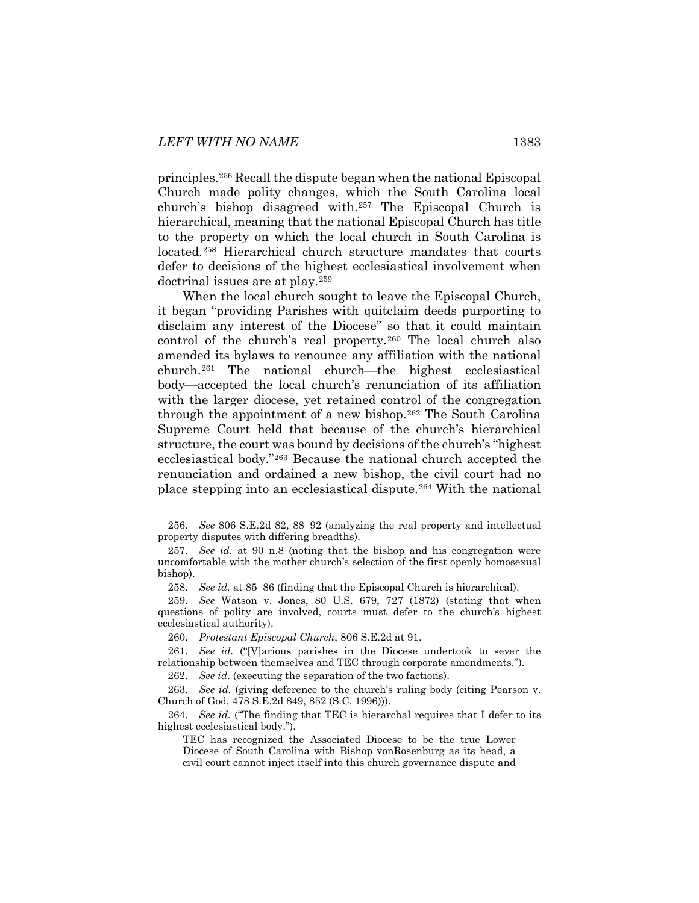principles.[256](#page-39-0) Recall the dispute began when the national Episcopal Church made polity changes, which the South Carolina local church's bishop disagreed with.[257](#page-39-1) The Episcopal Church is hierarchical, meaning that the national Episcopal Church has title to the property on which the local church in South Carolina is located.[258](#page-39-2) Hierarchical church structure mandates that courts defer to decisions of the highest ecclesiastical involvement when doctrinal issues are at play.[259](#page-39-3)

When the local church sought to leave the Episcopal Church, it began "providing Parishes with quitclaim deeds purporting to disclaim any interest of the Diocese" so that it could maintain control of the church's real property.[260](#page-39-4) The local church also amended its bylaws to renounce any affiliation with the national church.<sup>[261](#page-39-5)</sup> The national church—the highest ecclesiastical body—accepted the local church's renunciation of its affiliation with the larger diocese, yet retained control of the congregation through the appointment of a new bishop.[262](#page-39-6) The South Carolina Supreme Court held that because of the church's hierarchical structure, the court was bound by decisions of the church's "highest ecclesiastical body.["263](#page-39-7) Because the national church accepted the renunciation and ordained a new bishop, the civil court had no place stepping into an ecclesiastical dispute.[264](#page-39-8) With the national

262. *See id.* (executing the separation of the two factions).

<span id="page-39-0"></span> <sup>256.</sup> *See* 806 S.E.2d 82, 88−92 (analyzing the real property and intellectual property disputes with differing breadths).

<span id="page-39-1"></span><sup>257.</sup> *See id.* at 90 n.8 (noting that the bishop and his congregation were uncomfortable with the mother church's selection of the first openly homosexual bishop).

<sup>258.</sup> *See id.* at 85−86 (finding that the Episcopal Church is hierarchical).

<span id="page-39-3"></span><span id="page-39-2"></span><sup>259.</sup> *See* Watson v. Jones, 80 U.S. 679, 727 (1872) (stating that when questions of polity are involved, courts must defer to the church's highest ecclesiastical authority).

<sup>260.</sup> *Protestant Episcopal Church*, 806 S.E.2d at 91.

<span id="page-39-6"></span><span id="page-39-5"></span><span id="page-39-4"></span><sup>261.</sup> *See id.* ("[V]arious parishes in the Diocese undertook to sever the relationship between themselves and TEC through corporate amendments.").

<span id="page-39-7"></span><sup>263.</sup> *See id.* (giving deference to the church's ruling body (citing Pearson v. Church of God, 478 S.E.2d 849, 852 (S.C. 1996))).

<span id="page-39-8"></span><sup>264.</sup> *See id.* ("The finding that TEC is hierarchal requires that I defer to its highest ecclesiastical body.").

TEC has recognized the Associated Diocese to be the true Lower Diocese of South Carolina with Bishop vonRosenburg as its head, a civil court cannot inject itself into this church governance dispute and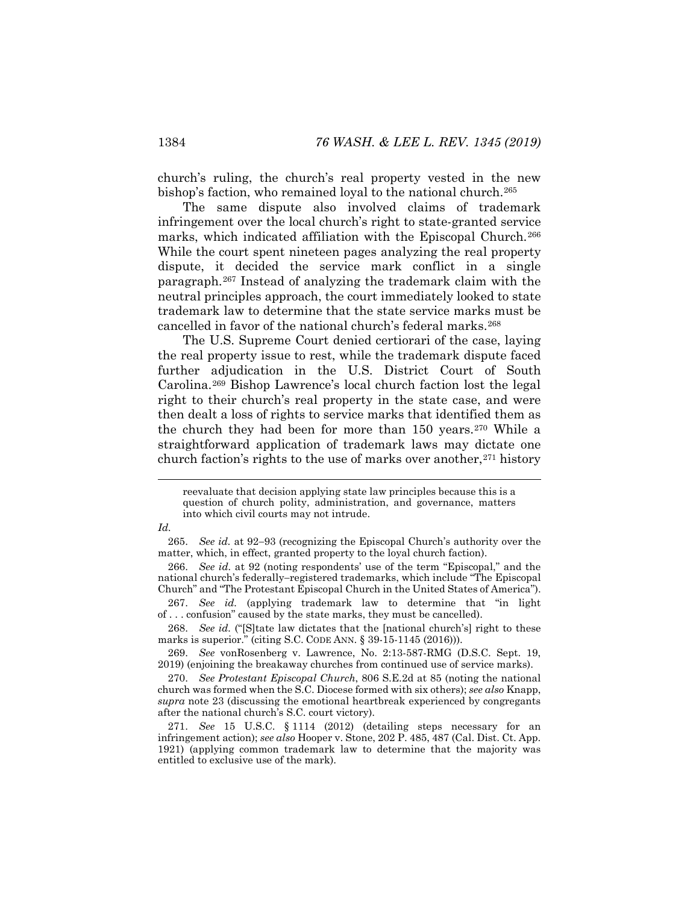church's ruling, the church's real property vested in the new bishop's faction, who remained loyal to the national church.<sup>265</sup>

The same dispute also involved claims of trademark infringement over the local church's right to state-granted service marks, which indicated affiliation with the Episcopal Church.<sup>[266](#page-40-1)</sup> While the court spent nineteen pages analyzing the real property dispute, it decided the service mark conflict in a single paragraph.[267](#page-40-2) Instead of analyzing the trademark claim with the neutral principles approach, the court immediately looked to state trademark law to determine that the state service marks must be cancelled in favor of the national church's federal marks.<sup>[268](#page-40-3)</sup>

The U.S. Supreme Court denied certiorari of the case, laying the real property issue to rest, while the trademark dispute faced further adjudication in the U.S. District Court of South Carolina.[269](#page-40-4) Bishop Lawrence's local church faction lost the legal right to their church's real property in the state case, and were then dealt a loss of rights to service marks that identified them as the church they had been for more than 150 years.[270](#page-40-5) While a straightforward application of trademark laws may dictate one church faction's rights to the use of marks over another,  $271$  history

#### <span id="page-40-0"></span>*Id.*

<span id="page-40-1"></span>266. *See id.* at 92 (noting respondents' use of the term "Episcopal," and the national church's federally−registered trademarks, which include "The Episcopal Church" and "The Protestant Episcopal Church in the United States of America").

<span id="page-40-2"></span>267. *See id.* (applying trademark law to determine that "in light of . . . confusion" caused by the state marks, they must be cancelled).

<span id="page-40-3"></span>268. *See id.* ("[S]tate law dictates that the [national church's] right to these marks is superior." (citing S.C. CODE ANN. § 39-15-1145 (2016))).

<span id="page-40-4"></span>269. *See* vonRosenberg v. Lawrence, No. 2:13-587-RMG (D.S.C. Sept. 19, 2019) (enjoining the breakaway churches from continued use of service marks).

<span id="page-40-5"></span>270. *See Protestant Episcopal Church*, 806 S.E.2d at 85 (noting the national church was formed when the S.C. Diocese formed with six others); *see also* Knapp, *supra* note [23](#page-5-6) (discussing the emotional heartbreak experienced by congregants after the national church's S.C. court victory).

<span id="page-40-6"></span>271. *See* 15 U.S.C. § 1114 (2012) (detailing steps necessary for an infringement action); *see also* Hooper v. Stone, 202 P. 485, 487 (Cal. Dist. Ct. App. 1921) (applying common trademark law to determine that the majority was entitled to exclusive use of the mark).

reevaluate that decision applying state law principles because this is a question of church polity, administration, and governance, matters into which civil courts may not intrude.

<sup>265.</sup> *See id.* at 92−93 (recognizing the Episcopal Church's authority over the matter, which, in effect, granted property to the loyal church faction).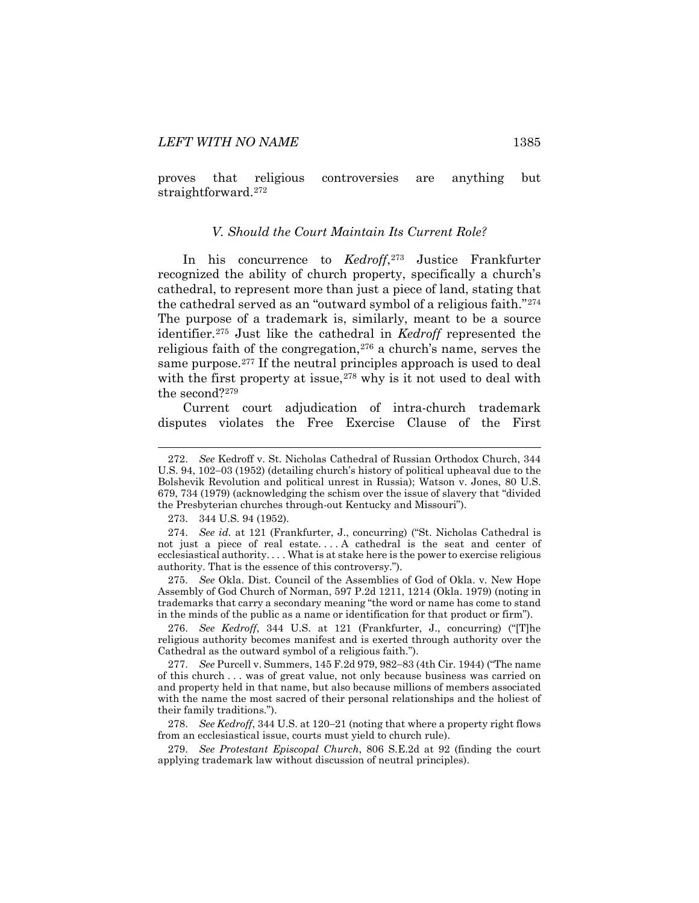<span id="page-41-0"></span>proves that religious controversies are anything but straightforward[.272](#page-41-1)

#### *V. Should the Court Maintain Its Current Role?*

In his concurrence to *Kedroff*,[273](#page-41-2) Justice Frankfurter recognized the ability of church property, specifically a church's cathedral, to represent more than just a piece of land, stating that the cathedral served as an "outward symbol of a religious faith."[274](#page-41-3) The purpose of a trademark is, similarly, meant to be a source identifier.[275](#page-41-4) Just like the cathedral in *Kedroff* represented the religious faith of the congregation,[276](#page-41-5) a church's name, serves the same purpose.<sup>[277](#page-41-6)</sup> If the neutral principles approach is used to deal with the first property at issue,  $278$  why is it not used to deal with the second?[279](#page-41-8)

Current court adjudication of intra-church trademark disputes violates the Free Exercise Clause of the First

273. 344 U.S. 94 (1952).

<span id="page-41-4"></span>275. *See* Okla. Dist. Council of the Assemblies of God of Okla. v. New Hope Assembly of God Church of Norman, 597 P.2d 1211, 1214 (Okla. 1979) (noting in trademarks that carry a secondary meaning "the word or name has come to stand in the minds of the public as a name or identification for that product or firm").

<span id="page-41-5"></span>276. *See Kedroff*, 344 U.S. at 121 (Frankfurter, J., concurring) ("[T]he religious authority becomes manifest and is exerted through authority over the Cathedral as the outward symbol of a religious faith.").

<span id="page-41-6"></span>277. *See* Purcell v. Summers, 145 F.2d 979, 982−83 (4th Cir. 1944) ("The name of this church . . . was of great value, not only because business was carried on and property held in that name, but also because millions of members associated with the name the most sacred of their personal relationships and the holiest of their family traditions.").

<span id="page-41-7"></span>278. *See Kedroff*, 344 U.S. at 120−21 (noting that where a property right flows from an ecclesiastical issue, courts must yield to church rule).

<span id="page-41-8"></span>279. *See Protestant Episcopal Church*, 806 S.E.2d at 92 (finding the court applying trademark law without discussion of neutral principles).

<span id="page-41-1"></span> <sup>272.</sup> *See* Kedroff v. St. Nicholas Cathedral of Russian Orthodox Church, <sup>344</sup> U.S. 94, 102−03 (1952) (detailing church's history of political upheaval due to the Bolshevik Revolution and political unrest in Russia); Watson v. Jones, 80 U.S. 679, 734 (1979) (acknowledging the schism over the issue of slavery that "divided the Presbyterian churches through-out Kentucky and Missouri").

<span id="page-41-3"></span><span id="page-41-2"></span><sup>274.</sup> *See id.* at 121 (Frankfurter, J., concurring) ("St. Nicholas Cathedral is not just a piece of real estate. . . . A cathedral is the seat and center of ecclesiastical authority. . . . What is at stake here is the power to exercise religious authority. That is the essence of this controversy.").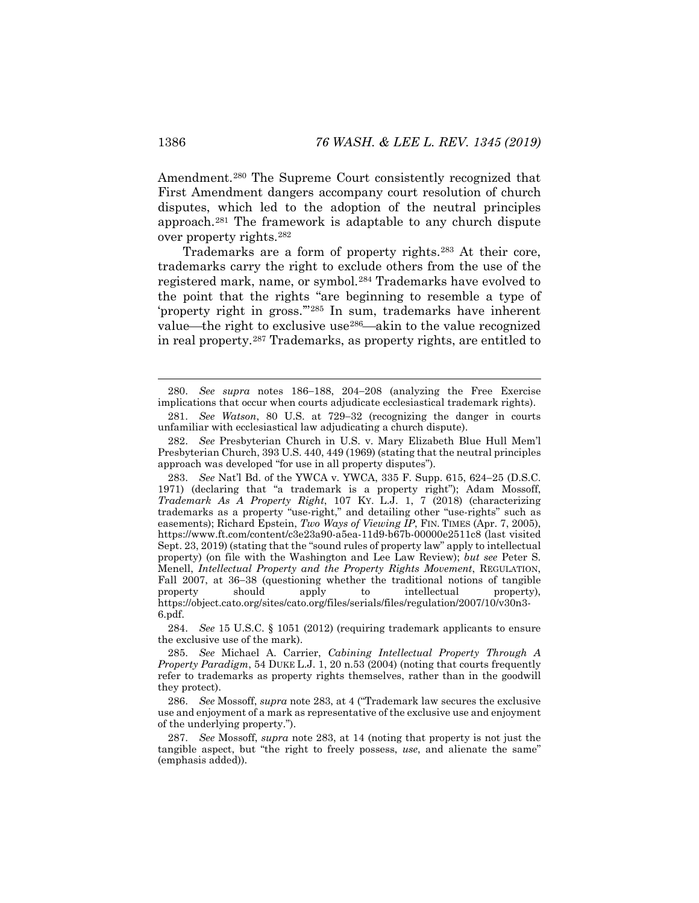Amendment.[280](#page-42-1) The Supreme Court consistently recognized that First Amendment dangers accompany court resolution of church disputes, which led to the adoption of the neutral principles approach.[281](#page-42-2) The framework is adaptable to any church dispute over property rights.[282](#page-42-3)

<span id="page-42-0"></span>Trademarks are a form of property rights.[283](#page-42-4) At their core, trademarks carry the right to exclude others from the use of the registered mark, name, or symbol.[284](#page-42-5) Trademarks have evolved to the point that the rights "are beginning to resemble a type of 'property right in gross.'"[285](#page-42-6) In sum, trademarks have inherent value—the right to exclusive use<sup>[286](#page-42-7)</sup>—akin to the value recognized in real property.[287](#page-42-8) Trademarks, as property rights, are entitled to

<span id="page-42-3"></span>282. *See* Presbyterian Church in U.S. v. Mary Elizabeth Blue Hull Mem'l Presbyterian Church, 393 U.S. 440, 449 (1969) (stating that the neutral principles approach was developed "for use in all property disputes").

<span id="page-42-1"></span> <sup>280.</sup> *See supra* notes [186](#page-28-7)−[188,](#page-29-8) [204](#page-31-6)−[208](#page-32-6) (analyzing the Free Exercise implications that occur when courts adjudicate ecclesiastical trademark rights).

<span id="page-42-2"></span><sup>281.</sup> *See Watson*, 80 U.S. at 729−32 (recognizing the danger in courts unfamiliar with ecclesiastical law adjudicating a church dispute).

<span id="page-42-4"></span><sup>283.</sup> *See* Nat'l Bd. of the YWCA v. YWCA, 335 F. Supp. 615, 624−25 (D.S.C. 1971) (declaring that "a trademark is a property right"); Adam Mossoff, *Trademark As A Property Right*, 107 KY. L.J. 1, 7 (2018) (characterizing trademarks as a property "use-right," and detailing other "use-rights" such as easements); Richard Epstein, *Two Ways of Viewing IP*, FIN. TIMES (Apr. 7, 2005), https://www.ft.com/content/c3e23a90-a5ea-11d9-b67b-00000e2511c8 (last visited Sept. 23, 2019) (stating that the "sound rules of property law" apply to intellectual property) (on file with the Washington and Lee Law Review); *but see* Peter S. Menell, *Intellectual Property and the Property Rights Movement*, REGULATION, Fall 2007, at 36–38 (questioning whether the traditional notions of tangible property should apply to intellectual property). property should apply to intellectual property), https://object.cato.org/sites/cato.org/files/serials/files/regulation/2007/10/v30n3- 6.pdf.

<span id="page-42-5"></span><sup>284.</sup> *See* 15 U.S.C. § 1051 (2012) (requiring trademark applicants to ensure the exclusive use of the mark).

<span id="page-42-6"></span><sup>285.</sup> *See* Michael A. Carrier, *Cabining Intellectual Property Through A Property Paradigm*, 54 DUKE L.J. 1, 20 n.53 (2004) (noting that courts frequently refer to trademarks as property rights themselves, rather than in the goodwill they protect).

<span id="page-42-7"></span><sup>286.</sup> *See* Mossoff, *supra* note [283,](#page-42-0) at 4 ("Trademark law secures the exclusive use and enjoyment of a mark as representative of the exclusive use and enjoyment of the underlying property.").

<span id="page-42-8"></span><sup>287.</sup> *See* Mossoff, *supra* note [283,](#page-42-0) at 14 (noting that property is not just the tangible aspect, but "the right to freely possess, *use*, and alienate the same" (emphasis added)).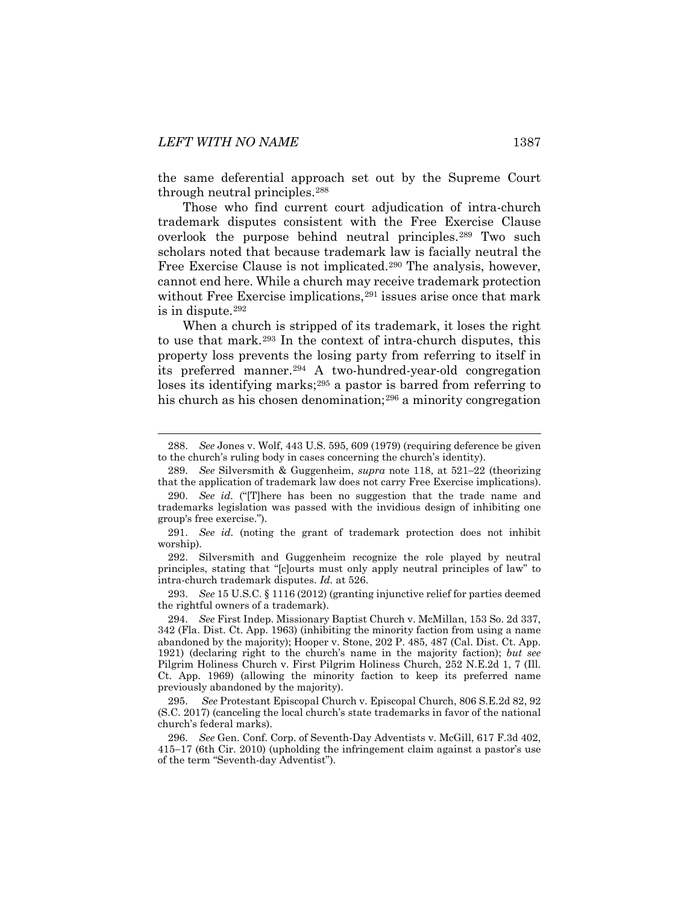the same deferential approach set out by the Supreme Court through neutral principles[.288](#page-43-0)

Those who find current court adjudication of intra-church trademark disputes consistent with the Free Exercise Clause overlook the purpose behind neutral principles.[289](#page-43-1) Two such scholars noted that because trademark law is facially neutral the Free Exercise Clause is not implicated.[290](#page-43-2) The analysis, however, cannot end here. While a church may receive trademark protection without Free Exercise implications,<sup>291</sup> issues arise once that mark is in dispute.[292](#page-43-4)

When a church is stripped of its trademark, it loses the right to use that mark.[293](#page-43-5) In the context of intra-church disputes, this property loss prevents the losing party from referring to itself in its preferred manner.[294](#page-43-6) A two-hundred-year-old congregation loses its identifying marks;<sup>[295](#page-43-7)</sup> a pastor is barred from referring to his church as his chosen denomination;<sup>[296](#page-43-8)</sup> a minority congregation

<span id="page-43-4"></span>292. Silversmith and Guggenheim recognize the role played by neutral principles, stating that "[c]ourts must only apply neutral principles of law" to intra-church trademark disputes. *Id.* at 526.

<span id="page-43-5"></span>293. *See* 15 U.S.C. § 1116 (2012) (granting injunctive relief for parties deemed the rightful owners of a trademark).

<span id="page-43-0"></span> <sup>288.</sup> *See* Jones v. Wolf, 443 U.S. 595, 609 (1979) (requiring deference be given to the church's ruling body in cases concerning the church's identity).

<span id="page-43-1"></span><sup>289.</sup> *See* Silversmith & Guggenheim, *supra* note [118,](#page-19-7) at 521−22 (theorizing that the application of trademark law does not carry Free Exercise implications).

<span id="page-43-2"></span><sup>290.</sup> *See id.* ("[T]here has been no suggestion that the trade name and trademarks legislation was passed with the invidious design of inhibiting one group's free exercise.").

<span id="page-43-3"></span><sup>291.</sup> *See id.* (noting the grant of trademark protection does not inhibit worship).

<span id="page-43-6"></span><sup>294.</sup> *See* First Indep. Missionary Baptist Church v. McMillan, 153 So. 2d 337, 342 (Fla. Dist. Ct. App. 1963) (inhibiting the minority faction from using a name abandoned by the majority); Hooper v. Stone, 202 P. 485, 487 (Cal. Dist. Ct. App. 1921) (declaring right to the church's name in the majority faction); *but see* Pilgrim Holiness Church v. First Pilgrim Holiness Church, 252 N.E.2d 1, 7 (Ill. Ct. App. 1969) (allowing the minority faction to keep its preferred name previously abandoned by the majority).

<span id="page-43-7"></span><sup>295.</sup> *See* Protestant Episcopal Church v. Episcopal Church, 806 S.E.2d 82, 92 (S.C. 2017) (canceling the local church's state trademarks in favor of the national church's federal marks).

<span id="page-43-8"></span><sup>296.</sup> *See* Gen. Conf. Corp. of Seventh-Day Adventists v. McGill, 617 F.3d 402, 415−17 (6th Cir. 2010) (upholding the infringement claim against a pastor's use of the term "Seventh-day Adventist").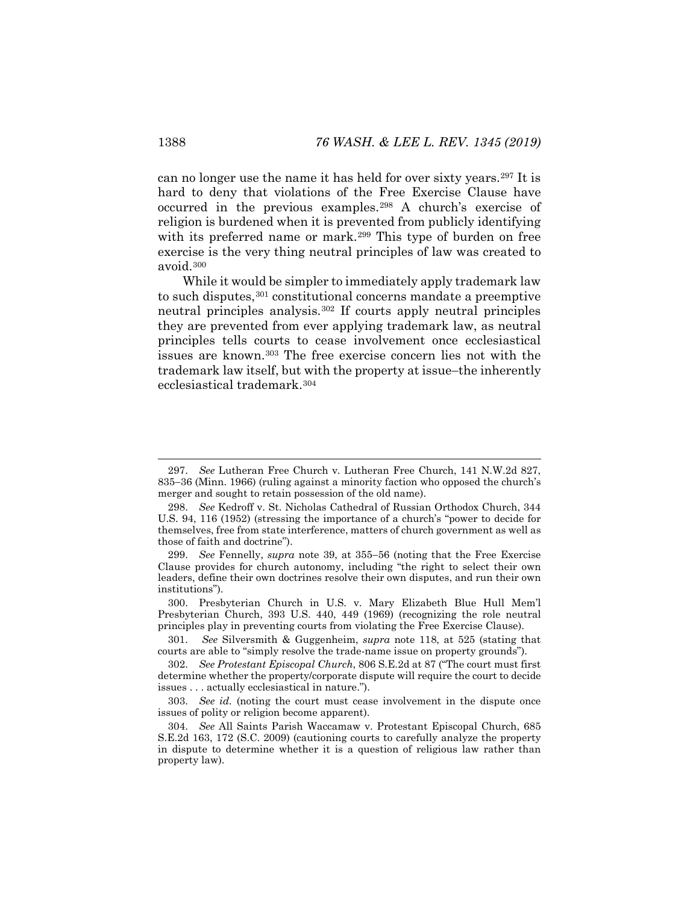can no longer use the name it has held for over sixty years.[297](#page-44-0) It is hard to deny that violations of the Free Exercise Clause have occurred in the previous examples.[298](#page-44-1) A church's exercise of religion is burdened when it is prevented from publicly identifying with its preferred name or mark.<sup>[299](#page-44-2)</sup> This type of burden on free exercise is the very thing neutral principles of law was created to avoid.[300](#page-44-3)

While it would be simpler to immediately apply trademark law to such disputes,<sup>[301](#page-44-4)</sup> constitutional concerns mandate a preemptive neutral principles analysis.[302](#page-44-5) If courts apply neutral principles they are prevented from ever applying trademark law, as neutral principles tells courts to cease involvement once ecclesiastical issues are known.[303](#page-44-6) The free exercise concern lies not with the trademark law itself, but with the property at issue−the inherently ecclesiastical trademark[.304](#page-44-7)

<span id="page-44-0"></span> <sup>297.</sup> *See* Lutheran Free Church v. Lutheran Free Church, 141 N.W.2d 827, 835−36 (Minn. 1966) (ruling against a minority faction who opposed the church's merger and sought to retain possession of the old name).

<span id="page-44-1"></span><sup>298.</sup> *See* Kedroff v. St. Nicholas Cathedral of Russian Orthodox Church, 344 U.S. 94, 116 (1952) (stressing the importance of a church's "power to decide for themselves, free from state interference, matters of church government as well as those of faith and doctrine").

<span id="page-44-2"></span><sup>299.</sup> *See* Fennelly, *supra* note [39,](#page-8-7) at 355−56 (noting that the Free Exercise Clause provides for church autonomy, including "the right to select their own leaders, define their own doctrines resolve their own disputes, and run their own institutions").

<span id="page-44-3"></span><sup>300.</sup> Presbyterian Church in U.S. v. Mary Elizabeth Blue Hull Mem'l Presbyterian Church, 393 U.S. 440, 449 (1969) (recognizing the role neutral principles play in preventing courts from violating the Free Exercise Clause).

<span id="page-44-4"></span><sup>301.</sup> *See* Silversmith & Guggenheim, *supra* note [118,](#page-19-7) at 525 (stating that courts are able to "simply resolve the trade-name issue on property grounds").

<span id="page-44-5"></span><sup>302.</sup> *See Protestant Episcopal Church*, 806 S.E.2d at 87 ("The court must first determine whether the property/corporate dispute will require the court to decide issues . . . actually ecclesiastical in nature.").

<span id="page-44-6"></span><sup>303.</sup> *See id.* (noting the court must cease involvement in the dispute once issues of polity or religion become apparent).

<span id="page-44-7"></span><sup>304.</sup> *See* All Saints Parish Waccamaw v. Protestant Episcopal Church, 685 S.E.2d 163, 172 (S.C. 2009) (cautioning courts to carefully analyze the property in dispute to determine whether it is a question of religious law rather than property law).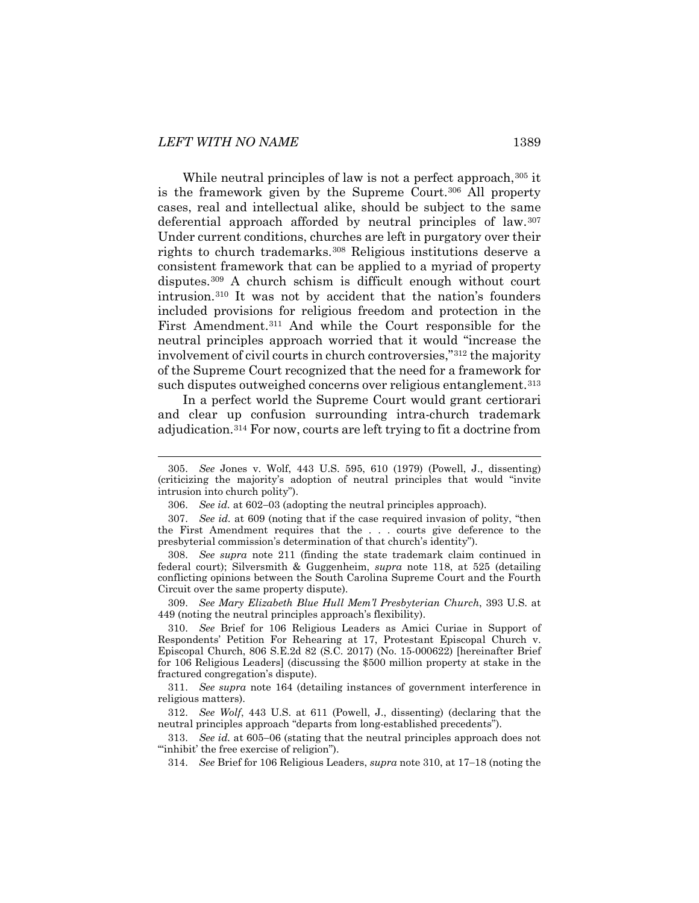While neutral principles of law is not a perfect approach, [305](#page-45-1) it is the framework given by the Supreme Court.<sup>[306](#page-45-2)</sup> All property cases, real and intellectual alike, should be subject to the same deferential approach afforded by neutral principles of law.[307](#page-45-3) Under current conditions, churches are left in purgatory over their rights to church trademarks.[308](#page-45-4) Religious institutions deserve a consistent framework that can be applied to a myriad of property disputes.[309](#page-45-5) A church schism is difficult enough without court intrusion.[310](#page-45-6) It was not by accident that the nation's founders included provisions for religious freedom and protection in the First Amendment.[311](#page-45-7) And while the Court responsible for the neutral principles approach worried that it would "increase the involvement of civil courts in church controversies,"[312](#page-45-8) the majority of the Supreme Court recognized that the need for a framework for such disputes outweighed concerns over religious entanglement.<sup>[313](#page-45-9)</sup>

<span id="page-45-0"></span>In a perfect world the Supreme Court would grant certiorari and clear up confusion surrounding intra-church trademark adjudication.[314](#page-45-10) For now, courts are left trying to fit a doctrine from

<span id="page-45-5"></span>309. *See Mary Elizabeth Blue Hull Mem'l Presbyterian Church*, 393 U.S. at 449 (noting the neutral principles approach's flexibility).

<span id="page-45-1"></span> <sup>305.</sup> *See* Jones v. Wolf, 443 U.S. 595, 610 (1979) (Powell, J., dissenting) (criticizing the majority's adoption of neutral principles that would "invite intrusion into church polity").

<sup>306.</sup> *See id.* at 602−03 (adopting the neutral principles approach).

<span id="page-45-3"></span><span id="page-45-2"></span><sup>307.</sup> *See id.* at 609 (noting that if the case required invasion of polity, "then the First Amendment requires that the . . . courts give deference to the presbyterial commission's determination of that church's identity").

<span id="page-45-4"></span><sup>308.</sup> *See supra* note [211](#page-32-7) (finding the state trademark claim continued in federal court); Silversmith & Guggenheim, *supra* note [118,](#page-19-7) at 525 (detailing conflicting opinions between the South Carolina Supreme Court and the Fourth Circuit over the same property dispute).

<span id="page-45-6"></span><sup>310.</sup> *See* Brief for 106 Religious Leaders as Amici Curiae in Support of Respondents' Petition For Rehearing at 17, Protestant Episcopal Church v. Episcopal Church, 806 S.E.2d 82 (S.C. 2017) (No. 15-000622) [hereinafter Brief for 106 Religious Leaders] (discussing the \$500 million property at stake in the fractured congregation's dispute).

<span id="page-45-7"></span><sup>311.</sup> *See supra* note [164](#page-25-8) (detailing instances of government interference in religious matters).

<span id="page-45-8"></span><sup>312.</sup> *See Wolf*, 443 U.S. at 611 (Powell, J., dissenting) (declaring that the neutral principles approach "departs from long-established precedents").

<span id="page-45-10"></span><span id="page-45-9"></span><sup>313.</sup> *See id.* at 605−06 (stating that the neutral principles approach does not '"inhibit' the free exercise of religion").

<sup>314.</sup> *See* Brief for 106 Religious Leaders, *supra* not[e 310,](#page-45-0) at 17−18 (noting the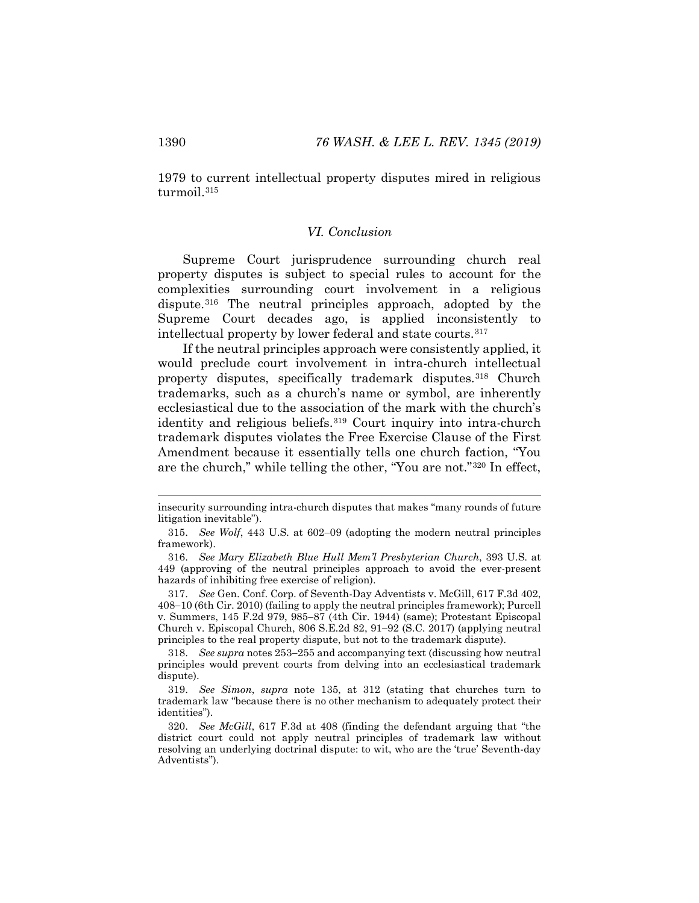<span id="page-46-0"></span>1979 to current intellectual property disputes mired in religious turmoil.<sup>[315](#page-46-1)</sup>

# *VI. Conclusion*

Supreme Court jurisprudence surrounding church real property disputes is subject to special rules to account for the complexities surrounding court involvement in a religious dispute.[316](#page-46-2) The neutral principles approach, adopted by the Supreme Court decades ago, is applied inconsistently to intellectual property by lower federal and state courts.[317](#page-46-3)

If the neutral principles approach were consistently applied, it would preclude court involvement in intra-church intellectual property disputes, specifically trademark disputes.<sup>[318](#page-46-4)</sup> Church trademarks, such as a church's name or symbol, are inherently ecclesiastical due to the association of the mark with the church's identity and religious beliefs.[319](#page-46-5) Court inquiry into intra-church trademark disputes violates the Free Exercise Clause of the First Amendment because it essentially tells one church faction, "You are the church," while telling the other, "You are not."[320](#page-46-6) In effect,

insecurity surrounding intra-church disputes that makes "many rounds of future litigation inevitable").

<span id="page-46-1"></span><sup>315.</sup> *See Wolf*, 443 U.S. at 602−09 (adopting the modern neutral principles framework).

<span id="page-46-2"></span><sup>316.</sup> *See Mary Elizabeth Blue Hull Mem'l Presbyterian Church*, 393 U.S. at 449 (approving of the neutral principles approach to avoid the ever-present hazards of inhibiting free exercise of religion).

<span id="page-46-3"></span><sup>317.</sup> *See* Gen. Conf. Corp. of Seventh-Day Adventists v. McGill, 617 F.3d 402, 408−10 (6th Cir. 2010) (failing to apply the neutral principles framework); Purcell v. Summers, 145 F.2d 979, 985−87 (4th Cir. 1944) (same); Protestant Episcopal Church v. Episcopal Church, 806 S.E.2d 82, 91−92 (S.C. 2017) (applying neutral principles to the real property dispute, but not to the trademark dispute).

<span id="page-46-4"></span><sup>318.</sup> *See supra* note[s 253](#page-38-6)−[255](#page-38-7) and accompanying text (discussing how neutral principles would prevent courts from delving into an ecclesiastical trademark dispute).

<span id="page-46-5"></span><sup>319.</sup> *See Simon*, *supra* note [135,](#page-21-11) at 312 (stating that churches turn to trademark law "because there is no other mechanism to adequately protect their identities").

<span id="page-46-6"></span><sup>320.</sup> *See McGill*, 617 F.3d at 408 (finding the defendant arguing that "the district court could not apply neutral principles of trademark law without resolving an underlying doctrinal dispute: to wit, who are the 'true' Seventh-day Adventists").